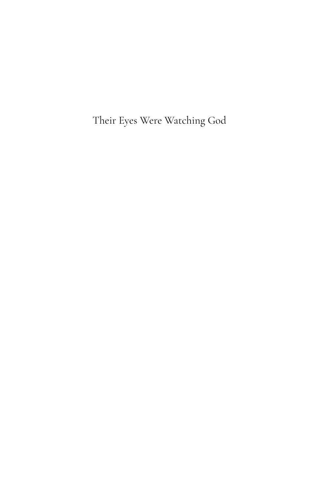Their Eyes Were Watching God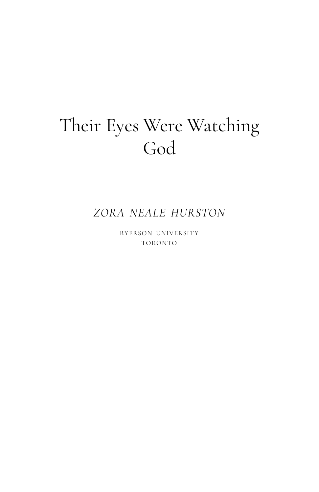### Their Eyes Were Watching God

*ZORA NEALE HURSTON* 

RYERSON UNIVERSITY TORONTO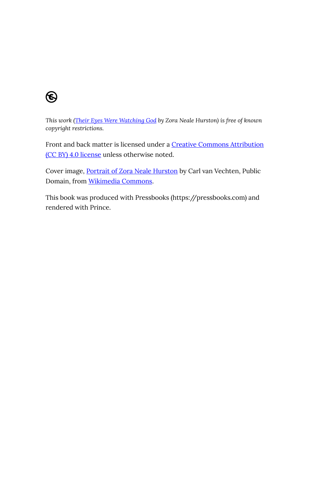

*This work [\(Their Eyes Were Watching God](https://pressbooks.library.ryerson.ca/theireyeswerewatchinggod) by Zora Neale Hurston) is free of known copyright restrictions.* 

Front and back matter is licensed under a **Creative Commons Attribution** [\(CC BY\) 4.0 license](https://creativecommons.org/licenses/by/4.0/) unless otherwise noted.

Cover image, [Portrait of Zora Neale Hurston](https://commons.wikimedia.org/wiki/File:Portrait_of_Zora_Neale_Hurston_LCCN2004663047.jpg) by Carl van Vechten, Public Domain, from [Wikimedia Commons](https://commons.wikimedia.org/wiki/Main_Page).

This book was produced with Pressbooks (https://pressbooks.com) and rendered with Prince.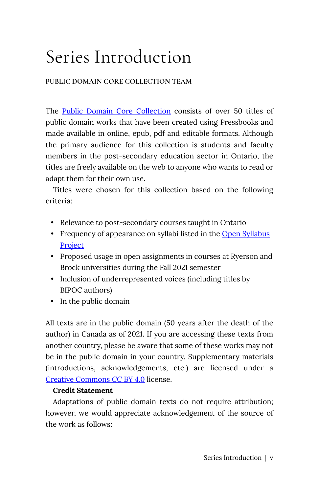## Series Introduction

#### **PUBLIC DOMAIN CORE COLLECTION TEAM**

The [Public Domain Core Collection](https://pressbooks.library.ryerson.ca/catalog/openryerson) consists of over 50 titles of public domain works that have been created using Pressbooks and made available in online, epub, pdf and editable formats. Although the primary audience for this collection is students and faculty members in the post-secondary education sector in Ontario, the titles are freely available on the web to anyone who wants to read or adapt them for their own use.

Titles were chosen for this collection based on the following criteria:

- Relevance to post-secondary courses taught in Ontario
- Frequency of appearance on syllabi listed in the [Open Syllabus](https://opensyllabus.org/) [Project](https://opensyllabus.org/)
- Proposed usage in open assignments in courses at Ryerson and Brock universities during the Fall 2021 semester
- Inclusion of underrepresented voices (including titles by BIPOC authors)
- In the public domain

All texts are in the public domain (50 years after the death of the author) in Canada as of 2021. If you are accessing these texts from another country, please be aware that some of these works may not be in the public domain in your country. Supplementary materials (introductions, acknowledgements, etc.) are licensed under a [Creative Commons CC BY 4.0](https://creativecommons.org/licenses/by/4.0/) license.

#### **Credit Statement**

Adaptations of public domain texts do not require attribution; however, we would appreciate acknowledgement of the source of the work as follows: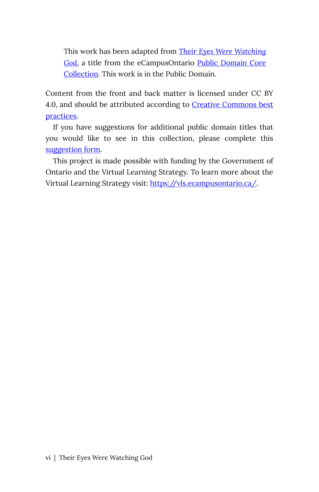This work has been adapted from *[Their Eyes Were Watching](https://pressbooks.library.ryerson.ca/theireyeswerewatchinggod/) [God](https://pressbooks.library.ryerson.ca/theireyeswerewatchinggod/)*, a title from the eCampusOntario [Public Domain Core](https://pressbooks.library.ryerson.ca/catalog/openryerson) [Collection.](https://pressbooks.library.ryerson.ca/catalog/openryerson) This work is in the Public Domain.

Content from the front and back matter is licensed under CC BY 4.0, and should be attributed according to **[Creative Commons best](https://wiki.creativecommons.org/wiki/Best_practices_for_attribution)** [practices](https://wiki.creativecommons.org/wiki/Best_practices_for_attribution).

If you have suggestions for additional public domain titles that you would like to see in this collection, please complete this [suggestion form](https://forms.gle/sioViC7bcRgmgBFD9).

This project is made possible with funding by the Government of Ontario and the Virtual Learning Strategy. To learn more about the Virtual Learning Strategy visit: [https://vls.ecampusontario.ca/.](https://vls.ecampusontario.ca/)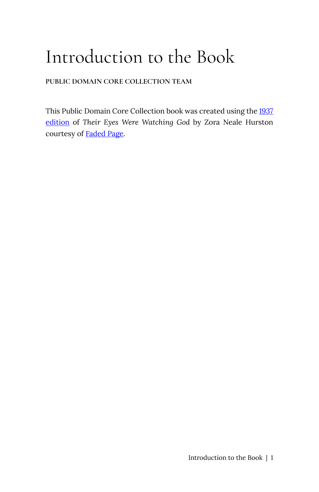# Introduction to the Book

#### **PUBLIC DOMAIN CORE COLLECTION TEAM**

This Public Domain Core Collection book was created using the [1937](https://www.fadedpage.com/showbook.php?pid=20200240) [edition](https://www.fadedpage.com/showbook.php?pid=20200240) of *Their Eyes Were Watching God* by Zora Neale Hurston courtesy of **Faded Page**.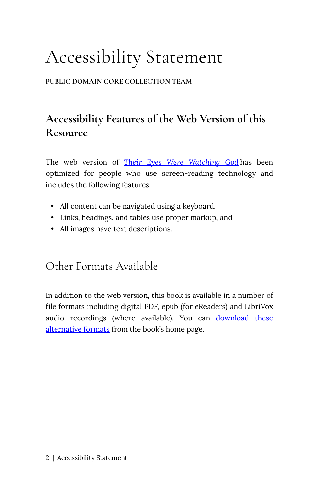## Accessibility Statement

**PUBLIC DOMAIN CORE COLLECTION TEAM** 

### **Accessibility Features of the Web Version of this Resource**

The web version of *[Their Eyes Were Watching God](https://pressbooks.library.ryerson.ca/theireyeswerewatchinggod/)* has been optimized for people who use screen-reading technology and includes the following features:

- All content can be navigated using a keyboard,
- Links, headings, and tables use proper markup, and
- All images have text descriptions.

### Other Formats Available

In addition to the web version, this book is available in a number of file formats including digital PDF, epub (for eReaders) and LibriVox audio recordings (where available). You can [download these](https://pressbooks.library.ryerson.ca/theireyeswerewatchinggod/) [alternative formats](https://pressbooks.library.ryerson.ca/theireyeswerewatchinggod/) from the book's home page.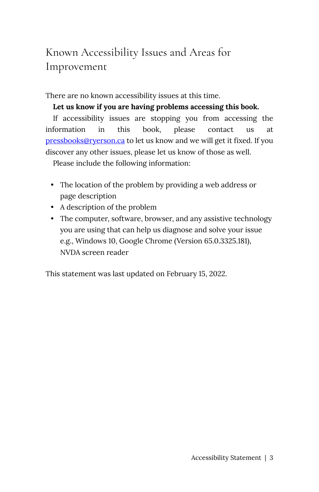### Known Accessibility Issues and Areas for Improvement

There are no known accessibility issues at this time.

#### **Let us know if you are having problems accessing this book.**

If accessibility issues are stopping you from accessing the information in this book, please contact us at [pressbooks@ryerson.ca](mailto:pressbooks@ryerson.ca) to let us know and we will get it fixed. If you discover any other issues, please let us know of those as well.

Please include the following information:

- The location of the problem by providing a web address or page description
- A description of the problem
- The computer, software, browser, and any assistive technology you are using that can help us diagnose and solve your issue e.g., Windows 10, Google Chrome (Version 65.0.3325.181), NVDA screen reader

This statement was last updated on February 15, 2022.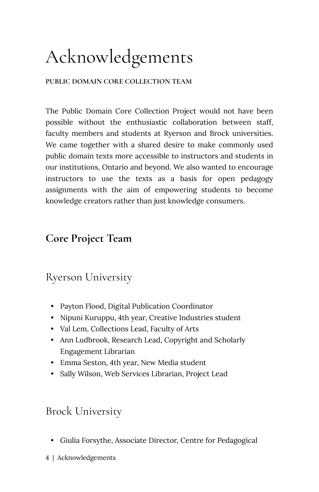# Acknowledgements

**PUBLIC DOMAIN CORE COLLECTION TEAM** 

The Public Domain Core Collection Project would not have been possible without the enthusiastic collaboration between staff, faculty members and students at Ryerson and Brock universities. We came together with a shared desire to make commonly used public domain texts more accessible to instructors and students in our institutions, Ontario and beyond. We also wanted to encourage instructors to use the texts as a basis for open pedagogy assignments with the aim of empowering students to become knowledge creators rather than just knowledge consumers.

### **Core Project Team**

### Ryerson University

- Payton Flood, Digital Publication Coordinator
- Nipuni Kuruppu, 4th year, Creative Industries student
- Val Lem, Collections Lead, Faculty of Arts
- Ann Ludbrook, Research Lead, Copyright and Scholarly Engagement Librarian
- Emma Seston, 4th year, New Media student
- Sally Wilson, Web Services Librarian, Project Lead

### Brock University

- Giulia Forsythe, Associate Director, Centre for Pedagogical
- 4 | Acknowledgements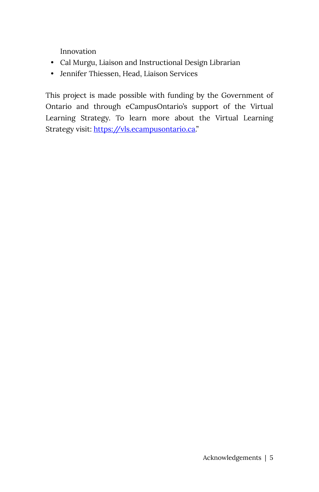Innovation

- Cal Murgu, Liaison and Instructional Design Librarian
- Jennifer Thiessen, Head, Liaison Services

This project is made possible with funding by the Government of Ontario and through eCampusOntario's support of the Virtual Learning Strategy. To learn more about the Virtual Learning Strategy visit: [https://vls.ecampusontario.ca.](https://vls.ecampusontario.ca/)"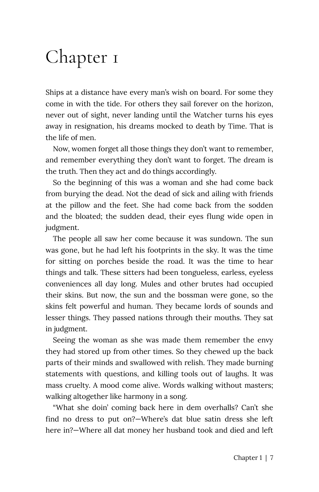## Chapter 1

Ships at a distance have every man's wish on board. For some they come in with the tide. For others they sail forever on the horizon, never out of sight, never landing until the Watcher turns his eyes away in resignation, his dreams mocked to death by Time. That is the life of men.

Now, women forget all those things they don't want to remember, and remember everything they don't want to forget. The dream is the truth. Then they act and do things accordingly.

So the beginning of this was a woman and she had come back from burying the dead. Not the dead of sick and ailing with friends at the pillow and the feet. She had come back from the sodden and the bloated; the sudden dead, their eyes flung wide open in judgment.

The people all saw her come because it was sundown. The sun was gone, but he had left his footprints in the sky. It was the time for sitting on porches beside the road. It was the time to hear things and talk. These sitters had been tongueless, earless, eyeless conveniences all day long. Mules and other brutes had occupied their skins. But now, the sun and the bossman were gone, so the skins felt powerful and human. They became lords of sounds and lesser things. They passed nations through their mouths. They sat in judgment.

Seeing the woman as she was made them remember the envy they had stored up from other times. So they chewed up the back parts of their minds and swallowed with relish. They made burning statements with questions, and killing tools out of laughs. It was mass cruelty. A mood come alive. Words walking without masters; walking altogether like harmony in a song.

"What she doin' coming back here in dem overhalls? Can't she find no dress to put on?—Where's dat blue satin dress she left here in?—Where all dat money her husband took and died and left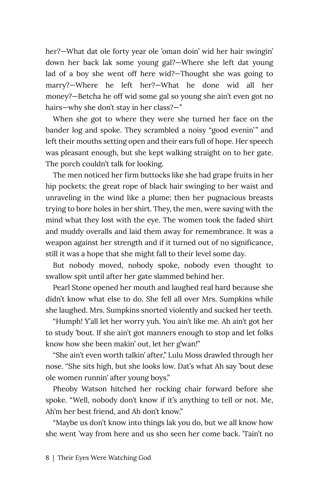her?—What dat ole forty year ole 'oman doin' wid her hair swingin' down her back lak some young gal?—Where she left dat young lad of a boy she went off here wid?—Thought she was going to marry?—Where he left her?—What he done wid all her money?—Betcha he off wid some gal so young she ain't even got no hairs—why she don't stay in her class?—"

When she got to where they were she turned her face on the bander log and spoke. They scrambled a noisy "good evenin'" and left their mouths setting open and their ears full of hope. Her speech was pleasant enough, but she kept walking straight on to her gate. The porch couldn't talk for looking.

The men noticed her firm buttocks like she had grape fruits in her hip pockets; the great rope of black hair swinging to her waist and unraveling in the wind like a plume; then her pugnacious breasts trying to bore holes in her shirt. They, the men, were saving with the mind what they lost with the eye. The women took the faded shirt and muddy overalls and laid them away for remembrance. It was a weapon against her strength and if it turned out of no significance, still it was a hope that she might fall to their level some day.

But nobody moved, nobody spoke, nobody even thought to swallow spit until after her gate slammed behind her.

Pearl Stone opened her mouth and laughed real hard because she didn't know what else to do. She fell all over Mrs. Sumpkins while she laughed. Mrs. Sumpkins snorted violently and sucked her teeth.

"Humph! Y'all let her worry yuh. You ain't like me. Ah ain't got her to study 'bout. If she ain't got manners enough to stop and let folks know how she been makin' out, let her g'wan!"

"She ain't even worth talkin' after," Lulu Moss drawled through her nose. "She sits high, but she looks low. Dat's what Ah say 'bout dese ole women runnin' after young boys."

Pheoby Watson hitched her rocking chair forward before she spoke. "Well, nobody don't know if it's anything to tell or not. Me, Ah'm her best friend, and Ah don't know."

"Maybe us don't know into things lak you do, but we all know how she went 'way from here and us sho seen her come back. 'Tain't no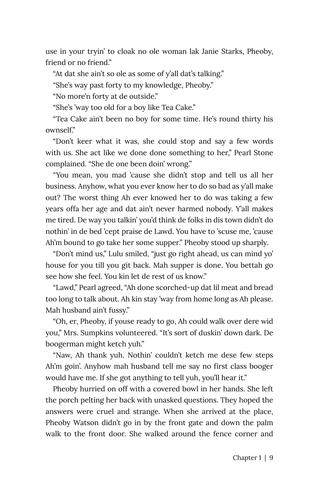use in your tryin' to cloak no ole woman lak Janie Starks, Pheoby, friend or no friend."

"At dat she ain't so ole as some of y'all dat's talking."

"She's way past forty to my knowledge, Pheoby."

"No more'n forty at de outside."

"She's 'way too old for a boy like Tea Cake."

"Tea Cake ain't been no boy for some time. He's round thirty his ownself."

"Don't keer what it was, she could stop and say a few words with us. She act like we done done something to her," Pearl Stone complained. "She de one been doin' wrong."

"You mean, you mad 'cause she didn't stop and tell us all her business. Anyhow, what you ever know her to do so bad as y'all make out? The worst thing Ah ever knowed her to do was taking a few years offa her age and dat ain't never harmed nobody. Y'all makes me tired. De way you talkin' you'd think de folks in dis town didn't do nothin' in de bed 'cept praise de Lawd. You have to 'scuse me, 'cause Ah'm bound to go take her some supper." Pheoby stood up sharply.

"Don't mind us," Lulu smiled, "just go right ahead, us can mind yo' house for you till you git back. Mah supper is done. You bettah go see how she feel. You kin let de rest of us know."

"Lawd," Pearl agreed, "Ah done scorched-up dat lil meat and bread too long to talk about. Ah kin stay 'way from home long as Ah please. Mah husband ain't fussy."

"Oh, er, Pheoby, if youse ready to go, Ah could walk over dere wid you," Mrs. Sumpkins volunteered. "It's sort of duskin' down dark. De boogerman might ketch yuh."

"Naw, Ah thank yuh. Nothin' couldn't ketch me dese few steps Ah'm goin'. Anyhow mah husband tell me say no first class booger would have me. If she got anything to tell yuh, you'll hear it."

Pheoby hurried on off with a covered bowl in her hands. She left the porch pelting her back with unasked questions. They hoped the answers were cruel and strange. When she arrived at the place, Pheoby Watson didn't go in by the front gate and down the palm walk to the front door. She walked around the fence corner and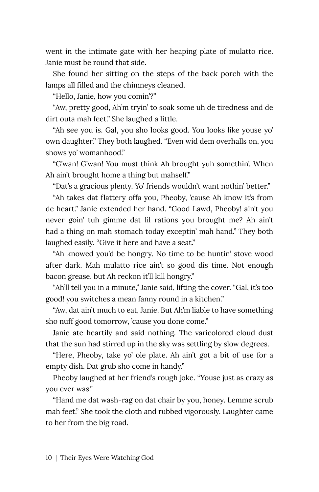went in the intimate gate with her heaping plate of mulatto rice. Janie must be round that side.

She found her sitting on the steps of the back porch with the lamps all filled and the chimneys cleaned.

"Hello, Janie, how you comin'?"

"Aw, pretty good, Ah'm tryin' to soak some uh de tiredness and de dirt outa mah feet." She laughed a little.

"Ah see you is. Gal, you sho looks good. You looks like youse yo' own daughter." They both laughed. "Even wid dem overhalls on, you shows yo' womanhood."

"G'wan! G'wan! You must think Ah brought yuh somethin'. When Ah ain't brought home a thing but mahself."

"Dat's a gracious plenty. Yo' friends wouldn't want nothin' better."

"Ah takes dat flattery offa you, Pheoby, 'cause Ah know it's from de heart." Janie extended her hand. "Good Lawd, Pheoby! ain't you never goin' tuh gimme dat lil rations you brought me? Ah ain't had a thing on mah stomach today exceptin' mah hand." They both laughed easily. "Give it here and have a seat."

"Ah knowed you'd be hongry. No time to be huntin' stove wood after dark. Mah mulatto rice ain't so good dis time. Not enough bacon grease, but Ah reckon it'll kill hongry."

"Ah'll tell you in a minute," Janie said, lifting the cover. "Gal, it's too good! you switches a mean fanny round in a kitchen."

"Aw, dat ain't much to eat, Janie. But Ah'm liable to have something sho nuff good tomorrow, 'cause you done come."

Janie ate heartily and said nothing. The varicolored cloud dust that the sun had stirred up in the sky was settling by slow degrees.

"Here, Pheoby, take yo' ole plate. Ah ain't got a bit of use for a empty dish. Dat grub sho come in handy."

Pheoby laughed at her friend's rough joke. "Youse just as crazy as you ever was."

"Hand me dat wash-rag on dat chair by you, honey. Lemme scrub mah feet." She took the cloth and rubbed vigorously. Laughter came to her from the big road.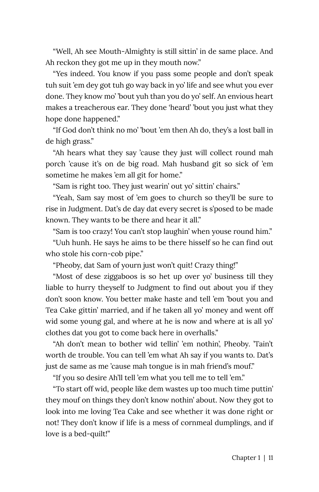"Well, Ah see Mouth-Almighty is still sittin' in de same place. And Ah reckon they got me up in they mouth now."

"Yes indeed. You know if you pass some people and don't speak tuh suit 'em dey got tuh go way back in yo' life and see whut you ever done. They know mo' 'bout yuh than you do yo' self. An envious heart makes a treacherous ear. They done 'heard' 'bout you just what they hope done happened."

"If God don't think no mo' 'bout 'em then Ah do, they's a lost ball in de high grass."

"Ah hears what they say 'cause they just will collect round mah porch 'cause it's on de big road. Mah husband git so sick of 'em sometime he makes 'em all git for home."

"Sam is right too. They just wearin' out yo' sittin' chairs."

"Yeah, Sam say most of 'em goes to church so they'll be sure to rise in Judgment. Dat's de day dat every secret is s'posed to be made known. They wants to be there and hear it all."

"Sam is too crazy! You can't stop laughin' when youse round him."

"Uuh hunh. He says he aims to be there hisself so he can find out who stole his corn-cob pipe."

"Pheoby, dat Sam of yourn just won't quit! Crazy thing!"

"Most of dese ziggaboos is so het up over yo' business till they liable to hurry theyself to Judgment to find out about you if they don't soon know. You better make haste and tell 'em 'bout you and Tea Cake gittin' married, and if he taken all yo' money and went off wid some young gal, and where at he is now and where at is all yo' clothes dat you got to come back here in overhalls."

"Ah don't mean to bother wid tellin' 'em nothin', Pheoby. 'Tain't worth de trouble. You can tell 'em what Ah say if you wants to. Dat's just de same as me 'cause mah tongue is in mah friend's mouf."

"If you so desire Ah'll tell 'em what you tell me to tell 'em."

"To start off wid, people like dem wastes up too much time puttin' they mouf on things they don't know nothin' about. Now they got to look into me loving Tea Cake and see whether it was done right or not! They don't know if life is a mess of cornmeal dumplings, and if love is a bed-quilt!"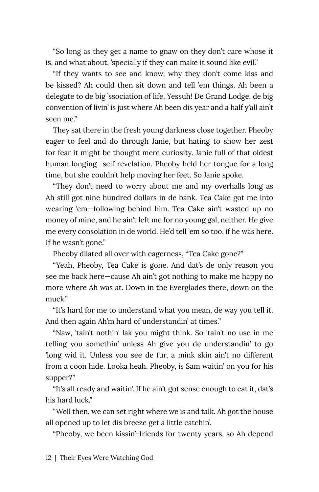"So long as they get a name to gnaw on they don't care whose it is, and what about, 'specially if they can make it sound like evil."

"If they wants to see and know, why they don't come kiss and be kissed? Ah could then sit down and tell 'em things. Ah been a delegate to de big 'ssociation of life. Yessuh! De Grand Lodge, de big convention of livin' is just where Ah been dis year and a half y'all ain't seen me."

They sat there in the fresh young darkness close together. Pheoby eager to feel and do through Janie, but hating to show her zest for fear it might be thought mere curiosity. Janie full of that oldest human longing—self revelation. Pheoby held her tongue for a long time, but she couldn't help moving her feet. So Janie spoke.

"They don't need to worry about me and my overhalls long as Ah still got nine hundred dollars in de bank. Tea Cake got me into wearing 'em—following behind him. Tea Cake ain't wasted up no money of mine, and he ain't left me for no young gal, neither. He give me every consolation in de world. He'd tell 'em so too, if he was here. If he wasn't gone."

Pheoby dilated all over with eagerness, "Tea Cake gone?"

"Yeah, Pheoby, Tea Cake is gone. And dat's de only reason you see me back here—cause Ah ain't got nothing to make me happy no more where Ah was at. Down in the Everglades there, down on the muck."

"It's hard for me to understand what you mean, de way you tell it. And then again Ah'm hard of understandin' at times."

"Naw, 'tain't nothin' lak you might think. So 'tain't no use in me telling you somethin' unless Ah give you de understandin' to go 'long wid it. Unless you see de fur, a mink skin ain't no different from a coon hide. Looka heah, Pheoby, is Sam waitin' on you for his supper?"

"It's all ready and waitin'. If he ain't got sense enough to eat it, dat's his hard luck."

"Well then, we can set right where we is and talk. Ah got the house all opened up to let dis breeze get a little catchin'.

"Pheoby, we been kissin'-friends for twenty years, so Ah depend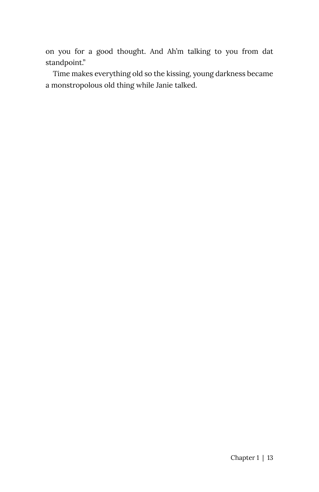on you for a good thought. And Ah'm talking to you from dat standpoint."

Time makes everything old so the kissing, young darkness became a monstropolous old thing while Janie talked.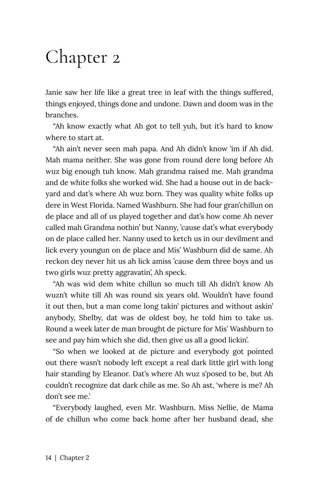### Chapter 2

Janie saw her life like a great tree in leaf with the things suffered, things enjoyed, things done and undone. Dawn and doom was in the branches.

"Ah know exactly what Ah got to tell yuh, but it's hard to know where to start at.

"Ah ain't never seen mah papa. And Ah didn't know 'im if Ah did. Mah mama neither. She was gone from round dere long before Ah wuz big enough tuh know. Mah grandma raised me. Mah grandma and de white folks she worked wid. She had a house out in de backyard and dat's where Ah wuz born. They was quality white folks up dere in West Florida. Named Washburn. She had four gran'chillun on de place and all of us played together and dat's how come Ah never called mah Grandma nothin' but Nanny, 'cause dat's what everybody on de place called her. Nanny used to ketch us in our devilment and lick every youngun on de place and Mis' Washburn did de same. Ah reckon dey never hit us ah lick amiss 'cause dem three boys and us two girls wuz pretty aggravatin', Ah speck.

"Ah was wid dem white chillun so much till Ah didn't know Ah wuzn't white till Ah was round six years old. Wouldn't have found it out then, but a man come long takin' pictures and without askin' anybody, Shelby, dat was de oldest boy, he told him to take us. Round a week later de man brought de picture for Mis' Washburn to see and pay him which she did, then give us all a good lickin'.

"So when we looked at de picture and everybody got pointed out there wasn't nobody left except a real dark little girl with long hair standing by Eleanor. Dat's where Ah wuz s'posed to be, but Ah couldn't recognize dat dark chile as me. So Ah ast, 'where is me? Ah don't see me.'

"Everybody laughed, even Mr. Washburn. Miss Nellie, de Mama of de chillun who come back home after her husband dead, she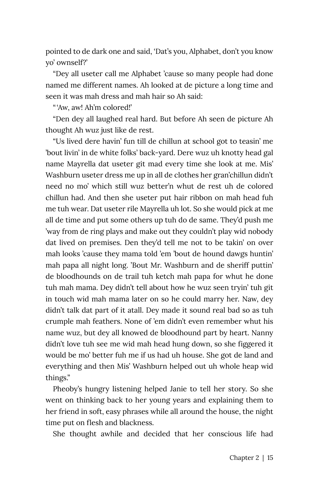pointed to de dark one and said, 'Dat's you, Alphabet, don't you know yo' ownself?'

"Dey all useter call me Alphabet 'cause so many people had done named me different names. Ah looked at de picture a long time and seen it was mah dress and mah hair so Ah said:

" 'Aw, aw! Ah'm colored!'

"Den dey all laughed real hard. But before Ah seen de picture Ah thought Ah wuz just like de rest.

"Us lived dere havin' fun till de chillun at school got to teasin' me 'bout livin' in de white folks' back-yard. Dere wuz uh knotty head gal name Mayrella dat useter git mad every time she look at me. Mis' Washburn useter dress me up in all de clothes her gran'chillun didn't need no mo' which still wuz better'n whut de rest uh de colored chillun had. And then she useter put hair ribbon on mah head fuh me tuh wear. Dat useter rile Mayrella uh lot. So she would pick at me all de time and put some others up tuh do de same. They'd push me 'way from de ring plays and make out they couldn't play wid nobody dat lived on premises. Den they'd tell me not to be takin' on over mah looks 'cause they mama told 'em 'bout de hound dawgs huntin' mah papa all night long. 'Bout Mr. Washburn and de sheriff puttin' de bloodhounds on de trail tuh ketch mah papa for whut he done tuh mah mama. Dey didn't tell about how he wuz seen tryin' tuh git in touch wid mah mama later on so he could marry her. Naw, dey didn't talk dat part of it atall. Dey made it sound real bad so as tuh crumple mah feathers. None of 'em didn't even remember whut his name wuz, but dey all knowed de bloodhound part by heart. Nanny didn't love tuh see me wid mah head hung down, so she figgered it would be mo' better fuh me if us had uh house. She got de land and everything and then Mis' Washburn helped out uh whole heap wid things."

Pheoby's hungry listening helped Janie to tell her story. So she went on thinking back to her young years and explaining them to her friend in soft, easy phrases while all around the house, the night time put on flesh and blackness.

She thought awhile and decided that her conscious life had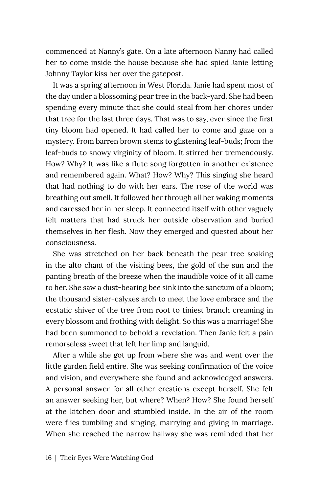commenced at Nanny's gate. On a late afternoon Nanny had called her to come inside the house because she had spied Janie letting Johnny Taylor kiss her over the gatepost.

It was a spring afternoon in West Florida. Janie had spent most of the day under a blossoming pear tree in the back-yard. She had been spending every minute that she could steal from her chores under that tree for the last three days. That was to say, ever since the first tiny bloom had opened. It had called her to come and gaze on a mystery. From barren brown stems to glistening leaf-buds; from the leaf-buds to snowy virginity of bloom. It stirred her tremendously. How? Why? It was like a flute song forgotten in another existence and remembered again. What? How? Why? This singing she heard that had nothing to do with her ears. The rose of the world was breathing out smell. It followed her through all her waking moments and caressed her in her sleep. It connected itself with other vaguely felt matters that had struck her outside observation and buried themselves in her flesh. Now they emerged and quested about her consciousness.

She was stretched on her back beneath the pear tree soaking in the alto chant of the visiting bees, the gold of the sun and the panting breath of the breeze when the inaudible voice of it all came to her. She saw a dust-bearing bee sink into the sanctum of a bloom; the thousand sister-calyxes arch to meet the love embrace and the ecstatic shiver of the tree from root to tiniest branch creaming in every blossom and frothing with delight. So this was a marriage! She had been summoned to behold a revelation. Then Janie felt a pain remorseless sweet that left her limp and languid.

After a while she got up from where she was and went over the little garden field entire. She was seeking confirmation of the voice and vision, and everywhere she found and acknowledged answers. A personal answer for all other creations except herself. She felt an answer seeking her, but where? When? How? She found herself at the kitchen door and stumbled inside. In the air of the room were flies tumbling and singing, marrying and giving in marriage. When she reached the narrow hallway she was reminded that her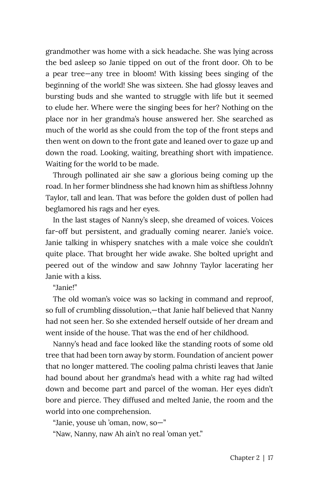grandmother was home with a sick headache. She was lying across the bed asleep so Janie tipped on out of the front door. Oh to be a pear tree—any tree in bloom! With kissing bees singing of the beginning of the world! She was sixteen. She had glossy leaves and bursting buds and she wanted to struggle with life but it seemed to elude her. Where were the singing bees for her? Nothing on the place nor in her grandma's house answered her. She searched as much of the world as she could from the top of the front steps and then went on down to the front gate and leaned over to gaze up and down the road. Looking, waiting, breathing short with impatience. Waiting for the world to be made.

Through pollinated air she saw a glorious being coming up the road. In her former blindness she had known him as shiftless Johnny Taylor, tall and lean. That was before the golden dust of pollen had beglamored his rags and her eyes.

In the last stages of Nanny's sleep, she dreamed of voices. Voices far-off but persistent, and gradually coming nearer. Janie's voice. Janie talking in whispery snatches with a male voice she couldn't quite place. That brought her wide awake. She bolted upright and peered out of the window and saw Johnny Taylor lacerating her Janie with a kiss.

"Janie!"

The old woman's voice was so lacking in command and reproof, so full of crumbling dissolution,—that Janie half believed that Nanny had not seen her. So she extended herself outside of her dream and went inside of the house. That was the end of her childhood.

Nanny's head and face looked like the standing roots of some old tree that had been torn away by storm. Foundation of ancient power that no longer mattered. The cooling palma christi leaves that Janie had bound about her grandma's head with a white rag had wilted down and become part and parcel of the woman. Her eyes didn't bore and pierce. They diffused and melted Janie, the room and the world into one comprehension.

"Janie, youse uh 'oman, now, so—"

"Naw, Nanny, naw Ah ain't no real 'oman yet."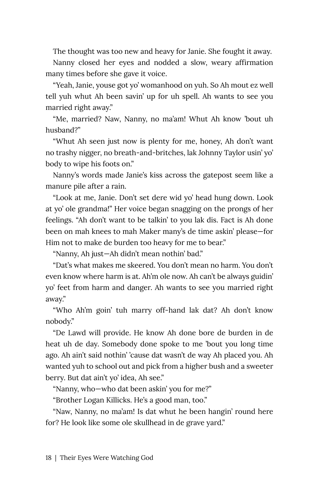The thought was too new and heavy for Janie. She fought it away.

Nanny closed her eyes and nodded a slow, weary affirmation many times before she gave it voice.

"Yeah, Janie, youse got yo' womanhood on yuh. So Ah mout ez well tell yuh whut Ah been savin' up for uh spell. Ah wants to see you married right away."

"Me, married? Naw, Nanny, no ma'am! Whut Ah know 'bout uh husband?"

"Whut Ah seen just now is plenty for me, honey, Ah don't want no trashy nigger, no breath-and-britches, lak Johnny Taylor usin' yo' body to wipe his foots on."

Nanny's words made Janie's kiss across the gatepost seem like a manure pile after a rain.

"Look at me, Janie. Don't set dere wid yo' head hung down. Look at yo' ole grandma!" Her voice began snagging on the prongs of her feelings. "Ah don't want to be talkin' to you lak dis. Fact is Ah done been on mah knees to mah Maker many's de time askin' please—for Him not to make de burden too heavy for me to bear."

"Nanny, Ah just—Ah didn't mean nothin' bad."

"Dat's what makes me skeered. You don't mean no harm. You don't even know where harm is at. Ah'm ole now. Ah can't be always guidin' yo' feet from harm and danger. Ah wants to see you married right away."

"Who Ah'm goin' tuh marry off-hand lak dat? Ah don't know nobody."

"De Lawd will provide. He know Ah done bore de burden in de heat uh de day. Somebody done spoke to me 'bout you long time ago. Ah ain't said nothin' 'cause dat wasn't de way Ah placed you. Ah wanted yuh to school out and pick from a higher bush and a sweeter berry. But dat ain't yo' idea, Ah see."

"Nanny, who—who dat been askin' you for me?"

"Brother Logan Killicks. He's a good man, too."

"Naw, Nanny, no ma'am! Is dat whut he been hangin' round here for? He look like some ole skullhead in de grave yard."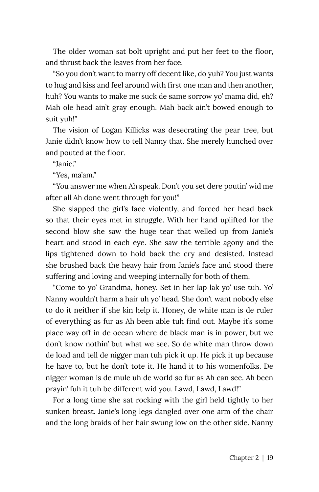The older woman sat bolt upright and put her feet to the floor, and thrust back the leaves from her face.

"So you don't want to marry off decent like, do yuh? You just wants to hug and kiss and feel around with first one man and then another, huh? You wants to make me suck de same sorrow yo' mama did, eh? Mah ole head ain't gray enough. Mah back ain't bowed enough to suit yuh!"

The vision of Logan Killicks was desecrating the pear tree, but Janie didn't know how to tell Nanny that. She merely hunched over and pouted at the floor.

"Janie."

"Yes, ma'am."

"You answer me when Ah speak. Don't you set dere poutin' wid me after all Ah done went through for you!"

She slapped the girl's face violently, and forced her head back so that their eyes met in struggle. With her hand uplifted for the second blow she saw the huge tear that welled up from Janie's heart and stood in each eye. She saw the terrible agony and the lips tightened down to hold back the cry and desisted. Instead she brushed back the heavy hair from Janie's face and stood there suffering and loving and weeping internally for both of them.

"Come to yo' Grandma, honey. Set in her lap lak yo' use tuh. Yo' Nanny wouldn't harm a hair uh yo' head. She don't want nobody else to do it neither if she kin help it. Honey, de white man is de ruler of everything as fur as Ah been able tuh find out. Maybe it's some place way off in de ocean where de black man is in power, but we don't know nothin' but what we see. So de white man throw down de load and tell de nigger man tuh pick it up. He pick it up because he have to, but he don't tote it. He hand it to his womenfolks. De nigger woman is de mule uh de world so fur as Ah can see. Ah been prayin' fuh it tuh be different wid you. Lawd, Lawd, Lawd!"

For a long time she sat rocking with the girl held tightly to her sunken breast. Janie's long legs dangled over one arm of the chair and the long braids of her hair swung low on the other side. Nanny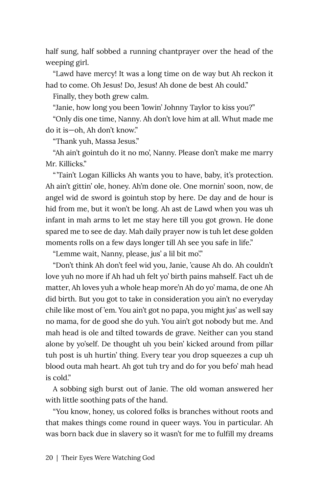half sung, half sobbed a running chantprayer over the head of the weeping girl.

"Lawd have mercy! It was a long time on de way but Ah reckon it had to come. Oh Jesus! Do, Jesus! Ah done de best Ah could."

Finally, they both grew calm.

"Janie, how long you been 'lowin' Johnny Taylor to kiss you?"

"Only dis one time, Nanny. Ah don't love him at all. Whut made me do it is—oh, Ah don't know."

"Thank yuh, Massa Jesus."

"Ah ain't gointuh do it no mo', Nanny. Please don't make me marry Mr. Killicks."

" 'Tain't Logan Killicks Ah wants you to have, baby, it's protection. Ah ain't gittin' ole, honey. Ah'm done ole. One mornin' soon, now, de angel wid de sword is gointuh stop by here. De day and de hour is hid from me, but it won't be long. Ah ast de Lawd when you was uh infant in mah arms to let me stay here till you got grown. He done spared me to see de day. Mah daily prayer now is tuh let dese golden moments rolls on a few days longer till Ah see you safe in life."

"Lemme wait, Nanny, please, jus' a lil bit mo'."

"Don't think Ah don't feel wid you, Janie, 'cause Ah do. Ah couldn't love yuh no more if Ah had uh felt yo' birth pains mahself. Fact uh de matter, Ah loves yuh a whole heap more'n Ah do yo' mama, de one Ah did birth. But you got to take in consideration you ain't no everyday chile like most of 'em. You ain't got no papa, you might jus' as well say no mama, for de good she do yuh. You ain't got nobody but me. And mah head is ole and tilted towards de grave. Neither can you stand alone by yo'self. De thought uh you bein' kicked around from pillar tuh post is uh hurtin' thing. Every tear you drop squeezes a cup uh blood outa mah heart. Ah got tuh try and do for you befo' mah head is cold."

A sobbing sigh burst out of Janie. The old woman answered her with little soothing pats of the hand.

"You know, honey, us colored folks is branches without roots and that makes things come round in queer ways. You in particular. Ah was born back due in slavery so it wasn't for me to fulfill my dreams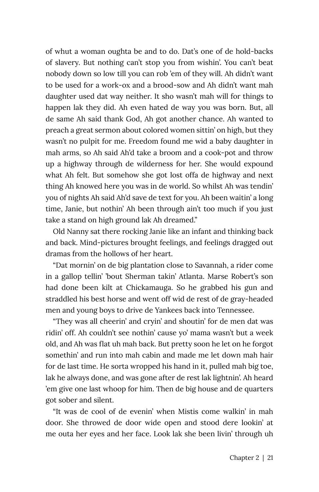of whut a woman oughta be and to do. Dat's one of de hold-backs of slavery. But nothing can't stop you from wishin'. You can't beat nobody down so low till you can rob 'em of they will. Ah didn't want to be used for a work-ox and a brood-sow and Ah didn't want mah daughter used dat way neither. It sho wasn't mah will for things to happen lak they did. Ah even hated de way you was born. But, all de same Ah said thank God, Ah got another chance. Ah wanted to preach a great sermon about colored women sittin' on high, but they wasn't no pulpit for me. Freedom found me wid a baby daughter in mah arms, so Ah said Ah'd take a broom and a cook-pot and throw up a highway through de wilderness for her. She would expound what Ah felt. But somehow she got lost offa de highway and next thing Ah knowed here you was in de world. So whilst Ah was tendin' you of nights Ah said Ah'd save de text for you. Ah been waitin' a long time, Janie, but nothin' Ah been through ain't too much if you just take a stand on high ground lak Ah dreamed."

Old Nanny sat there rocking Janie like an infant and thinking back and back. Mind-pictures brought feelings, and feelings dragged out dramas from the hollows of her heart.

"Dat mornin' on de big plantation close to Savannah, a rider come in a gallop tellin' 'bout Sherman takin' Atlanta. Marse Robert's son had done been kilt at Chickamauga. So he grabbed his gun and straddled his best horse and went off wid de rest of de gray-headed men and young boys to drive de Yankees back into Tennessee.

"They was all cheerin' and cryin' and shoutin' for de men dat was ridin' off. Ah couldn't see nothin' cause yo' mama wasn't but a week old, and Ah was flat uh mah back. But pretty soon he let on he forgot somethin' and run into mah cabin and made me let down mah hair for de last time. He sorta wropped his hand in it, pulled mah big toe, lak he always done, and was gone after de rest lak lightnin'. Ah heard 'em give one last whoop for him. Then de big house and de quarters got sober and silent.

"It was de cool of de evenin' when Mistis come walkin' in mah door. She throwed de door wide open and stood dere lookin' at me outa her eyes and her face. Look lak she been livin' through uh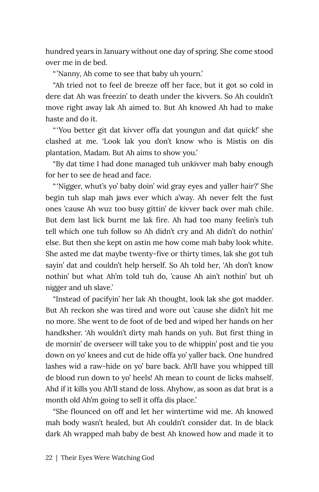hundred years in January without one day of spring. She come stood over me in de bed.

" 'Nanny, Ah come to see that baby uh yourn.'

"Ah tried not to feel de breeze off her face, but it got so cold in dere dat Ah was freezin' to death under the kivvers. So Ah couldn't move right away lak Ah aimed to. But Ah knowed Ah had to make haste and do it.

" 'You better git dat kivver offa dat youngun and dat quick!' she clashed at me. 'Look lak you don't know who is Mistis on dis plantation, Madam. But Ah aims to show you.'

"By dat time I had done managed tuh unkivver mah baby enough for her to see de head and face.

" 'Nigger, whut's yo' baby doin' wid gray eyes and yaller hair?' She begin tuh slap mah jaws ever which a'way. Ah never felt the fust ones 'cause Ah wuz too busy gittin' de kivver back over mah chile. But dem last lick burnt me lak fire. Ah had too many feelin's tuh tell which one tuh follow so Ah didn't cry and Ah didn't do nothin' else. But then she kept on astin me how come mah baby look white. She asted me dat maybe twenty-five or thirty times, lak she got tuh sayin' dat and couldn't help herself. So Ah told her, 'Ah don't know nothin' but what Ah'm told tuh do, 'cause Ah ain't nothin' but uh nigger and uh slave.'

"Instead of pacifyin' her lak Ah thought, look lak she got madder. But Ah reckon she was tired and wore out 'cause she didn't hit me no more. She went to de foot of de bed and wiped her hands on her handksher. 'Ah wouldn't dirty mah hands on yuh. But first thing in de mornin' de overseer will take you to de whippin' post and tie you down on yo' knees and cut de hide offa yo' yaller back. One hundred lashes wid a raw-hide on yo' bare back. Ah'll have you whipped till de blood run down to yo' heels! Ah mean to count de licks mahself. Ahd if it kills you Ah'll stand de loss. Ahyhow, as soon as dat brat is a month old Ah'm going to sell it offa dis place.'

"She flounced on off and let her wintertime wid me. Ah knowed mah body wasn't healed, but Ah couldn't consider dat. In de black dark Ah wrapped mah baby de best Ah knowed how and made it to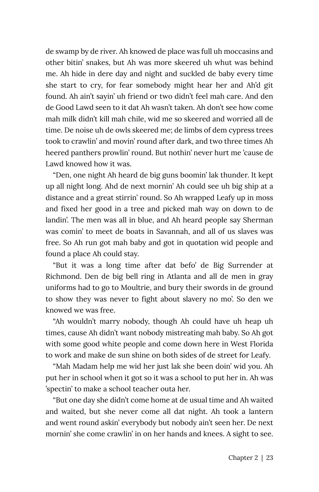de swamp by de river. Ah knowed de place was full uh moccasins and other bitin' snakes, but Ah was more skeered uh whut was behind me. Ah hide in dere day and night and suckled de baby every time she start to cry, for fear somebody might hear her and Ah'd git found. Ah ain't sayin' uh friend or two didn't feel mah care. And den de Good Lawd seen to it dat Ah wasn't taken. Ah don't see how come mah milk didn't kill mah chile, wid me so skeered and worried all de time. De noise uh de owls skeered me; de limbs of dem cypress trees took to crawlin' and movin' round after dark, and two three times Ah heered panthers prowlin' round. But nothin' never hurt me 'cause de Lawd knowed how it was.

"Den, one night Ah heard de big guns boomin' lak thunder. It kept up all night long. Ahd de next mornin' Ah could see uh big ship at a distance and a great stirrin' round. So Ah wrapped Leafy up in moss and fixed her good in a tree and picked mah way on down to de landin'. The men was all in blue, and Ah heard people say Sherman was comin' to meet de boats in Savannah, and all of us slaves was free. So Ah run got mah baby and got in quotation wid people and found a place Ah could stay.

"But it was a long time after dat befo' de Big Surrender at Richmond. Den de big bell ring in Atlanta and all de men in gray uniforms had to go to Moultrie, and bury their swords in de ground to show they was never to fight about slavery no mo'. So den we knowed we was free.

"Ah wouldn't marry nobody, though Ah could have uh heap uh times, cause Ah didn't want nobody mistreating mah baby. So Ah got with some good white people and come down here in West Florida to work and make de sun shine on both sides of de street for Leafy.

"Mah Madam help me wid her just lak she been doin' wid you. Ah put her in school when it got so it was a school to put her in. Ah was 'spectin' to make a school teacher outa her.

"But one day she didn't come home at de usual time and Ah waited and waited, but she never come all dat night. Ah took a lantern and went round askin' everybody but nobody ain't seen her. De next mornin' she come crawlin' in on her hands and knees. A sight to see.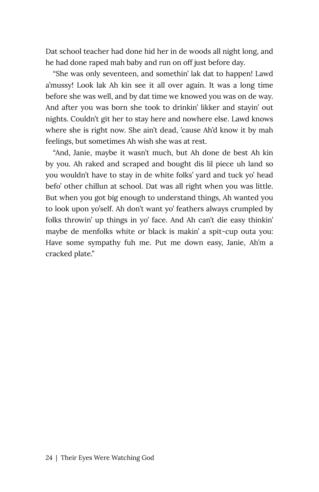Dat school teacher had done hid her in de woods all night long, and he had done raped mah baby and run on off just before day.

"She was only seventeen, and somethin' lak dat to happen! Lawd a'mussy! Look lak Ah kin see it all over again. It was a long time before she was well, and by dat time we knowed you was on de way. And after you was born she took to drinkin' likker and stayin' out nights. Couldn't git her to stay here and nowhere else. Lawd knows where she is right now. She ain't dead, 'cause Ah'd know it by mah feelings, but sometimes Ah wish she was at rest.

"And, Janie, maybe it wasn't much, but Ah done de best Ah kin by you. Ah raked and scraped and bought dis lil piece uh land so you wouldn't have to stay in de white folks' yard and tuck yo' head befo' other chillun at school. Dat was all right when you was little. But when you got big enough to understand things, Ah wanted you to look upon yo'self. Ah don't want yo' feathers always crumpled by folks throwin' up things in yo' face. And Ah can't die easy thinkin' maybe de menfolks white or black is makin' a spit-cup outa you: Have some sympathy fuh me. Put me down easy, Janie, Ah'm a cracked plate."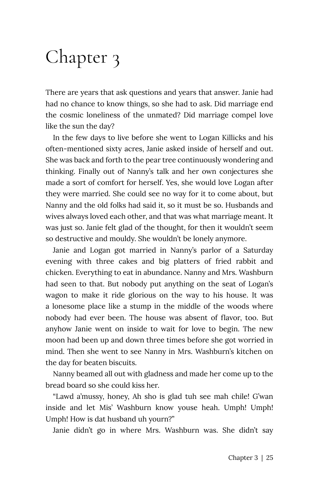## Chapter 3

There are years that ask questions and years that answer. Janie had had no chance to know things, so she had to ask. Did marriage end the cosmic loneliness of the unmated? Did marriage compel love like the sun the day?

In the few days to live before she went to Logan Killicks and his often-mentioned sixty acres, Janie asked inside of herself and out. She was back and forth to the pear tree continuously wondering and thinking. Finally out of Nanny's talk and her own conjectures she made a sort of comfort for herself. Yes, she would love Logan after they were married. She could see no way for it to come about, but Nanny and the old folks had said it, so it must be so. Husbands and wives always loved each other, and that was what marriage meant. It was just so. Janie felt glad of the thought, for then it wouldn't seem so destructive and mouldy. She wouldn't be lonely anymore.

Janie and Logan got married in Nanny's parlor of a Saturday evening with three cakes and big platters of fried rabbit and chicken. Everything to eat in abundance. Nanny and Mrs. Washburn had seen to that. But nobody put anything on the seat of Logan's wagon to make it ride glorious on the way to his house. It was a lonesome place like a stump in the middle of the woods where nobody had ever been. The house was absent of flavor, too. But anyhow Janie went on inside to wait for love to begin. The new moon had been up and down three times before she got worried in mind. Then she went to see Nanny in Mrs. Washburn's kitchen on the day for beaten biscuits.

Nanny beamed all out with gladness and made her come up to the bread board so she could kiss her.

"Lawd a'mussy, honey, Ah sho is glad tuh see mah chile! G'wan inside and let Mis' Washburn know youse heah. Umph! Umph! Umph! How is dat husband uh yourn?"

Janie didn't go in where Mrs. Washburn was. She didn't say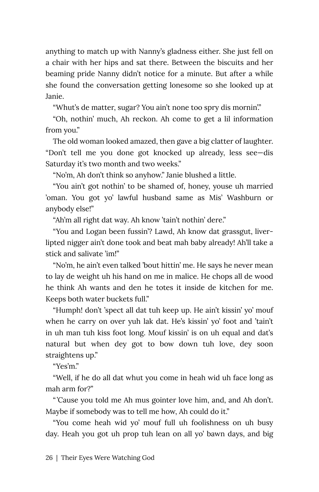anything to match up with Nanny's gladness either. She just fell on a chair with her hips and sat there. Between the biscuits and her beaming pride Nanny didn't notice for a minute. But after a while she found the conversation getting lonesome so she looked up at Janie.

"Whut's de matter, sugar? You ain't none too spry dis mornin'."

"Oh, nothin' much, Ah reckon. Ah come to get a lil information from you."

The old woman looked amazed, then gave a big clatter of laughter. "Don't tell me you done got knocked up already, less see—dis Saturday it's two month and two weeks."

"No'm, Ah don't think so anyhow." Janie blushed a little.

"You ain't got nothin' to be shamed of, honey, youse uh married 'oman. You got yo' lawful husband same as Mis' Washburn or anybody else!"

"Ah'm all right dat way. Ah know 'tain't nothin' dere."

"You and Logan been fussin'? Lawd, Ah know dat grassgut, liverlipted nigger ain't done took and beat mah baby already! Ah'll take a stick and salivate 'im!"

"No'm, he ain't even talked 'bout hittin' me. He says he never mean to lay de weight uh his hand on me in malice. He chops all de wood he think Ah wants and den he totes it inside de kitchen for me. Keeps both water buckets full."

"Humph! don't 'spect all dat tuh keep up. He ain't kissin' yo' mouf when he carry on over yuh lak dat. He's kissin' yo' foot and 'tain't in uh man tuh kiss foot long. Mouf kissin' is on uh equal and dat's natural but when dey got to bow down tuh love, dey soon straightens up."

"Yes'm."

"Well, if he do all dat whut you come in heah wid uh face long as mah arm for?"

" 'Cause you told me Ah mus gointer love him, and, and Ah don't. Maybe if somebody was to tell me how, Ah could do it."

"You come heah wid yo' mouf full uh foolishness on uh busy day. Heah you got uh prop tuh lean on all yo' bawn days, and big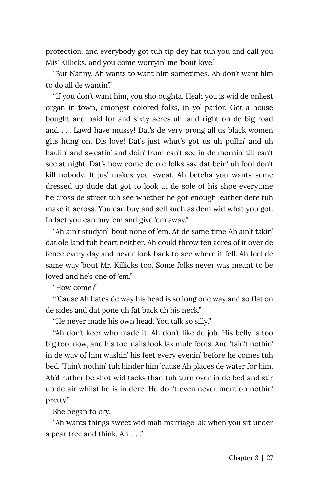protection, and everybody got tuh tip dey hat tuh you and call you Mis' Killicks, and you come worryin' me 'bout love."

"But Nanny, Ah wants to want him sometimes. Ah don't want him to do all de wantin'."

"If you don't want him, you sho oughta. Heah you is wid de onliest organ in town, amongst colored folks, in yo' parlor. Got a house bought and paid for and sixty acres uh land right on de big road and. . . . Lawd have mussy! Dat's de very prong all us black women gits hung on. Dis love! Dat's just whut's got us uh pullin' and uh haulin' and sweatin' and doin' from can't see in de mornin' till can't see at night. Dat's how come de ole folks say dat bein' uh fool don't kill nobody. It jus' makes you sweat. Ah betcha you wants some dressed up dude dat got to look at de sole of his shoe everytime he cross de street tuh see whether he got enough leather dere tuh make it across. You can buy and sell such as dem wid what you got. In fact you can buy 'em and give 'em away."

"Ah ain't studyin' 'bout none of 'em. At de same time Ah ain't takin' dat ole land tuh heart neither. Ah could throw ten acres of it over de fence every day and never look back to see where it fell. Ah feel de same way 'bout Mr. Killicks too. Some folks never was meant to be loved and he's one of 'em."

"How come?"

" 'Cause Ah hates de way his head is so long one way and so flat on de sides and dat pone uh fat back uh his neck."

"He never made his own head. You talk so silly."

"Ah don't keer who made it, Ah don't like de job. His belly is too big too, now, and his toe-nails look lak mule foots. And 'tain't nothin' in de way of him washin' his feet every evenin' before he comes tuh bed. 'Tain't nothin' tuh hinder him 'cause Ah places de water for him. Ah'd ruther be shot wid tacks than tuh turn over in de bed and stir up de air whilst he is in dere. He don't even never mention nothin' pretty."

She began to cry.

"Ah wants things sweet wid mah marriage lak when you sit under a pear tree and think. Ah. . . ."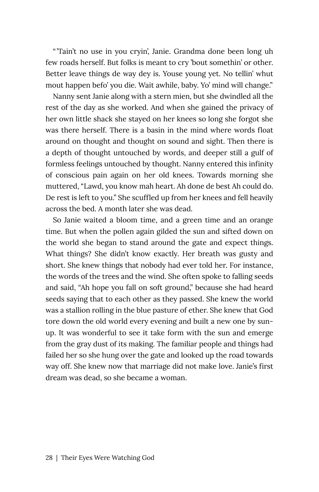" 'Tain't no use in you cryin', Janie. Grandma done been long uh few roads herself. But folks is meant to cry 'bout somethin' or other. Better leave things de way dey is. Youse young yet. No tellin' whut mout happen befo' you die. Wait awhile, baby. Yo' mind will change."

Nanny sent Janie along with a stern mien, but she dwindled all the rest of the day as she worked. And when she gained the privacy of her own little shack she stayed on her knees so long she forgot she was there herself. There is a basin in the mind where words float around on thought and thought on sound and sight. Then there is a depth of thought untouched by words, and deeper still a gulf of formless feelings untouched by thought. Nanny entered this infinity of conscious pain again on her old knees. Towards morning she muttered, "Lawd, you know mah heart. Ah done de best Ah could do. De rest is left to you." She scuffled up from her knees and fell heavily across the bed. A month later she was dead.

So Janie waited a bloom time, and a green time and an orange time. But when the pollen again gilded the sun and sifted down on the world she began to stand around the gate and expect things. What things? She didn't know exactly. Her breath was gusty and short. She knew things that nobody had ever told her. For instance, the words of the trees and the wind. She often spoke to falling seeds and said, "Ah hope you fall on soft ground," because she had heard seeds saying that to each other as they passed. She knew the world was a stallion rolling in the blue pasture of ether. She knew that God tore down the old world every evening and built a new one by sunup. It was wonderful to see it take form with the sun and emerge from the gray dust of its making. The familiar people and things had failed her so she hung over the gate and looked up the road towards way off. She knew now that marriage did not make love. Janie's first dream was dead, so she became a woman.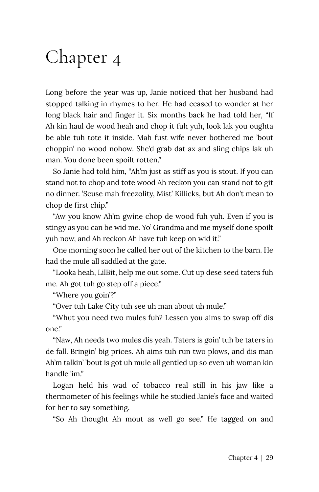## Chapter 4

Long before the year was up, Janie noticed that her husband had stopped talking in rhymes to her. He had ceased to wonder at her long black hair and finger it. Six months back he had told her, "If Ah kin haul de wood heah and chop it fuh yuh, look lak you oughta be able tuh tote it inside. Mah fust wife never bothered me 'bout choppin' no wood nohow. She'd grab dat ax and sling chips lak uh man. You done been spoilt rotten."

So Janie had told him, "Ah'm just as stiff as you is stout. If you can stand not to chop and tote wood Ah reckon you can stand not to git no dinner. 'Scuse mah freezolity, Mist' Killicks, but Ah don't mean to chop de first chip."

"Aw you know Ah'm gwine chop de wood fuh yuh. Even if you is stingy as you can be wid me. Yo' Grandma and me myself done spoilt yuh now, and Ah reckon Ah have tuh keep on wid it."

One morning soon he called her out of the kitchen to the barn. He had the mule all saddled at the gate.

"Looka heah, LilBit, help me out some. Cut up dese seed taters fuh me. Ah got tuh go step off a piece."

"Where you goin'?"

"Over tuh Lake City tuh see uh man about uh mule."

"Whut you need two mules fuh? Lessen you aims to swap off dis one."

"Naw, Ah needs two mules dis yeah. Taters is goin' tuh be taters in de fall. Bringin' big prices. Ah aims tuh run two plows, and dis man Ah'm talkin' 'bout is got uh mule all gentled up so even uh woman kin handle 'im."

Logan held his wad of tobacco real still in his jaw like a thermometer of his feelings while he studied Janie's face and waited for her to say something.

"So Ah thought Ah mout as well go see." He tagged on and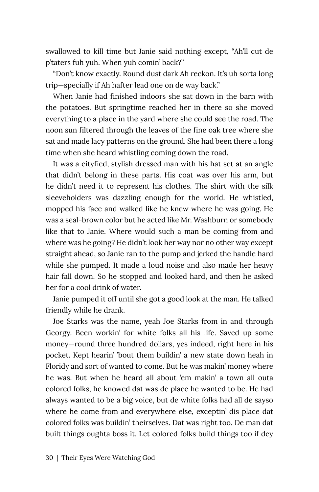swallowed to kill time but Janie said nothing except, "Ah'll cut de p'taters fuh yuh. When yuh comin' back?"

"Don't know exactly. Round dust dark Ah reckon. It's uh sorta long trip—specially if Ah hafter lead one on de way back."

When Janie had finished indoors she sat down in the barn with the potatoes. But springtime reached her in there so she moved everything to a place in the yard where she could see the road. The noon sun filtered through the leaves of the fine oak tree where she sat and made lacy patterns on the ground. She had been there a long time when she heard whistling coming down the road.

It was a cityfied, stylish dressed man with his hat set at an angle that didn't belong in these parts. His coat was over his arm, but he didn't need it to represent his clothes. The shirt with the silk sleeveholders was dazzling enough for the world. He whistled, mopped his face and walked like he knew where he was going. He was a seal-brown color but he acted like Mr. Washburn or somebody like that to Janie. Where would such a man be coming from and where was he going? He didn't look her way nor no other way except straight ahead, so Janie ran to the pump and jerked the handle hard while she pumped. It made a loud noise and also made her heavy hair fall down. So he stopped and looked hard, and then he asked her for a cool drink of water.

Janie pumped it off until she got a good look at the man. He talked friendly while he drank.

Joe Starks was the name, yeah Joe Starks from in and through Georgy. Been workin' for white folks all his life. Saved up some money—round three hundred dollars, yes indeed, right here in his pocket. Kept hearin' 'bout them buildin' a new state down heah in Floridy and sort of wanted to come. But he was makin' money where he was. But when he heard all about 'em makin' a town all outa colored folks, he knowed dat was de place he wanted to be. He had always wanted to be a big voice, but de white folks had all de sayso where he come from and everywhere else, exceptin' dis place dat colored folks was buildin' theirselves. Dat was right too. De man dat built things oughta boss it. Let colored folks build things too if dey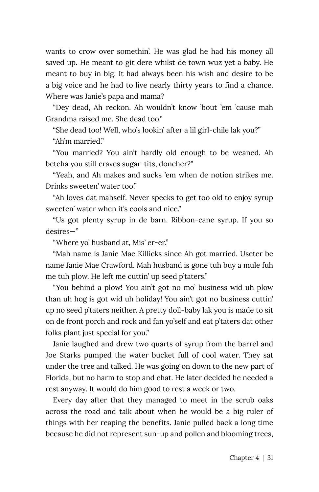wants to crow over somethin'. He was glad he had his money all saved up. He meant to git dere whilst de town wuz yet a baby. He meant to buy in big. It had always been his wish and desire to be a big voice and he had to live nearly thirty years to find a chance. Where was Janie's papa and mama?

"Dey dead, Ah reckon. Ah wouldn't know 'bout 'em 'cause mah Grandma raised me. She dead too."

"She dead too! Well, who's lookin' after a lil girl-chile lak you?" "Ah'm married."

"You married? You ain't hardly old enough to be weaned. Ah betcha you still craves sugar-tits, doncher?"

"Yeah, and Ah makes and sucks 'em when de notion strikes me. Drinks sweeten' water too."

"Ah loves dat mahself. Never specks to get too old to enjoy syrup sweeten' water when it's cools and nice."

"Us got plenty syrup in de barn. Ribbon-cane syrup. If you so desires—"

"Where yo' husband at, Mis' er-er."

"Mah name is Janie Mae Killicks since Ah got married. Useter be name Janie Mae Crawford. Mah husband is gone tuh buy a mule fuh me tuh plow. He left me cuttin' up seed p'taters."

"You behind a plow! You ain't got no mo' business wid uh plow than uh hog is got wid uh holiday! You ain't got no business cuttin' up no seed p'taters neither. A pretty doll-baby lak you is made to sit on de front porch and rock and fan yo'self and eat p'taters dat other folks plant just special for you."

Janie laughed and drew two quarts of syrup from the barrel and Joe Starks pumped the water bucket full of cool water. They sat under the tree and talked. He was going on down to the new part of Florida, but no harm to stop and chat. He later decided he needed a rest anyway. It would do him good to rest a week or two.

Every day after that they managed to meet in the scrub oaks across the road and talk about when he would be a big ruler of things with her reaping the benefits. Janie pulled back a long time because he did not represent sun-up and pollen and blooming trees,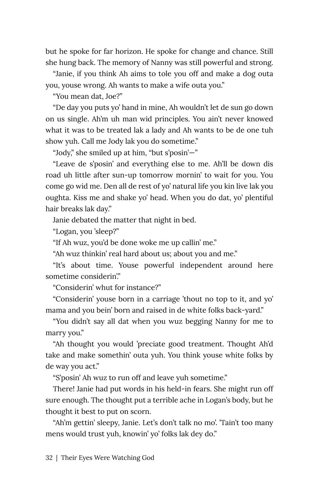but he spoke for far horizon. He spoke for change and chance. Still she hung back. The memory of Nanny was still powerful and strong.

"Janie, if you think Ah aims to tole you off and make a dog outa you, youse wrong. Ah wants to make a wife outa you."

"You mean dat, Joe?"

"De day you puts yo' hand in mine, Ah wouldn't let de sun go down on us single. Ah'm uh man wid principles. You ain't never knowed what it was to be treated lak a lady and Ah wants to be de one tuh show yuh. Call me Jody lak you do sometime."

"Jody," she smiled up at him, "but s'posin'—"

"Leave de s'posin' and everything else to me. Ah'll be down dis road uh little after sun-up tomorrow mornin' to wait for you. You come go wid me. Den all de rest of yo' natural life you kin live lak you oughta. Kiss me and shake yo' head. When you do dat, yo' plentiful hair breaks lak day."

Janie debated the matter that night in bed.

"Logan, you 'sleep?"

"If Ah wuz, you'd be done woke me up callin' me."

"Ah wuz thinkin' real hard about us; about you and me."

"It's about time. Youse powerful independent around here sometime considerin'."

"Considerin' whut for instance?"

"Considerin' youse born in a carriage 'thout no top to it, and yo' mama and you bein' born and raised in de white folks back-yard."

"You didn't say all dat when you wuz begging Nanny for me to marry you."

"Ah thought you would 'preciate good treatment. Thought Ah'd take and make somethin' outa yuh. You think youse white folks by de way you act."

"S'posin' Ah wuz to run off and leave yuh sometime."

There! Janie had put words in his held-in fears. She might run off sure enough. The thought put a terrible ache in Logan's body, but he thought it best to put on scorn.

"Ah'm gettin' sleepy, Janie. Let's don't talk no mo'. 'Tain't too many mens would trust yuh, knowin' yo' folks lak dey do."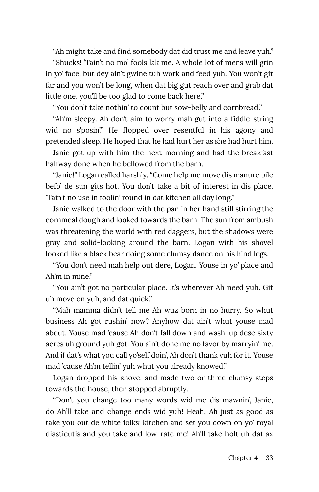"Ah might take and find somebody dat did trust me and leave yuh."

"Shucks! 'Tain't no mo' fools lak me. A whole lot of mens will grin in yo' face, but dey ain't gwine tuh work and feed yuh. You won't git far and you won't be long, when dat big gut reach over and grab dat little one, you'll be too glad to come back here."

"You don't take nothin' to count but sow-belly and cornbread."

"Ah'm sleepy. Ah don't aim to worry mah gut into a fiddle-string wid no s'posin'." He flopped over resentful in his agony and pretended sleep. He hoped that he had hurt her as she had hurt him.

Janie got up with him the next morning and had the breakfast halfway done when he bellowed from the barn.

"Janie!" Logan called harshly. "Come help me move dis manure pile befo' de sun gits hot. You don't take a bit of interest in dis place. 'Tain't no use in foolin' round in dat kitchen all day long."

Janie walked to the door with the pan in her hand still stirring the cornmeal dough and looked towards the barn. The sun from ambush was threatening the world with red daggers, but the shadows were gray and solid-looking around the barn. Logan with his shovel looked like a black bear doing some clumsy dance on his hind legs.

"You don't need mah help out dere, Logan. Youse in yo' place and Ah'm in mine."

"You ain't got no particular place. It's wherever Ah need yuh. Git uh move on yuh, and dat quick."

"Mah mamma didn't tell me Ah wuz born in no hurry. So whut business Ah got rushin' now? Anyhow dat ain't whut youse mad about. Youse mad 'cause Ah don't fall down and wash-up dese sixty acres uh ground yuh got. You ain't done me no favor by marryin' me. And if dat's what you call yo'self doin', Ah don't thank yuh for it. Youse mad 'cause Ah'm tellin' yuh whut you already knowed."

Logan dropped his shovel and made two or three clumsy steps towards the house, then stopped abruptly.

"Don't you change too many words wid me dis mawnin', Janie, do Ah'll take and change ends wid yuh! Heah, Ah just as good as take you out de white folks' kitchen and set you down on yo' royal diasticutis and you take and low-rate me! Ah'll take holt uh dat ax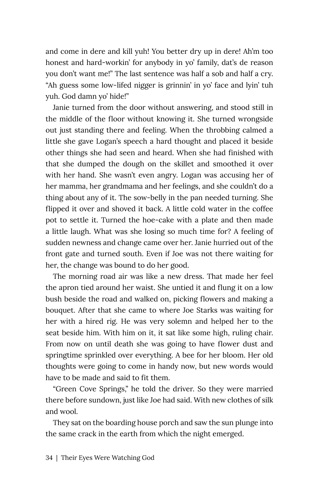and come in dere and kill yuh! You better dry up in dere! Ah'm too honest and hard-workin' for anybody in yo' family, dat's de reason you don't want me!" The last sentence was half a sob and half a cry. "Ah guess some low-lifed nigger is grinnin' in yo' face and lyin' tuh yuh. God damn yo' hide!"

Janie turned from the door without answering, and stood still in the middle of the floor without knowing it. She turned wrongside out just standing there and feeling. When the throbbing calmed a little she gave Logan's speech a hard thought and placed it beside other things she had seen and heard. When she had finished with that she dumped the dough on the skillet and smoothed it over with her hand. She wasn't even angry. Logan was accusing her of her mamma, her grandmama and her feelings, and she couldn't do a thing about any of it. The sow-belly in the pan needed turning. She flipped it over and shoved it back. A little cold water in the coffee pot to settle it. Turned the hoe-cake with a plate and then made a little laugh. What was she losing so much time for? A feeling of sudden newness and change came over her. Janie hurried out of the front gate and turned south. Even if Joe was not there waiting for her, the change was bound to do her good.

The morning road air was like a new dress. That made her feel the apron tied around her waist. She untied it and flung it on a low bush beside the road and walked on, picking flowers and making a bouquet. After that she came to where Joe Starks was waiting for her with a hired rig. He was very solemn and helped her to the seat beside him. With him on it, it sat like some high, ruling chair. From now on until death she was going to have flower dust and springtime sprinkled over everything. A bee for her bloom. Her old thoughts were going to come in handy now, but new words would have to be made and said to fit them.

"Green Cove Springs," he told the driver. So they were married there before sundown, just like Joe had said. With new clothes of silk and wool.

They sat on the boarding house porch and saw the sun plunge into the same crack in the earth from which the night emerged.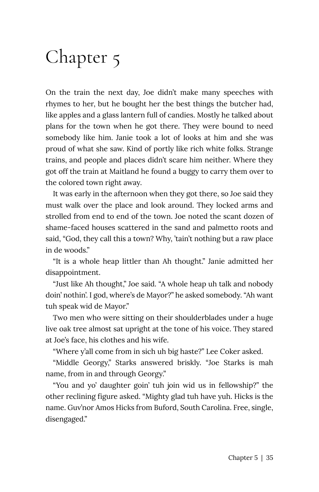## Chapter 5

On the train the next day, Joe didn't make many speeches with rhymes to her, but he bought her the best things the butcher had, like apples and a glass lantern full of candies. Mostly he talked about plans for the town when he got there. They were bound to need somebody like him. Janie took a lot of looks at him and she was proud of what she saw. Kind of portly like rich white folks. Strange trains, and people and places didn't scare him neither. Where they got off the train at Maitland he found a buggy to carry them over to the colored town right away.

It was early in the afternoon when they got there, so Joe said they must walk over the place and look around. They locked arms and strolled from end to end of the town. Joe noted the scant dozen of shame-faced houses scattered in the sand and palmetto roots and said, "God, they call this a town? Why, 'tain't nothing but a raw place in de woods."

"It is a whole heap littler than Ah thought." Janie admitted her disappointment.

"Just like Ah thought," Joe said. "A whole heap uh talk and nobody doin' nothin'. I god, where's de Mayor?" he asked somebody. "Ah want tuh speak wid de Mayor."

Two men who were sitting on their shoulderblades under a huge live oak tree almost sat upright at the tone of his voice. They stared at Joe's face, his clothes and his wife.

"Where y'all come from in sich uh big haste?" Lee Coker asked.

"Middle Georgy," Starks answered briskly. "Joe Starks is mah name, from in and through Georgy."

"You and yo' daughter goin' tuh join wid us in fellowship?" the other reclining figure asked. "Mighty glad tuh have yuh. Hicks is the name. Guv'nor Amos Hicks from Buford, South Carolina. Free, single, disengaged."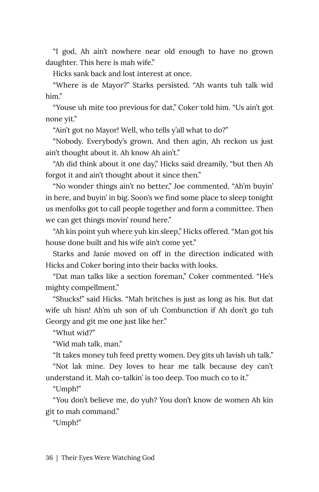"I god, Ah ain't nowhere near old enough to have no grown daughter. This here is mah wife."

Hicks sank back and lost interest at once.

"Where is de Mayor?" Starks persisted. "Ah wants tuh talk wid him."

"Youse uh mite too previous for dat," Coker told him. "Us ain't got none yit."

"Ain't got no Mayor! Well, who tells y'all what to do?"

"Nobody. Everybody's grown. And then agin, Ah reckon us just ain't thought about it. Ah know Ah ain't."

"Ah did think about it one day," Hicks said dreamily, "but then Ah forgot it and ain't thought about it since then."

"No wonder things ain't no better," Joe commented. "Ah'm buyin' in here, and buyin' in big. Soon's we find some place to sleep tonight us menfolks got to call people together and form a committee. Then we can get things movin' round here."

"Ah kin point yuh where yuh kin sleep," Hicks offered. "Man got his house done built and his wife ain't come yet."

Starks and Janie moved on off in the direction indicated with Hicks and Coker boring into their backs with looks.

"Dat man talks like a section foreman," Coker commented. "He's mighty compellment."

"Shucks!" said Hicks. "Mah britches is just as long as his. But dat wife uh hisn! Ah'm uh son of uh Combunction if Ah don't go tuh Georgy and git me one just like her."

"Whut wid?"

"Wid mah talk, man."

"It takes money tuh feed pretty women. Dey gits uh lavish uh talk." "Not lak mine. Dey loves to hear me talk because dey can't

understand it. Mah co-talkin' is too deep. Too much co to it."

"Umph!"

"You don't believe me, do yuh? You don't know de women Ah kin git to mah command."

"Umph!"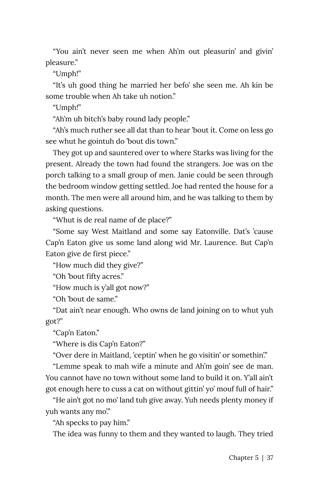"You ain't never seen me when Ah'm out pleasurin' and givin' pleasure."

"Umph!"

"It's uh good thing he married her befo' she seen me. Ah kin be some trouble when Ah take uh notion."

"Umph!"

"Ah'm uh bitch's baby round lady people."

"Ah's much ruther see all dat than to hear 'bout it. Come on less go see whut he gointuh do 'bout dis town."

They got up and sauntered over to where Starks was living for the present. Already the town had found the strangers. Joe was on the porch talking to a small group of men. Janie could be seen through the bedroom window getting settled. Joe had rented the house for a month. The men were all around him, and he was talking to them by asking questions.

"Whut is de real name of de place?"

"Some say West Maitland and some say Eatonville. Dat's 'cause Cap'n Eaton give us some land along wid Mr. Laurence. But Cap'n Eaton give de first piece."

"How much did they give?"

"Oh 'bout fifty acres."

"How much is y'all got now?"

"Oh 'bout de same."

"Dat ain't near enough. Who owns de land joining on to whut yuh got?"

"Cap'n Eaton."

"Where is dis Cap'n Eaton?"

"Over dere in Maitland, 'ceptin' when he go visitin' or somethin'."

"Lemme speak to mah wife a minute and Ah'm goin' see de man. You cannot have no town without some land to build it on. Y'all ain't got enough here to cuss a cat on without gittin' yo' mouf full of hair."

"He ain't got no mo' land tuh give away. Yuh needs plenty money if yuh wants any mo'."

"Ah specks to pay him."

The idea was funny to them and they wanted to laugh. They tried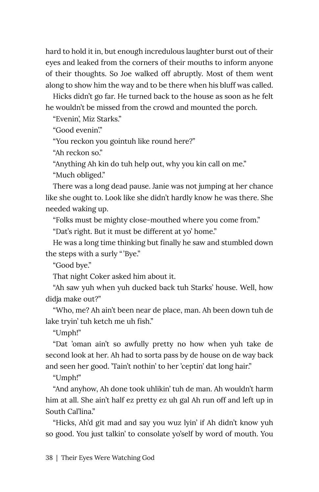hard to hold it in, but enough incredulous laughter burst out of their eyes and leaked from the corners of their mouths to inform anyone of their thoughts. So Joe walked off abruptly. Most of them went along to show him the way and to be there when his bluff was called.

Hicks didn't go far. He turned back to the house as soon as he felt he wouldn't be missed from the crowd and mounted the porch.

"Evenin', Miz Starks."

"Good evenin'."

"You reckon you gointuh like round here?"

"Ah reckon so."

"Anything Ah kin do tuh help out, why you kin call on me."

"Much obliged."

There was a long dead pause. Janie was not jumping at her chance like she ought to. Look like she didn't hardly know he was there. She needed waking up.

"Folks must be mighty close-mouthed where you come from."

"Dat's right. But it must be different at yo' home."

He was a long time thinking but finally he saw and stumbled down the steps with a surly " 'Bye."

"Good bye."

That night Coker asked him about it.

"Ah saw yuh when yuh ducked back tuh Starks' house. Well, how didja make out?"

"Who, me? Ah ain't been near de place, man. Ah been down tuh de lake tryin' tuh ketch me uh fish."

"Umph!"

"Dat 'oman ain't so awfully pretty no how when yuh take de second look at her. Ah had to sorta pass by de house on de way back and seen her good. 'Tain't nothin' to her 'ceptin' dat long hair."

"Umph!"

"And anyhow, Ah done took uhlikin' tuh de man. Ah wouldn't harm him at all. She ain't half ez pretty ez uh gal Ah run off and left up in South Cal'lina."

"Hicks, Ah'd git mad and say you wuz lyin' if Ah didn't know yuh so good. You just talkin' to consolate yo'self by word of mouth. You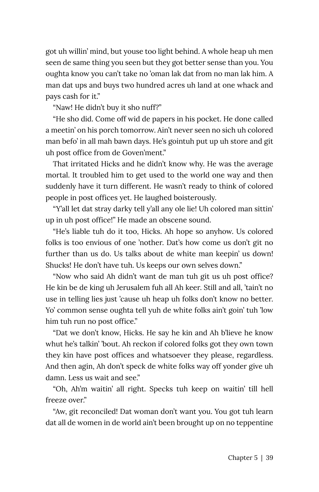got uh willin' mind, but youse too light behind. A whole heap uh men seen de same thing you seen but they got better sense than you. You oughta know you can't take no 'oman lak dat from no man lak him. A man dat ups and buys two hundred acres uh land at one whack and pays cash for it."

"Naw! He didn't buy it sho nuff?"

"He sho did. Come off wid de papers in his pocket. He done called a meetin' on his porch tomorrow. Ain't never seen no sich uh colored man befo' in all mah bawn days. He's gointuh put up uh store and git uh post office from de Goven'ment."

That irritated Hicks and he didn't know why. He was the average mortal. It troubled him to get used to the world one way and then suddenly have it turn different. He wasn't ready to think of colored people in post offices yet. He laughed boisterously.

"Y'all let dat stray darky tell y'all any ole lie! Uh colored man sittin' up in uh post office!" He made an obscene sound.

"He's liable tuh do it too, Hicks. Ah hope so anyhow. Us colored folks is too envious of one 'nother. Dat's how come us don't git no further than us do. Us talks about de white man keepin' us down! Shucks! He don't have tuh. Us keeps our own selves down."

"Now who said Ah didn't want de man tuh git us uh post office? He kin be de king uh Jerusalem fuh all Ah keer. Still and all, 'tain't no use in telling lies just 'cause uh heap uh folks don't know no better. Yo' common sense oughta tell yuh de white folks ain't goin' tuh 'low him tuh run no post office."

"Dat we don't know, Hicks. He say he kin and Ah b'lieve he know whut he's talkin' 'bout. Ah reckon if colored folks got they own town they kin have post offices and whatsoever they please, regardless. And then agin, Ah don't speck de white folks way off yonder give uh damn. Less us wait and see."

"Oh, Ah'm waitin' all right. Specks tuh keep on waitin' till hell freeze over."

"Aw, git reconciled! Dat woman don't want you. You got tuh learn dat all de women in de world ain't been brought up on no teppentine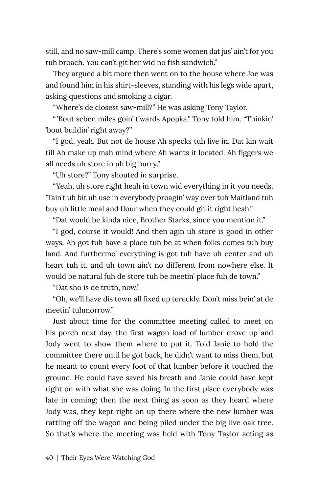still, and no saw-mill camp. There's some women dat jus' ain't for you tuh broach. You can't git her wid no fish sandwich."

They argued a bit more then went on to the house where Joe was and found him in his shirt-sleeves, standing with his legs wide apart, asking questions and smoking a cigar.

"Where's de closest saw-mill?" He was asking Tony Taylor.

" 'Bout seben miles goin' t'wards Apopka," Tony told him. "Thinkin' 'bout buildin' right away?"

"I god, yeah. But not de house Ah specks tuh live in. Dat kin wait till Ah make up mah mind where Ah wants it located. Ah figgers we all needs uh store in uh big hurry."

"Uh store?" Tony shouted in surprise.

"Yeah, uh store right heah in town wid everything in it you needs. 'Tain't uh bit uh use in everybody proagin' way over tuh Maitland tuh buy uh little meal and flour when they could git it right heah."

"Dat would be kinda nice, Brother Starks, since you mention it."

"I god, course it would! And then agin uh store is good in other ways. Ah got tuh have a place tuh be at when folks comes tuh buy land. And furthermo' everything is got tuh have uh center and uh heart tuh it, and uh town ain't no different from nowhere else. It would be natural fuh de store tuh be meetin' place fuh de town."

"Dat sho is de truth, now."

"Oh, we'll have dis town all fixed up tereckly. Don't miss bein' at de meetin' tuhmorrow."

Just about time for the committee meeting called to meet on his porch next day, the first wagon load of lumber drove up and Jody went to show them where to put it. Told Janie to hold the committee there until he got back, he didn't want to miss them, but he meant to count every foot of that lumber before it touched the ground. He could have saved his breath and Janie could have kept right on with what she was doing. In the first place everybody was late in coming; then the next thing as soon as they heard where Jody was, they kept right on up there where the new lumber was rattling off the wagon and being piled under the big live oak tree. So that's where the meeting was held with Tony Taylor acting as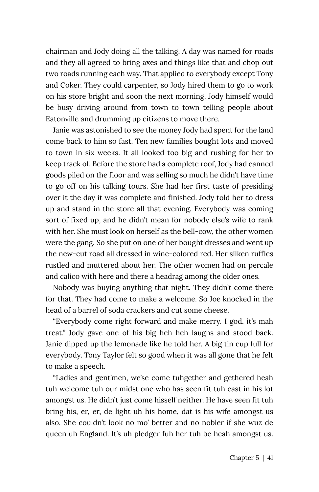chairman and Jody doing all the talking. A day was named for roads and they all agreed to bring axes and things like that and chop out two roads running each way. That applied to everybody except Tony and Coker. They could carpenter, so Jody hired them to go to work on his store bright and soon the next morning. Jody himself would be busy driving around from town to town telling people about Eatonville and drumming up citizens to move there.

Janie was astonished to see the money Jody had spent for the land come back to him so fast. Ten new families bought lots and moved to town in six weeks. It all looked too big and rushing for her to keep track of. Before the store had a complete roof, Jody had canned goods piled on the floor and was selling so much he didn't have time to go off on his talking tours. She had her first taste of presiding over it the day it was complete and finished. Jody told her to dress up and stand in the store all that evening. Everybody was coming sort of fixed up, and he didn't mean for nobody else's wife to rank with her. She must look on herself as the bell-cow, the other women were the gang. So she put on one of her bought dresses and went up the new-cut road all dressed in wine-colored red. Her silken ruffles rustled and muttered about her. The other women had on percale and calico with here and there a headrag among the older ones.

Nobody was buying anything that night. They didn't come there for that. They had come to make a welcome. So Joe knocked in the head of a barrel of soda crackers and cut some cheese.

"Everybody come right forward and make merry. I god, it's mah treat." Jody gave one of his big heh heh laughs and stood back. Janie dipped up the lemonade like he told her. A big tin cup full for everybody. Tony Taylor felt so good when it was all gone that he felt to make a speech.

"Ladies and gent'men, we'se come tuhgether and gethered heah tuh welcome tuh our midst one who has seen fit tuh cast in his lot amongst us. He didn't just come hisself neither. He have seen fit tuh bring his, er, er, de light uh his home, dat is his wife amongst us also. She couldn't look no mo' better and no nobler if she wuz de queen uh England. It's uh pledger fuh her tuh be heah amongst us.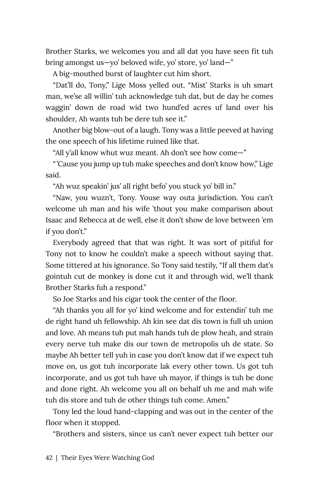Brother Starks, we welcomes you and all dat you have seen fit tuh bring amongst us—yo' beloved wife, yo' store, yo' land—"

A big-mouthed burst of laughter cut him short.

"Dat'll do, Tony," Lige Moss yelled out. "Mist' Starks is uh smart man, we'se all willin' tuh acknowledge tuh dat, but de day he comes waggin' down de road wid two hund'ed acres uf land over his shoulder, Ah wants tuh be dere tuh see it."

Another big blow-out of a laugh. Tony was a little peeved at having the one speech of his lifetime ruined like that.

"All y'all know whut wuz meant. Ah don't see how come—"

" 'Cause you jump up tuh make speeches and don't know how," Lige said.

"Ah wuz speakin' jus' all right befo' you stuck yo' bill in."

"Naw, you wuzn't, Tony. Youse way outa jurisdiction. You can't welcome uh man and his wife 'thout you make comparison about Isaac and Rebecca at de well, else it don't show de love between 'em if you don't."

Everybody agreed that that was right. It was sort of pitiful for Tony not to know he couldn't make a speech without saying that. Some tittered at his ignorance. So Tony said testily, "If all them dat's gointuh cut de monkey is done cut it and through wid, we'll thank Brother Starks fuh a respond."

So Joe Starks and his cigar took the center of the floor.

"Ah thanks you all for yo' kind welcome and for extendin' tuh me de right hand uh fellowship. Ah kin see dat dis town is full uh union and love. Ah means tuh put mah hands tuh de plow heah, and strain every nerve tuh make dis our town de metropolis uh de state. So maybe Ah better tell yuh in case you don't know dat if we expect tuh move on, us got tuh incorporate lak every other town. Us got tuh incorporate, and us got tuh have uh mayor, if things is tuh be done and done right. Ah welcome you all on behalf uh me and mah wife tuh dis store and tuh de other things tuh come. Amen."

Tony led the loud hand-clapping and was out in the center of the floor when it stopped.

"Brothers and sisters, since us can't never expect tuh better our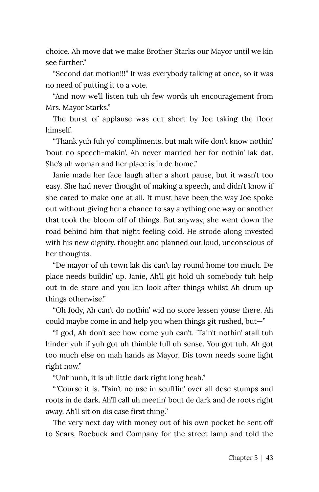choice, Ah move dat we make Brother Starks our Mayor until we kin see further."

"Second dat motion!!!" It was everybody talking at once, so it was no need of putting it to a vote.

"And now we'll listen tuh uh few words uh encouragement from Mrs. Mayor Starks."

The burst of applause was cut short by Joe taking the floor himself.

"Thank yuh fuh yo' compliments, but mah wife don't know nothin' 'bout no speech-makin'. Ah never married her for nothin' lak dat. She's uh woman and her place is in de home."

Janie made her face laugh after a short pause, but it wasn't too easy. She had never thought of making a speech, and didn't know if she cared to make one at all. It must have been the way Joe spoke out without giving her a chance to say anything one way or another that took the bloom off of things. But anyway, she went down the road behind him that night feeling cold. He strode along invested with his new dignity, thought and planned out loud, unconscious of her thoughts.

"De mayor of uh town lak dis can't lay round home too much. De place needs buildin' up. Janie, Ah'll git hold uh somebody tuh help out in de store and you kin look after things whilst Ah drum up things otherwise."

"Oh Jody, Ah can't do nothin' wid no store lessen youse there. Ah could maybe come in and help you when things git rushed, but—"

"I god, Ah don't see how come yuh can't. 'Tain't nothin' atall tuh hinder yuh if yuh got uh thimble full uh sense. You got tuh. Ah got too much else on mah hands as Mayor. Dis town needs some light right now."

"Unhhunh, it is uh little dark right long heah."

" 'Course it is. 'Tain't no use in scufflin' over all dese stumps and roots in de dark. Ah'll call uh meetin' bout de dark and de roots right away. Ah'll sit on dis case first thing."

The very next day with money out of his own pocket he sent off to Sears, Roebuck and Company for the street lamp and told the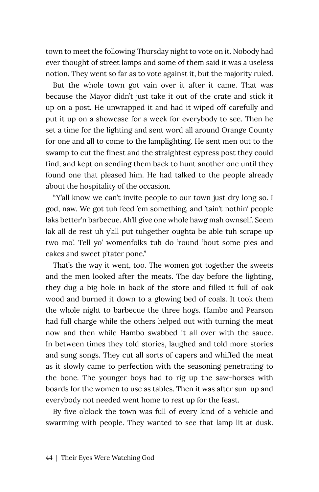town to meet the following Thursday night to vote on it. Nobody had ever thought of street lamps and some of them said it was a useless notion. They went so far as to vote against it, but the majority ruled.

But the whole town got vain over it after it came. That was because the Mayor didn't just take it out of the crate and stick it up on a post. He unwrapped it and had it wiped off carefully and put it up on a showcase for a week for everybody to see. Then he set a time for the lighting and sent word all around Orange County for one and all to come to the lamplighting. He sent men out to the swamp to cut the finest and the straightest cypress post they could find, and kept on sending them back to hunt another one until they found one that pleased him. He had talked to the people already about the hospitality of the occasion.

"Y'all know we can't invite people to our town just dry long so. I god, naw. We got tuh feed 'em something, and 'tain't nothin' people laks better'n barbecue. Ah'll give one whole hawg mah ownself. Seem lak all de rest uh y'all put tuhgether oughta be able tuh scrape up two mo'. Tell yo' womenfolks tuh do 'round 'bout some pies and cakes and sweet p'tater pone."

That's the way it went, too. The women got together the sweets and the men looked after the meats. The day before the lighting, they dug a big hole in back of the store and filled it full of oak wood and burned it down to a glowing bed of coals. It took them the whole night to barbecue the three hogs. Hambo and Pearson had full charge while the others helped out with turning the meat now and then while Hambo swabbed it all over with the sauce. In between times they told stories, laughed and told more stories and sung songs. They cut all sorts of capers and whiffed the meat as it slowly came to perfection with the seasoning penetrating to the bone. The younger boys had to rig up the saw-horses with boards for the women to use as tables. Then it was after sun-up and everybody not needed went home to rest up for the feast.

By five o'clock the town was full of every kind of a vehicle and swarming with people. They wanted to see that lamp lit at dusk.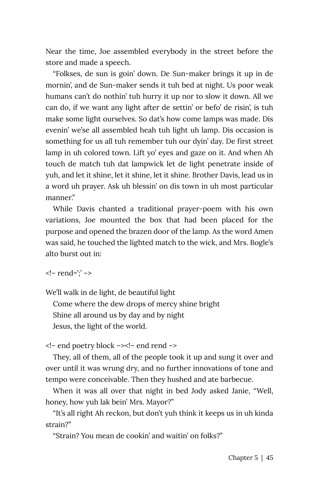Near the time, Joe assembled everybody in the street before the store and made a speech.

"Folkses, de sun is goin' down. De Sun-maker brings it up in de mornin', and de Sun-maker sends it tuh bed at night. Us poor weak humans can't do nothin' tuh hurry it up nor to slow it down. All we can do, if we want any light after de settin' or befo' de risin', is tuh make some light ourselves. So dat's how come lamps was made. Dis evenin' we'se all assembled heah tuh light uh lamp. Dis occasion is something for us all tuh remember tuh our dyin' day. De first street lamp in uh colored town. Lift yo' eyes and gaze on it. And when Ah touch de match tuh dat lampwick let de light penetrate inside of yuh, and let it shine, let it shine, let it shine. Brother Davis, lead us in a word uh prayer. Ask uh blessin' on dis town in uh most particular manner."

While Davis chanted a traditional prayer-poem with his own variations, Joe mounted the box that had been placed for the purpose and opened the brazen door of the lamp. As the word Amen was said, he touched the lighted match to the wick, and Mrs. Bogle's alto burst out in:

 $\leq$  – rend=':' –>

We'll walk in de light, de beautiful light

Come where the dew drops of mercy shine bright Shine all around us by day and by night Jesus, the light of the world.

<!– end poetry block –><!– end rend –>

They, all of them, all of the people took it up and sung it over and over until it was wrung dry, and no further innovations of tone and tempo were conceivable. Then they hushed and ate barbecue.

When it was all over that night in bed Jody asked Janie, "Well, honey, how yuh lak bein' Mrs. Mayor?"

"It's all right Ah reckon, but don't yuh think it keeps us in uh kinda strain?"

"Strain? You mean de cookin' and waitin' on folks?"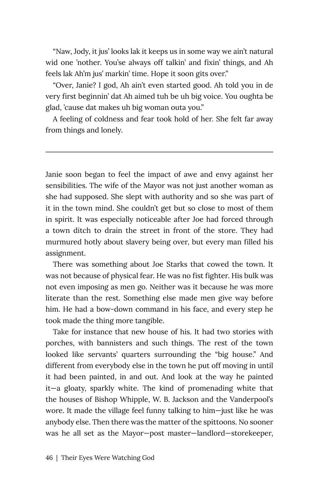"Naw, Jody, it jus' looks lak it keeps us in some way we ain't natural wid one 'nother. You'se always off talkin' and fixin' things, and Ah feels lak Ah'm jus' markin' time. Hope it soon gits over."

"Over, Janie? I god, Ah ain't even started good. Ah told you in de very first beginnin' dat Ah aimed tuh be uh big voice. You oughta be glad, 'cause dat makes uh big woman outa you."

A feeling of coldness and fear took hold of her. She felt far away from things and lonely.

Janie soon began to feel the impact of awe and envy against her sensibilities. The wife of the Mayor was not just another woman as she had supposed. She slept with authority and so she was part of it in the town mind. She couldn't get but so close to most of them in spirit. It was especially noticeable after Joe had forced through a town ditch to drain the street in front of the store. They had murmured hotly about slavery being over, but every man filled his assignment.

There was something about Joe Starks that cowed the town. It was not because of physical fear. He was no fist fighter. His bulk was not even imposing as men go. Neither was it because he was more literate than the rest. Something else made men give way before him. He had a bow-down command in his face, and every step he took made the thing more tangible.

Take for instance that new house of his. It had two stories with porches, with bannisters and such things. The rest of the town looked like servants' quarters surrounding the "big house." And different from everybody else in the town he put off moving in until it had been painted, in and out. And look at the way he painted it—a gloaty, sparkly white. The kind of promenading white that the houses of Bishop Whipple, W. B. Jackson and the Vanderpool's wore. It made the village feel funny talking to him—just like he was anybody else. Then there was the matter of the spittoons. No sooner was he all set as the Mayor—post master—landlord—storekeeper,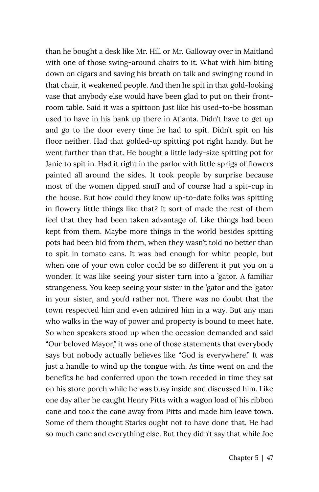than he bought a desk like Mr. Hill or Mr. Galloway over in Maitland with one of those swing-around chairs to it. What with him biting down on cigars and saving his breath on talk and swinging round in that chair, it weakened people. And then he spit in that gold-looking vase that anybody else would have been glad to put on their frontroom table. Said it was a spittoon just like his used-to-be bossman used to have in his bank up there in Atlanta. Didn't have to get up and go to the door every time he had to spit. Didn't spit on his floor neither. Had that golded-up spitting pot right handy. But he went further than that. He bought a little lady-size spitting pot for Janie to spit in. Had it right in the parlor with little sprigs of flowers painted all around the sides. It took people by surprise because most of the women dipped snuff and of course had a spit-cup in the house. But how could they know up-to-date folks was spitting in flowery little things like that? It sort of made the rest of them feel that they had been taken advantage of. Like things had been kept from them. Maybe more things in the world besides spitting pots had been hid from them, when they wasn't told no better than to spit in tomato cans. It was bad enough for white people, but when one of your own color could be so different it put you on a wonder. It was like seeing your sister turn into a 'gator. A familiar strangeness. You keep seeing your sister in the 'gator and the 'gator in your sister, and you'd rather not. There was no doubt that the town respected him and even admired him in a way. But any man who walks in the way of power and property is bound to meet hate. So when speakers stood up when the occasion demanded and said "Our beloved Mayor," it was one of those statements that everybody says but nobody actually believes like "God is everywhere." It was just a handle to wind up the tongue with. As time went on and the benefits he had conferred upon the town receded in time they sat on his store porch while he was busy inside and discussed him. Like one day after he caught Henry Pitts with a wagon load of his ribbon cane and took the cane away from Pitts and made him leave town. Some of them thought Starks ought not to have done that. He had so much cane and everything else. But they didn't say that while Joe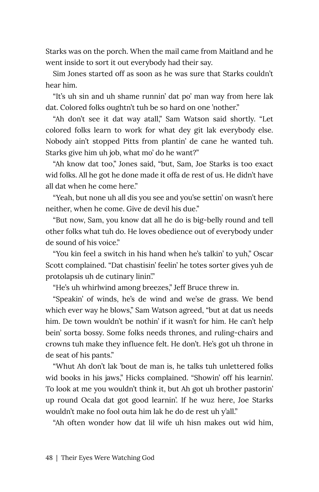Starks was on the porch. When the mail came from Maitland and he went inside to sort it out everybody had their say.

Sim Jones started off as soon as he was sure that Starks couldn't hear him.

"It's uh sin and uh shame runnin' dat po' man way from here lak dat. Colored folks oughtn't tuh be so hard on one 'nother."

"Ah don't see it dat way atall," Sam Watson said shortly. "Let colored folks learn to work for what dey git lak everybody else. Nobody ain't stopped Pitts from plantin' de cane he wanted tuh. Starks give him uh job, what mo' do he want?"

"Ah know dat too," Jones said, "but, Sam, Joe Starks is too exact wid folks. All he got he done made it offa de rest of us. He didn't have all dat when he come here"

"Yeah, but none uh all dis you see and you'se settin' on wasn't here neither, when he come. Give de devil his due."

"But now, Sam, you know dat all he do is big-belly round and tell other folks what tuh do. He loves obedience out of everybody under de sound of his voice."

"You kin feel a switch in his hand when he's talkin' to yuh," Oscar Scott complained. "Dat chastisin' feelin' he totes sorter gives yuh de protolapsis uh de cutinary linin'."

"He's uh whirlwind among breezes," Jeff Bruce threw in.

"Speakin' of winds, he's de wind and we'se de grass. We bend which ever way he blows," Sam Watson agreed, "but at dat us needs him. De town wouldn't be nothin' if it wasn't for him. He can't help bein' sorta bossy. Some folks needs thrones, and ruling-chairs and crowns tuh make they influence felt. He don't. He's got uh throne in de seat of his pants."

"Whut Ah don't lak 'bout de man is, he talks tuh unlettered folks wid books in his jaws," Hicks complained. "Showin' off his learnin'. To look at me you wouldn't think it, but Ah got uh brother pastorin' up round Ocala dat got good learnin'. If he wuz here, Joe Starks wouldn't make no fool outa him lak he do de rest uh y'all."

"Ah often wonder how dat lil wife uh hisn makes out wid him,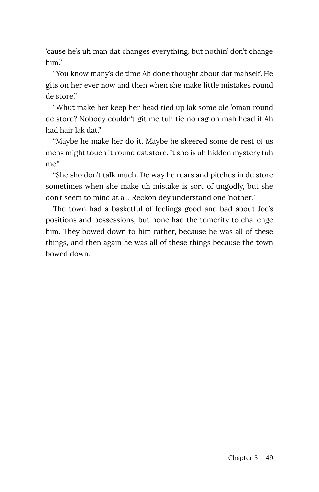'cause he's uh man dat changes everything, but nothin' don't change him."

"You know many's de time Ah done thought about dat mahself. He gits on her ever now and then when she make little mistakes round de store."

"Whut make her keep her head tied up lak some ole 'oman round de store? Nobody couldn't git me tuh tie no rag on mah head if Ah had hair lak dat"

"Maybe he make her do it. Maybe he skeered some de rest of us mens might touch it round dat store. It sho is uh hidden mystery tuh me."

"She sho don't talk much. De way he rears and pitches in de store sometimes when she make uh mistake is sort of ungodly, but she don't seem to mind at all. Reckon dey understand one 'nother."

The town had a basketful of feelings good and bad about Joe's positions and possessions, but none had the temerity to challenge him. They bowed down to him rather, because he was all of these things, and then again he was all of these things because the town bowed down.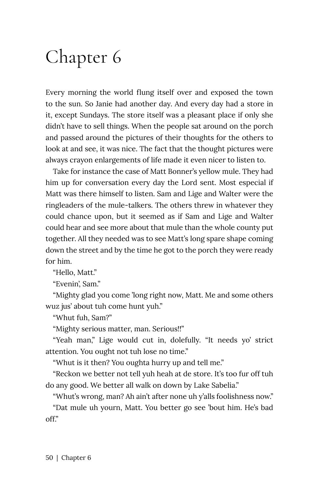## Chapter 6

Every morning the world flung itself over and exposed the town to the sun. So Janie had another day. And every day had a store in it, except Sundays. The store itself was a pleasant place if only she didn't have to sell things. When the people sat around on the porch and passed around the pictures of their thoughts for the others to look at and see, it was nice. The fact that the thought pictures were always crayon enlargements of life made it even nicer to listen to.

Take for instance the case of Matt Bonner's yellow mule. They had him up for conversation every day the Lord sent. Most especial if Matt was there himself to listen. Sam and Lige and Walter were the ringleaders of the mule-talkers. The others threw in whatever they could chance upon, but it seemed as if Sam and Lige and Walter could hear and see more about that mule than the whole county put together. All they needed was to see Matt's long spare shape coming down the street and by the time he got to the porch they were ready for him.

"Hello, Matt."

"Evenin', Sam."

"Mighty glad you come 'long right now, Matt. Me and some others wuz jus' about tuh come hunt yuh."

"Whut fuh, Sam?"

"Mighty serious matter, man. Serious!!"

"Yeah man," Lige would cut in, dolefully. "It needs yo' strict attention. You ought not tuh lose no time."

"Whut is it then? You oughta hurry up and tell me."

"Reckon we better not tell yuh heah at de store. It's too fur off tuh do any good. We better all walk on down by Lake Sabelia."

"Whut's wrong, man? Ah ain't after none uh y'alls foolishness now." "Dat mule uh yourn, Matt. You better go see 'bout him. He's bad  $\alpha$ ff"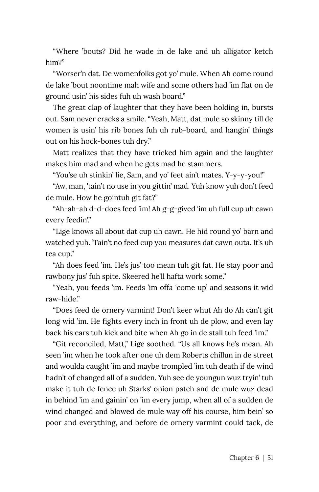"Where 'bouts? Did he wade in de lake and uh alligator ketch him?"

"Worser'n dat. De womenfolks got yo' mule. When Ah come round de lake 'bout noontime mah wife and some others had 'im flat on de ground usin' his sides fuh uh wash board."

The great clap of laughter that they have been holding in, bursts out. Sam never cracks a smile. "Yeah, Matt, dat mule so skinny till de women is usin' his rib bones fuh uh rub-board, and hangin' things out on his hock-bones tuh dry."

Matt realizes that they have tricked him again and the laughter makes him mad and when he gets mad he stammers.

"You'se uh stinkin' lie, Sam, and yo' feet ain't mates. Y-y-y-you!"

"Aw, man, 'tain't no use in you gittin' mad. Yuh know yuh don't feed de mule. How he gointuh git fat?"

"Ah-ah-ah d-d-does feed 'im! Ah g-g-gived 'im uh full cup uh cawn every feedin'."

"Lige knows all about dat cup uh cawn. He hid round yo' barn and watched yuh. 'Tain't no feed cup you measures dat cawn outa. It's uh tea cup."

"Ah does feed 'im. He's jus' too mean tuh git fat. He stay poor and rawbony jus' fuh spite. Skeered he'll hafta work some."

"Yeah, you feeds 'im. Feeds 'im offa 'come up' and seasons it wid raw-hide."

"Does feed de ornery varmint! Don't keer whut Ah do Ah can't git long wid 'im. He fights every inch in front uh de plow, and even lay back his ears tuh kick and bite when Ah go in de stall tuh feed 'im."

"Git reconciled, Matt," Lige soothed. "Us all knows he's mean. Ah seen 'im when he took after one uh dem Roberts chillun in de street and woulda caught 'im and maybe trompled 'im tuh death if de wind hadn't of changed all of a sudden. Yuh see de youngun wuz tryin' tuh make it tuh de fence uh Starks' onion patch and de mule wuz dead in behind 'im and gainin' on 'im every jump, when all of a sudden de wind changed and blowed de mule way off his course, him bein' so poor and everything, and before de ornery varmint could tack, de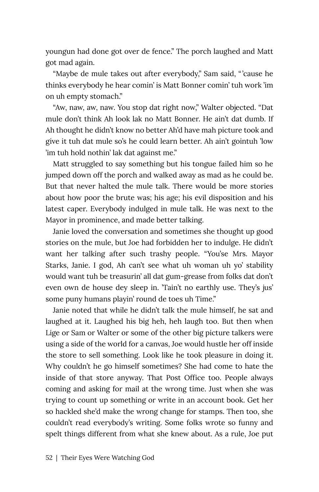youngun had done got over de fence." The porch laughed and Matt got mad again.

"Maybe de mule takes out after everybody," Sam said, " 'cause he thinks everybody he hear comin' is Matt Bonner comin' tuh work 'im on uh empty stomach."

"Aw, naw, aw, naw. You stop dat right now," Walter objected. "Dat mule don't think Ah look lak no Matt Bonner. He ain't dat dumb. If Ah thought he didn't know no better Ah'd have mah picture took and give it tuh dat mule so's he could learn better. Ah ain't gointuh 'low 'im tuh hold nothin' lak dat against me."

Matt struggled to say something but his tongue failed him so he jumped down off the porch and walked away as mad as he could be. But that never halted the mule talk. There would be more stories about how poor the brute was; his age; his evil disposition and his latest caper. Everybody indulged in mule talk. He was next to the Mayor in prominence, and made better talking.

Janie loved the conversation and sometimes she thought up good stories on the mule, but Joe had forbidden her to indulge. He didn't want her talking after such trashy people. "You'se Mrs. Mayor Starks, Janie. I god, Ah can't see what uh woman uh yo' stability would want tuh be treasurin' all dat gum-grease from folks dat don't even own de house dey sleep in. 'Tain't no earthly use. They's jus' some puny humans playin' round de toes uh Time."

Janie noted that while he didn't talk the mule himself, he sat and laughed at it. Laughed his big heh, heh laugh too. But then when Lige or Sam or Walter or some of the other big picture talkers were using a side of the world for a canvas, Joe would hustle her off inside the store to sell something. Look like he took pleasure in doing it. Why couldn't he go himself sometimes? She had come to hate the inside of that store anyway. That Post Office too. People always coming and asking for mail at the wrong time. Just when she was trying to count up something or write in an account book. Get her so hackled she'd make the wrong change for stamps. Then too, she couldn't read everybody's writing. Some folks wrote so funny and spelt things different from what she knew about. As a rule, Joe put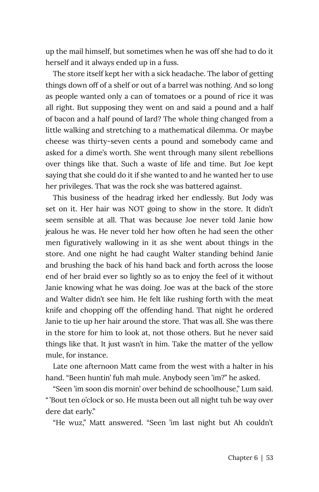up the mail himself, but sometimes when he was off she had to do it herself and it always ended up in a fuss.

The store itself kept her with a sick headache. The labor of getting things down off of a shelf or out of a barrel was nothing. And so long as people wanted only a can of tomatoes or a pound of rice it was all right. But supposing they went on and said a pound and a half of bacon and a half pound of lard? The whole thing changed from a little walking and stretching to a mathematical dilemma. Or maybe cheese was thirty-seven cents a pound and somebody came and asked for a dime's worth. She went through many silent rebellions over things like that. Such a waste of life and time. But Joe kept saying that she could do it if she wanted to and he wanted her to use her privileges. That was the rock she was battered against.

This business of the headrag irked her endlessly. But Jody was set on it. Her hair was NOT going to show in the store. It didn't seem sensible at all. That was because Joe never told Janie how jealous he was. He never told her how often he had seen the other men figuratively wallowing in it as she went about things in the store. And one night he had caught Walter standing behind Janie and brushing the back of his hand back and forth across the loose end of her braid ever so lightly so as to enjoy the feel of it without Janie knowing what he was doing. Joe was at the back of the store and Walter didn't see him. He felt like rushing forth with the meat knife and chopping off the offending hand. That night he ordered Janie to tie up her hair around the store. That was all. She was there in the store for him to look at, not those others. But he never said things like that. It just wasn't in him. Take the matter of the yellow mule, for instance.

Late one afternoon Matt came from the west with a halter in his hand. "Been huntin' fuh mah mule. Anybody seen 'im?" he asked.

"Seen 'im soon dis mornin' over behind de schoolhouse," Lum said. " 'Bout ten o'clock or so. He musta been out all night tuh be way over dere dat early."

"He wuz," Matt answered. "Seen 'im last night but Ah couldn't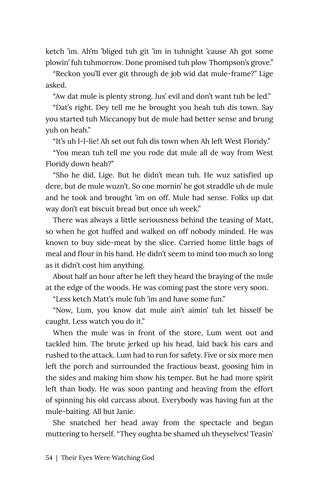ketch 'im. Ah'm 'bliged tuh git 'im in tuhnight 'cause Ah got some plowin' fuh tuhmorrow. Done promised tuh plow Thompson's grove."

"Reckon you'll ever git through de job wid dat mule-frame?" Lige asked.

"Aw dat mule is plenty strong. Jus' evil and don't want tuh be led."

"Dat's right. Dey tell me he brought you heah tuh dis town. Say you started tuh Miccanopy but de mule had better sense and brung yuh on heah."

"It's uh l-l-lie! Ah set out fuh dis town when Ah left West Floridy."

"You mean tuh tell me you rode dat mule all de way from West Floridy down heah?"

"Sho he did, Lige. But he didn't mean tuh. He wuz satisfied up dere, but de mule wuzn't. So one mornin' he got straddle uh de mule and he took and brought 'im on off. Mule had sense. Folks up dat way don't eat biscuit bread but once uh week."

There was always a little seriousness behind the teasing of Matt, so when he got huffed and walked on off nobody minded. He was known to buy side-meat by the slice. Carried home little bags of meal and flour in his hand. He didn't seem to mind too much so long as it didn't cost him anything.

About half an hour after he left they heard the braying of the mule at the edge of the woods. He was coming past the store very soon.

"Less ketch Matt's mule fuh 'im and have some fun."

"Now, Lum, you know dat mule ain't aimin' tuh let hisself be caught. Less watch you do it."

When the mule was in front of the store, Lum went out and tackled him. The brute jerked up his head, laid back his ears and rushed to the attack. Lum had to run for safety. Five or six more men left the porch and surrounded the fractious beast, goosing him in the sides and making him show his temper. But he had more spirit left than body. He was soon panting and heaving from the effort of spinning his old carcass about. Everybody was having fun at the mule-baiting. All but Janie.

She snatched her head away from the spectacle and began muttering to herself. "They oughta be shamed uh theyselves! Teasin'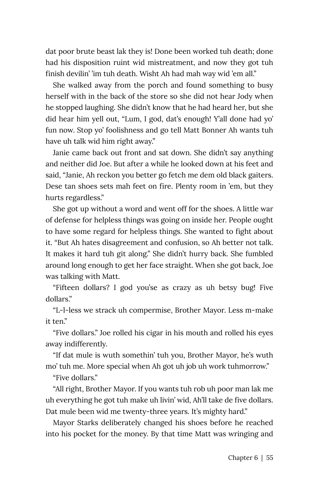dat poor brute beast lak they is! Done been worked tuh death; done had his disposition ruint wid mistreatment, and now they got tuh finish devilin' 'im tuh death. Wisht Ah had mah way wid 'em all."

She walked away from the porch and found something to busy herself with in the back of the store so she did not hear Jody when he stopped laughing. She didn't know that he had heard her, but she did hear him yell out, "Lum, I god, dat's enough! Y'all done had yo' fun now. Stop yo' foolishness and go tell Matt Bonner Ah wants tuh have uh talk wid him right away."

Janie came back out front and sat down. She didn't say anything and neither did Joe. But after a while he looked down at his feet and said, "Janie, Ah reckon you better go fetch me dem old black gaiters. Dese tan shoes sets mah feet on fire. Plenty room in 'em, but they hurts regardless."

She got up without a word and went off for the shoes. A little war of defense for helpless things was going on inside her. People ought to have some regard for helpless things. She wanted to fight about it. "But Ah hates disagreement and confusion, so Ah better not talk. It makes it hard tuh git along." She didn't hurry back. She fumbled around long enough to get her face straight. When she got back, Joe was talking with Matt.

"Fifteen dollars? I god you'se as crazy as uh betsy bug! Five dollars."

"L-l-less we strack uh compermise, Brother Mayor. Less m-make it ten."

"Five dollars." Joe rolled his cigar in his mouth and rolled his eyes away indifferently.

"If dat mule is wuth somethin' tuh you, Brother Mayor, he's wuth mo' tuh me. More special when Ah got uh job uh work tuhmorrow."

"Five dollars."

"All right, Brother Mayor. If you wants tuh rob uh poor man lak me uh everything he got tuh make uh livin' wid, Ah'll take de five dollars. Dat mule been wid me twenty-three years. It's mighty hard."

Mayor Starks deliberately changed his shoes before he reached into his pocket for the money. By that time Matt was wringing and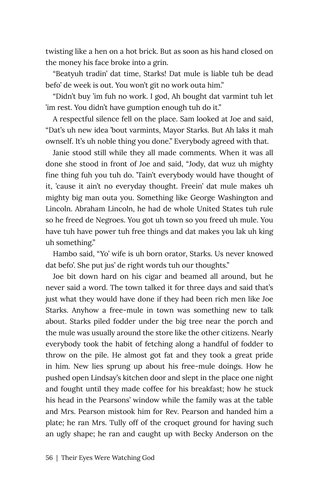twisting like a hen on a hot brick. But as soon as his hand closed on the money his face broke into a grin.

"Beatyuh tradin' dat time, Starks! Dat mule is liable tuh be dead befo' de week is out. You won't git no work outa him."

"Didn't buy 'im fuh no work. I god, Ah bought dat varmint tuh let 'im rest. You didn't have gumption enough tuh do it."

A respectful silence fell on the place. Sam looked at Joe and said, "Dat's uh new idea 'bout varmints, Mayor Starks. But Ah laks it mah ownself. It's uh noble thing you done." Everybody agreed with that.

Janie stood still while they all made comments. When it was all done she stood in front of Joe and said, "Jody, dat wuz uh mighty fine thing fuh you tuh do. 'Tain't everybody would have thought of it, 'cause it ain't no everyday thought. Freein' dat mule makes uh mighty big man outa you. Something like George Washington and Lincoln. Abraham Lincoln, he had de whole United States tuh rule so he freed de Negroes. You got uh town so you freed uh mule. You have tuh have power tuh free things and dat makes you lak uh king uh something."

Hambo said, "Yo' wife is uh born orator, Starks. Us never knowed dat befo'. She put jus' de right words tuh our thoughts."

Joe bit down hard on his cigar and beamed all around, but he never said a word. The town talked it for three days and said that's just what they would have done if they had been rich men like Joe Starks. Anyhow a free-mule in town was something new to talk about. Starks piled fodder under the big tree near the porch and the mule was usually around the store like the other citizens. Nearly everybody took the habit of fetching along a handful of fodder to throw on the pile. He almost got fat and they took a great pride in him. New lies sprung up about his free-mule doings. How he pushed open Lindsay's kitchen door and slept in the place one night and fought until they made coffee for his breakfast; how he stuck his head in the Pearsons' window while the family was at the table and Mrs. Pearson mistook him for Rev. Pearson and handed him a plate; he ran Mrs. Tully off of the croquet ground for having such an ugly shape; he ran and caught up with Becky Anderson on the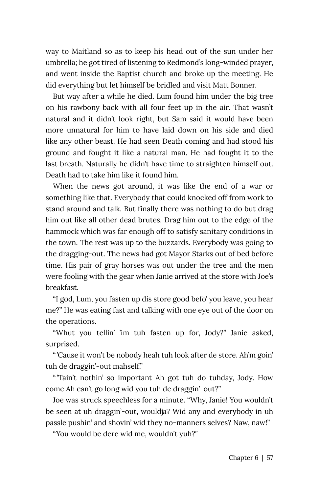way to Maitland so as to keep his head out of the sun under her umbrella; he got tired of listening to Redmond's long-winded prayer, and went inside the Baptist church and broke up the meeting. He did everything but let himself be bridled and visit Matt Bonner.

But way after a while he died. Lum found him under the big tree on his rawbony back with all four feet up in the air. That wasn't natural and it didn't look right, but Sam said it would have been more unnatural for him to have laid down on his side and died like any other beast. He had seen Death coming and had stood his ground and fought it like a natural man. He had fought it to the last breath. Naturally he didn't have time to straighten himself out. Death had to take him like it found him.

When the news got around, it was like the end of a war or something like that. Everybody that could knocked off from work to stand around and talk. But finally there was nothing to do but drag him out like all other dead brutes. Drag him out to the edge of the hammock which was far enough off to satisfy sanitary conditions in the town. The rest was up to the buzzards. Everybody was going to the dragging-out. The news had got Mayor Starks out of bed before time. His pair of gray horses was out under the tree and the men were fooling with the gear when Janie arrived at the store with Joe's breakfast.

"I god, Lum, you fasten up dis store good befo' you leave, you hear me?" He was eating fast and talking with one eye out of the door on the operations.

"Whut you tellin' 'im tuh fasten up for, Jody?" Janie asked, surprised.

" 'Cause it won't be nobody heah tuh look after de store. Ah'm goin' tuh de draggin'-out mahself."

" 'Tain't nothin' so important Ah got tuh do tuhday, Jody. How come Ah can't go long wid you tuh de draggin'-out?"

Joe was struck speechless for a minute. "Why, Janie! You wouldn't be seen at uh draggin'-out, wouldja? Wid any and everybody in uh passle pushin' and shovin' wid they no-manners selves? Naw, naw!"

"You would be dere wid me, wouldn't yuh?"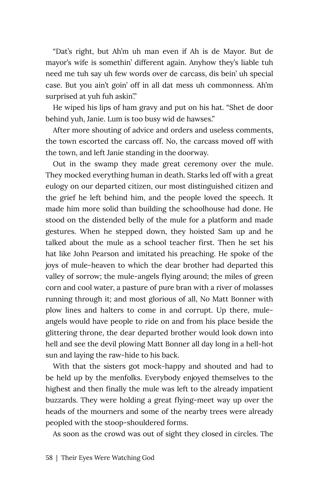"Dat's right, but Ah'm uh man even if Ah is de Mayor. But de mayor's wife is somethin' different again. Anyhow they's liable tuh need me tuh say uh few words over de carcass, dis bein' uh special case. But you ain't goin' off in all dat mess uh commonness. Ah'm surprised at yuh fuh askin'."

He wiped his lips of ham gravy and put on his hat. "Shet de door behind yuh, Janie. Lum is too busy wid de hawses."

After more shouting of advice and orders and useless comments, the town escorted the carcass off. No, the carcass moved off with the town, and left Janie standing in the doorway.

Out in the swamp they made great ceremony over the mule. They mocked everything human in death. Starks led off with a great eulogy on our departed citizen, our most distinguished citizen and the grief he left behind him, and the people loved the speech. It made him more solid than building the schoolhouse had done. He stood on the distended belly of the mule for a platform and made gestures. When he stepped down, they hoisted Sam up and he talked about the mule as a school teacher first. Then he set his hat like John Pearson and imitated his preaching. He spoke of the joys of mule-heaven to which the dear brother had departed this valley of sorrow; the mule-angels flying around; the miles of green corn and cool water, a pasture of pure bran with a river of molasses running through it; and most glorious of all, No Matt Bonner with plow lines and halters to come in and corrupt. Up there, muleangels would have people to ride on and from his place beside the glittering throne, the dear departed brother would look down into hell and see the devil plowing Matt Bonner all day long in a hell-hot sun and laying the raw-hide to his back.

With that the sisters got mock-happy and shouted and had to be held up by the menfolks. Everybody enjoyed themselves to the highest and then finally the mule was left to the already impatient buzzards. They were holding a great flying-meet way up over the heads of the mourners and some of the nearby trees were already peopled with the stoop-shouldered forms.

As soon as the crowd was out of sight they closed in circles. The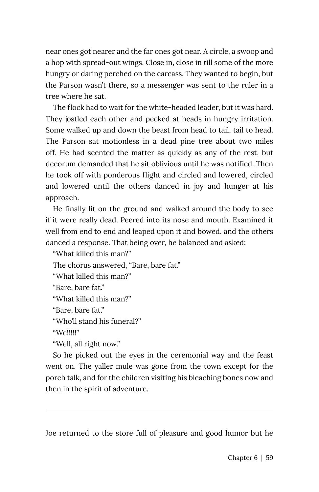near ones got nearer and the far ones got near. A circle, a swoop and a hop with spread-out wings. Close in, close in till some of the more hungry or daring perched on the carcass. They wanted to begin, but the Parson wasn't there, so a messenger was sent to the ruler in a tree where he sat.

The flock had to wait for the white-headed leader, but it was hard. They jostled each other and pecked at heads in hungry irritation. Some walked up and down the beast from head to tail, tail to head. The Parson sat motionless in a dead pine tree about two miles off. He had scented the matter as quickly as any of the rest, but decorum demanded that he sit oblivious until he was notified. Then he took off with ponderous flight and circled and lowered, circled and lowered until the others danced in joy and hunger at his approach.

He finally lit on the ground and walked around the body to see if it were really dead. Peered into its nose and mouth. Examined it well from end to end and leaped upon it and bowed, and the others danced a response. That being over, he balanced and asked:

"What killed this man?"

The chorus answered, "Bare, bare fat."

"What killed this man?"

"Bare, bare fat."

"What killed this man?"

"Bare, bare fat."

"Who'll stand his funeral?"

"We!!!!!"

"Well, all right now."

So he picked out the eyes in the ceremonial way and the feast went on. The yaller mule was gone from the town except for the porch talk, and for the children visiting his bleaching bones now and then in the spirit of adventure.

Joe returned to the store full of pleasure and good humor but he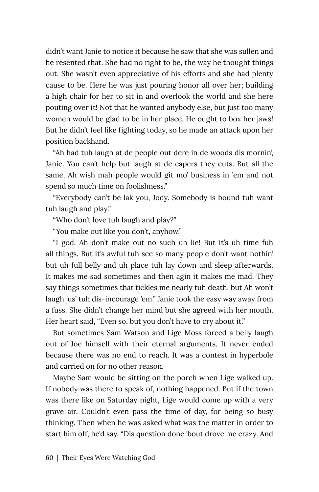didn't want Janie to notice it because he saw that she was sullen and he resented that. She had no right to be, the way he thought things out. She wasn't even appreciative of his efforts and she had plenty cause to be. Here he was just pouring honor all over her; building a high chair for her to sit in and overlook the world and she here pouting over it! Not that he wanted anybody else, but just too many women would be glad to be in her place. He ought to box her jaws! But he didn't feel like fighting today, so he made an attack upon her position backhand.

"Ah had tuh laugh at de people out dere in de woods dis mornin', Janie. You can't help but laugh at de capers they cuts. But all the same, Ah wish mah people would git mo' business in 'em and not spend so much time on foolishness."

"Everybody can't be lak you, Jody. Somebody is bound tuh want tuh laugh and play."

"Who don't love tuh laugh and play?"

"You make out like you don't, anyhow."

"I god, Ah don't make out no such uh lie! But it's uh time fuh all things. But it's awful tuh see so many people don't want nothin' but uh full belly and uh place tuh lay down and sleep afterwards. It makes me sad sometimes and then agin it makes me mad. They say things sometimes that tickles me nearly tuh death, but Ah won't laugh jus' tuh dis-incourage 'em." Janie took the easy way away from a fuss. She didn't change her mind but she agreed with her mouth. Her heart said, "Even so, but you don't have to cry about it."

But sometimes Sam Watson and Lige Moss forced a belly laugh out of Joe himself with their eternal arguments. It never ended because there was no end to reach. It was a contest in hyperbole and carried on for no other reason.

Maybe Sam would be sitting on the porch when Lige walked up. If nobody was there to speak of, nothing happened. But if the town was there like on Saturday night, Lige would come up with a very grave air. Couldn't even pass the time of day, for being so busy thinking. Then when he was asked what was the matter in order to start him off, he'd say, "Dis question done 'bout drove me crazy. And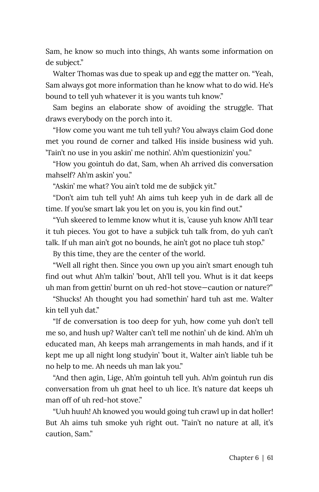Sam, he know so much into things, Ah wants some information on de subject."

Walter Thomas was due to speak up and egg the matter on. "Yeah, Sam always got more information than he know what to do wid. He's bound to tell yuh whatever it is you wants tuh know."

Sam begins an elaborate show of avoiding the struggle. That draws everybody on the porch into it.

"How come you want me tuh tell yuh? You always claim God done met you round de corner and talked His inside business wid yuh. 'Tain't no use in you askin' me nothin'. Ah'm questionizin' you."

"How you gointuh do dat, Sam, when Ah arrived dis conversation mahself? Ah'm askin' you."

"Askin' me what? You ain't told me de subjick yit."

"Don't aim tuh tell yuh! Ah aims tuh keep yuh in de dark all de time. If you'se smart lak you let on you is, you kin find out."

"Yuh skeered to lemme know whut it is, 'cause yuh know Ah'll tear it tuh pieces. You got to have a subjick tuh talk from, do yuh can't talk. If uh man ain't got no bounds, he ain't got no place tuh stop."

By this time, they are the center of the world.

"Well all right then. Since you own up you ain't smart enough tuh find out whut Ah'm talkin' 'bout, Ah'll tell you. Whut is it dat keeps uh man from gettin' burnt on uh red-hot stove—caution or nature?"

"Shucks! Ah thought you had somethin' hard tuh ast me. Walter kin tell yuh dat."

"If de conversation is too deep for yuh, how come yuh don't tell me so, and hush up? Walter can't tell me nothin' uh de kind. Ah'm uh educated man, Ah keeps mah arrangements in mah hands, and if it kept me up all night long studyin' 'bout it, Walter ain't liable tuh be no help to me. Ah needs uh man lak you."

"And then agin, Lige, Ah'm gointuh tell yuh. Ah'm gointuh run dis conversation from uh gnat heel to uh lice. It's nature dat keeps uh man off of uh red-hot stove."

"Uuh huuh! Ah knowed you would going tuh crawl up in dat holler! But Ah aims tuh smoke yuh right out. 'Tain't no nature at all, it's caution, Sam."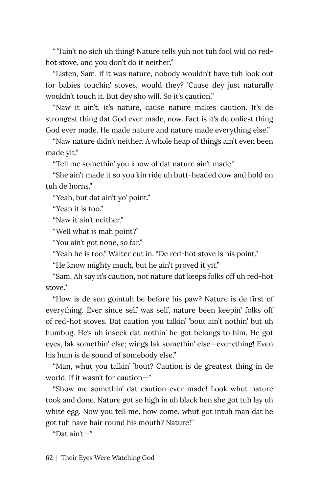" 'Tain't no sich uh thing! Nature tells yuh not tuh fool wid no redhot stove, and you don't do it neither."

"Listen, Sam, if it was nature, nobody wouldn't have tuh look out for babies touchin' stoves, would they? 'Cause dey just naturally wouldn't touch it. But dey sho will. So it's caution."

"Naw it ain't, it's nature, cause nature makes caution. It's de strongest thing dat God ever made, now. Fact is it's de onliest thing God ever made. He made nature and nature made everything else."

"Naw nature didn't neither. A whole heap of things ain't even been made yit."

"Tell me somethin' you know of dat nature ain't made."

"She ain't made it so you kin ride uh butt-headed cow and hold on tuh de horns"

"Yeah, but dat ain't yo' point."

"Yeah it is too."

"Naw it ain't neither"

"Well what is mah point?"

"You ain't got none, so far."

"Yeah he is too," Walter cut in. "De red-hot stove is his point."

"He know mighty much, but he ain't proved it yit."

"Sam, Ah say it's caution, not nature dat keeps folks off uh red-hot stove"

"How is de son gointuh be before his paw? Nature is de first of everything. Ever since self was self, nature been keepin' folks off of red-hot stoves. Dat caution you talkin' 'bout ain't nothin' but uh humbug. He's uh inseck dat nothin' he got belongs to him. He got eyes, lak somethin' else; wings lak somethin' else—everything! Even his hum is de sound of somebody else."

"Man, whut you talkin' 'bout? Caution is de greatest thing in de world. If it wasn't for caution—"

"Show me somethin' dat caution ever made! Look whut nature took and done. Nature got so high in uh black hen she got tuh lay uh white egg. Now you tell me, how come, whut got intuh man dat he got tuh have hair round his mouth? Nature!"

"Dat ain't—"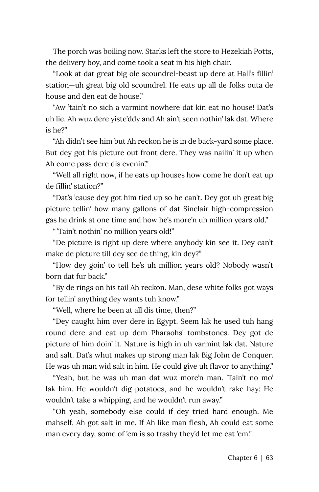The porch was boiling now. Starks left the store to Hezekiah Potts, the delivery boy, and come took a seat in his high chair.

"Look at dat great big ole scoundrel-beast up dere at Hall's fillin' station—uh great big old scoundrel. He eats up all de folks outa de house and den eat de house."

"Aw 'tain't no sich a varmint nowhere dat kin eat no house! Dat's uh lie. Ah wuz dere yiste'ddy and Ah ain't seen nothin' lak dat. Where is he?"

"Ah didn't see him but Ah reckon he is in de back-yard some place. But dey got his picture out front dere. They was nailin' it up when Ah come pass dere dis evenin'."

"Well all right now, if he eats up houses how come he don't eat up de fillin' station?"

"Dat's 'cause dey got him tied up so he can't. Dey got uh great big picture tellin' how many gallons of dat Sinclair high-compression gas he drink at one time and how he's more'n uh million years old."

" 'Tain't nothin' no million years old!"

"De picture is right up dere where anybody kin see it. Dey can't make de picture till dey see de thing, kin dey?"

"How dey goin' to tell he's uh million years old? Nobody wasn't born dat fur back."

"By de rings on his tail Ah reckon. Man, dese white folks got ways for tellin' anything dey wants tuh know."

"Well, where he been at all dis time, then?"

"Dey caught him over dere in Egypt. Seem lak he used tuh hang round dere and eat up dem Pharaohs' tombstones. Dey got de picture of him doin' it. Nature is high in uh varmint lak dat. Nature and salt. Dat's whut makes up strong man lak Big John de Conquer. He was uh man wid salt in him. He could give uh flavor to anything."

"Yeah, but he was uh man dat wuz more'n man. 'Tain't no mo' lak him. He wouldn't dig potatoes, and he wouldn't rake hay: He wouldn't take a whipping, and he wouldn't run away."

"Oh yeah, somebody else could if dey tried hard enough. Me mahself, Ah got salt in me. If Ah like man flesh, Ah could eat some man every day, some of 'em is so trashy they'd let me eat 'em."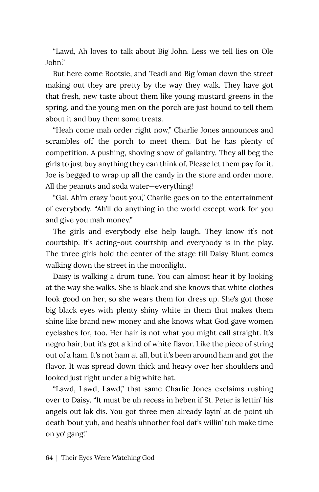"Lawd, Ah loves to talk about Big John. Less we tell lies on Ole John."

But here come Bootsie, and Teadi and Big 'oman down the street making out they are pretty by the way they walk. They have got that fresh, new taste about them like young mustard greens in the spring, and the young men on the porch are just bound to tell them about it and buy them some treats.

"Heah come mah order right now," Charlie Jones announces and scrambles off the porch to meet them. But he has plenty of competition. A pushing, shoving show of gallantry. They all beg the girls to just buy anything they can think of. Please let them pay for it. Joe is begged to wrap up all the candy in the store and order more. All the peanuts and soda water—everything!

"Gal, Ah'm crazy 'bout you," Charlie goes on to the entertainment of everybody. "Ah'll do anything in the world except work for you and give you mah money."

The girls and everybody else help laugh. They know it's not courtship. It's acting-out courtship and everybody is in the play. The three girls hold the center of the stage till Daisy Blunt comes walking down the street in the moonlight.

Daisy is walking a drum tune. You can almost hear it by looking at the way she walks. She is black and she knows that white clothes look good on her, so she wears them for dress up. She's got those big black eyes with plenty shiny white in them that makes them shine like brand new money and she knows what God gave women eyelashes for, too. Her hair is not what you might call straight. It's negro hair, but it's got a kind of white flavor. Like the piece of string out of a ham. It's not ham at all, but it's been around ham and got the flavor. It was spread down thick and heavy over her shoulders and looked just right under a big white hat.

"Lawd, Lawd, Lawd," that same Charlie Jones exclaims rushing over to Daisy. "It must be uh recess in heben if St. Peter is lettin' his angels out lak dis. You got three men already layin' at de point uh death 'bout yuh, and heah's uhnother fool dat's willin' tuh make time on yo' gang."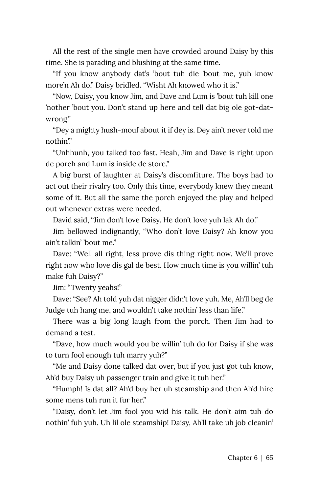All the rest of the single men have crowded around Daisy by this time. She is parading and blushing at the same time.

"If you know anybody dat's 'bout tuh die 'bout me, yuh know more'n Ah do," Daisy bridled. "Wisht Ah knowed who it is."

"Now, Daisy, you know Jim, and Dave and Lum is 'bout tuh kill one 'nother 'bout you. Don't stand up here and tell dat big ole got-datwrong."

"Dey a mighty hush-mouf about it if dey is. Dey ain't never told me nothin'."

"Unhhunh, you talked too fast. Heah, Jim and Dave is right upon de porch and Lum is inside de store."

A big burst of laughter at Daisy's discomfiture. The boys had to act out their rivalry too. Only this time, everybody knew they meant some of it. But all the same the porch enjoyed the play and helped out whenever extras were needed.

David said, "Jim don't love Daisy. He don't love yuh lak Ah do."

Jim bellowed indignantly, "Who don't love Daisy? Ah know you ain't talkin' 'bout me."

Dave: "Well all right, less prove dis thing right now. We'll prove right now who love dis gal de best. How much time is you willin' tuh make fuh Daisy?"

Jim: "Twenty yeahs!"

Dave: "See? Ah told yuh dat nigger didn't love yuh. Me, Ah'll beg de Judge tuh hang me, and wouldn't take nothin' less than life."

There was a big long laugh from the porch. Then Jim had to demand a test.

"Dave, how much would you be willin' tuh do for Daisy if she was to turn fool enough tuh marry yuh?"

"Me and Daisy done talked dat over, but if you just got tuh know, Ah'd buy Daisy uh passenger train and give it tuh her."

"Humph! Is dat all? Ah'd buy her uh steamship and then Ah'd hire some mens tuh run it fur her."

"Daisy, don't let Jim fool you wid his talk. He don't aim tuh do nothin' fuh yuh. Uh lil ole steamship! Daisy, Ah'll take uh job cleanin'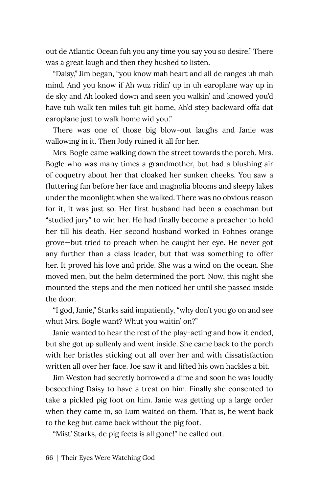out de Atlantic Ocean fuh you any time you say you so desire." There was a great laugh and then they hushed to listen.

"Daisy," Jim began, "you know mah heart and all de ranges uh mah mind. And you know if Ah wuz ridin' up in uh earoplane way up in de sky and Ah looked down and seen you walkin' and knowed you'd have tuh walk ten miles tuh git home, Ah'd step backward offa dat earoplane just to walk home wid you."

There was one of those big blow-out laughs and Janie was wallowing in it. Then Jody ruined it all for her.

Mrs. Bogle came walking down the street towards the porch. Mrs. Bogle who was many times a grandmother, but had a blushing air of coquetry about her that cloaked her sunken cheeks. You saw a fluttering fan before her face and magnolia blooms and sleepy lakes under the moonlight when she walked. There was no obvious reason for it, it was just so. Her first husband had been a coachman but "studied jury" to win her. He had finally become a preacher to hold her till his death. Her second husband worked in Fohnes orange grove—but tried to preach when he caught her eye. He never got any further than a class leader, but that was something to offer her. It proved his love and pride. She was a wind on the ocean. She moved men, but the helm determined the port. Now, this night she mounted the steps and the men noticed her until she passed inside the door.

"I god, Janie," Starks said impatiently, "why don't you go on and see whut Mrs. Bogle want? Whut you waitin' on?"

Janie wanted to hear the rest of the play-acting and how it ended, but she got up sullenly and went inside. She came back to the porch with her bristles sticking out all over her and with dissatisfaction written all over her face. Joe saw it and lifted his own hackles a bit.

Jim Weston had secretly borrowed a dime and soon he was loudly beseeching Daisy to have a treat on him. Finally she consented to take a pickled pig foot on him. Janie was getting up a large order when they came in, so Lum waited on them. That is, he went back to the keg but came back without the pig foot.

"Mist' Starks, de pig feets is all gone!" he called out.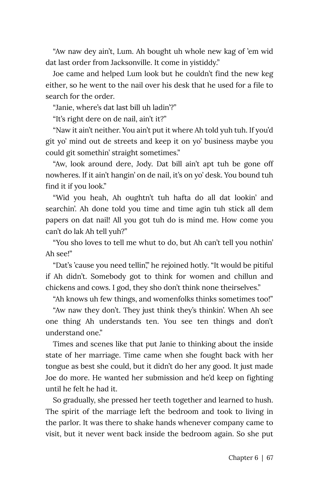"Aw naw dey ain't, Lum. Ah bought uh whole new kag of 'em wid dat last order from Jacksonville. It come in yistiddy."

Joe came and helped Lum look but he couldn't find the new keg either, so he went to the nail over his desk that he used for a file to search for the order.

"Janie, where's dat last bill uh ladin'?"

"It's right dere on de nail, ain't it?"

"Naw it ain't neither. You ain't put it where Ah told yuh tuh. If you'd git yo' mind out de streets and keep it on yo' business maybe you could git somethin' straight sometimes."

"Aw, look around dere, Jody. Dat bill ain't apt tuh be gone off nowheres. If it ain't hangin' on de nail, it's on yo' desk. You bound tuh find it if you look."

"Wid you heah, Ah oughtn't tuh hafta do all dat lookin' and searchin'. Ah done told you time and time agin tuh stick all dem papers on dat nail! All you got tuh do is mind me. How come you can't do lak Ah tell yuh?"

"You sho loves to tell me whut to do, but Ah can't tell you nothin' Ah see!"

"Dat's 'cause you need tellin'," he rejoined hotly. "It would be pitiful if Ah didn't. Somebody got to think for women and chillun and chickens and cows. I god, they sho don't think none theirselves."

"Ah knows uh few things, and womenfolks thinks sometimes too!"

"Aw naw they don't. They just think they's thinkin'. When Ah see one thing Ah understands ten. You see ten things and don't understand one."

Times and scenes like that put Janie to thinking about the inside state of her marriage. Time came when she fought back with her tongue as best she could, but it didn't do her any good. It just made Joe do more. He wanted her submission and he'd keep on fighting until he felt he had it.

So gradually, she pressed her teeth together and learned to hush. The spirit of the marriage left the bedroom and took to living in the parlor. It was there to shake hands whenever company came to visit, but it never went back inside the bedroom again. So she put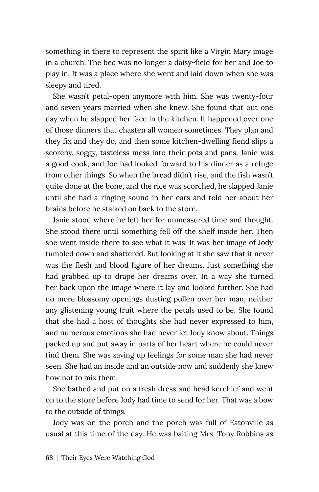something in there to represent the spirit like a Virgin Mary image in a church. The bed was no longer a daisy-field for her and Joe to play in. It was a place where she went and laid down when she was sleepy and tired.

She wasn't petal-open anymore with him. She was twenty-four and seven years married when she knew. She found that out one day when he slapped her face in the kitchen. It happened over one of those dinners that chasten all women sometimes. They plan and they fix and they do, and then some kitchen-dwelling fiend slips a scorchy, soggy, tasteless mess into their pots and pans. Janie was a good cook, and Joe had looked forward to his dinner as a refuge from other things. So when the bread didn't rise, and the fish wasn't quite done at the bone, and the rice was scorched, he slapped Janie until she had a ringing sound in her ears and told her about her brains before he stalked on back to the store.

Janie stood where he left her for unmeasured time and thought. She stood there until something fell off the shelf inside her. Then she went inside there to see what it was. It was her image of Jody tumbled down and shattered. But looking at it she saw that it never was the flesh and blood figure of her dreams. Just something she had grabbed up to drape her dreams over. In a way she turned her back upon the image where it lay and looked further. She had no more blossomy openings dusting pollen over her man, neither any glistening young fruit where the petals used to be. She found that she had a host of thoughts she had never expressed to him, and numerous emotions she had never let Jody know about. Things packed up and put away in parts of her heart where he could never find them. She was saving up feelings for some man she had never seen. She had an inside and an outside now and suddenly she knew how not to mix them.

She bathed and put on a fresh dress and head kerchief and went on to the store before Jody had time to send for her. That was a bow to the outside of things.

Jody was on the porch and the porch was full of Eatonville as usual at this time of the day. He was baiting Mrs. Tony Robbins as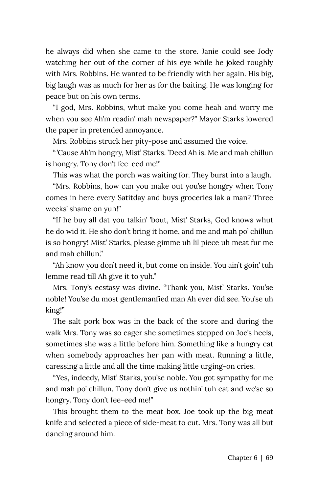he always did when she came to the store. Janie could see Jody watching her out of the corner of his eye while he joked roughly with Mrs. Robbins. He wanted to be friendly with her again. His big, big laugh was as much for her as for the baiting. He was longing for peace but on his own terms.

"I god, Mrs. Robbins, whut make you come heah and worry me when you see Ah'm readin' mah newspaper?" Mayor Starks lowered the paper in pretended annoyance.

Mrs. Robbins struck her pity-pose and assumed the voice.

" 'Cause Ah'm hongry, Mist' Starks. 'Deed Ah is. Me and mah chillun is hongry. Tony don't fee-eed me!"

This was what the porch was waiting for. They burst into a laugh.

"Mrs. Robbins, how can you make out you'se hongry when Tony comes in here every Satitday and buys groceries lak a man? Three weeks' shame on yuh!"

"If he buy all dat you talkin' 'bout, Mist' Starks, God knows whut he do wid it. He sho don't bring it home, and me and mah po' chillun is so hongry! Mist' Starks, please gimme uh lil piece uh meat fur me and mah chillun."

"Ah know you don't need it, but come on inside. You ain't goin' tuh lemme read till Ah give it to yuh."

Mrs. Tony's ecstasy was divine. "Thank you, Mist' Starks. You'se noble! You'se du most gentlemanfied man Ah ever did see. You'se uh king!"

The salt pork box was in the back of the store and during the walk Mrs. Tony was so eager she sometimes stepped on Joe's heels, sometimes she was a little before him. Something like a hungry cat when somebody approaches her pan with meat. Running a little, caressing a little and all the time making little urging-on cries.

"Yes, indeedy, Mist' Starks, you'se noble. You got sympathy for me and mah po' chillun. Tony don't give us nothin' tuh eat and we'se so hongry. Tony don't fee-eed me!"

This brought them to the meat box. Joe took up the big meat knife and selected a piece of side-meat to cut. Mrs. Tony was all but dancing around him.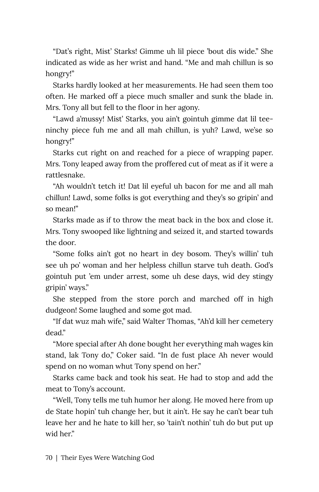"Dat's right, Mist' Starks! Gimme uh lil piece 'bout dis wide." She indicated as wide as her wrist and hand. "Me and mah chillun is so hongry!"

Starks hardly looked at her measurements. He had seen them too often. He marked off a piece much smaller and sunk the blade in. Mrs. Tony all but fell to the floor in her agony.

"Lawd a'mussy! Mist' Starks, you ain't gointuh gimme dat lil teeninchy piece fuh me and all mah chillun, is yuh? Lawd, we'se so hongry!"

Starks cut right on and reached for a piece of wrapping paper. Mrs. Tony leaped away from the proffered cut of meat as if it were a rattlesnake.

"Ah wouldn't tetch it! Dat lil eyeful uh bacon for me and all mah chillun! Lawd, some folks is got everything and they's so gripin' and so mean!"

Starks made as if to throw the meat back in the box and close it. Mrs. Tony swooped like lightning and seized it, and started towards the door.

"Some folks ain't got no heart in dey bosom. They's willin' tuh see uh po' woman and her helpless chillun starve tuh death. God's gointuh put 'em under arrest, some uh dese days, wid dey stingy gripin' ways."

She stepped from the store porch and marched off in high dudgeon! Some laughed and some got mad.

"If dat wuz mah wife," said Walter Thomas, "Ah'd kill her cemetery dead."

"More special after Ah done bought her everything mah wages kin stand, lak Tony do," Coker said. "In de fust place Ah never would spend on no woman whut Tony spend on her."

Starks came back and took his seat. He had to stop and add the meat to Tony's account.

"Well, Tony tells me tuh humor her along. He moved here from up de State hopin' tuh change her, but it ain't. He say he can't bear tuh leave her and he hate to kill her, so 'tain't nothin' tuh do but put up wid her."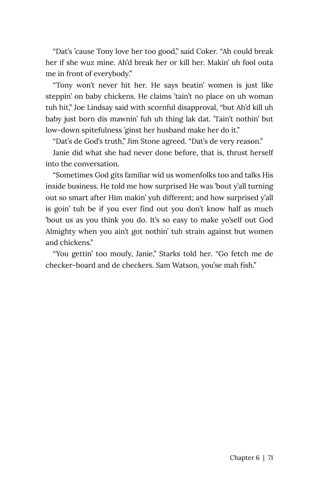"Dat's 'cause Tony love her too good," said Coker. "Ah could break her if she wuz mine. Ah'd break her or kill her. Makin' uh fool outa me in front of everybody."

"Tony won't never hit her. He says beatin' women is just like steppin' on baby chickens. He claims 'tain't no place on uh woman tuh hit," Joe Lindsay said with scornful disapproval, "but Ah'd kill uh baby just born dis mawnin' fuh uh thing lak dat. 'Tain't nothin' but low-down spitefulness 'ginst her husband make her do it."

"Dat's de God's truth," Jim Stone agreed. "Dat's de very reason."

Janie did what she had never done before, that is, thrust herself into the conversation.

"Sometimes God gits familiar wid us womenfolks too and talks His inside business. He told me how surprised He was 'bout y'all turning out so smart after Him makin' yuh different; and how surprised y'all is goin' tuh be if you ever find out you don't know half as much 'bout us as you think you do. It's so easy to make yo'self out God Almighty when you ain't got nothin' tuh strain against but women and chickens."

"You gettin' too moufy, Janie," Starks told her. "Go fetch me de checker-board and de checkers. Sam Watson, you'se mah fish."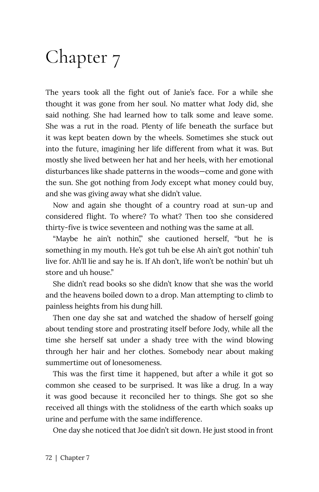# Chapter 7

The years took all the fight out of Janie's face. For a while she thought it was gone from her soul. No matter what Jody did, she said nothing. She had learned how to talk some and leave some. She was a rut in the road. Plenty of life beneath the surface but it was kept beaten down by the wheels. Sometimes she stuck out into the future, imagining her life different from what it was. But mostly she lived between her hat and her heels, with her emotional disturbances like shade patterns in the woods—come and gone with the sun. She got nothing from Jody except what money could buy, and she was giving away what she didn't value.

Now and again she thought of a country road at sun-up and considered flight. To where? To what? Then too she considered thirty-five is twice seventeen and nothing was the same at all.

"Maybe he ain't nothin," she cautioned herself, "but he is something in my mouth. He's got tuh be else Ah ain't got nothin' tuh live for. Ah'll lie and say he is. If Ah don't, life won't be nothin' but uh store and uh house."

She didn't read books so she didn't know that she was the world and the heavens boiled down to a drop. Man attempting to climb to painless heights from his dung hill.

Then one day she sat and watched the shadow of herself going about tending store and prostrating itself before Jody, while all the time she herself sat under a shady tree with the wind blowing through her hair and her clothes. Somebody near about making summertime out of lonesomeness.

This was the first time it happened, but after a while it got so common she ceased to be surprised. It was like a drug. In a way it was good because it reconciled her to things. She got so she received all things with the stolidness of the earth which soaks up urine and perfume with the same indifference.

One day she noticed that Joe didn't sit down. He just stood in front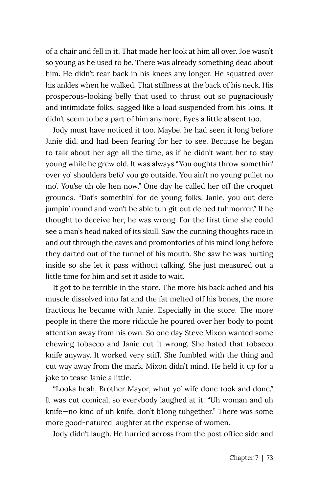of a chair and fell in it. That made her look at him all over. Joe wasn't so young as he used to be. There was already something dead about him. He didn't rear back in his knees any longer. He squatted over his ankles when he walked. That stillness at the back of his neck. His prosperous-looking belly that used to thrust out so pugnaciously and intimidate folks, sagged like a load suspended from his loins. It didn't seem to be a part of him anymore. Eyes a little absent too.

Jody must have noticed it too. Maybe, he had seen it long before Janie did, and had been fearing for her to see. Because he began to talk about her age all the time, as if he didn't want her to stay young while he grew old. It was always "You oughta throw somethin' over yo' shoulders befo' you go outside. You ain't no young pullet no mo'. You'se uh ole hen now." One day he called her off the croquet grounds. "Dat's somethin' for de young folks, Janie, you out dere jumpin' round and won't be able tuh git out de bed tuhmorrer." If he thought to deceive her, he was wrong. For the first time she could see a man's head naked of its skull. Saw the cunning thoughts race in and out through the caves and promontories of his mind long before they darted out of the tunnel of his mouth. She saw he was hurting inside so she let it pass without talking. She just measured out a little time for him and set it aside to wait.

It got to be terrible in the store. The more his back ached and his muscle dissolved into fat and the fat melted off his bones, the more fractious he became with Janie. Especially in the store. The more people in there the more ridicule he poured over her body to point attention away from his own. So one day Steve Mixon wanted some chewing tobacco and Janie cut it wrong. She hated that tobacco knife anyway. It worked very stiff. She fumbled with the thing and cut way away from the mark. Mixon didn't mind. He held it up for a joke to tease Janie a little.

"Looka heah, Brother Mayor, whut yo' wife done took and done." It was cut comical, so everybody laughed at it. "Uh woman and uh knife—no kind of uh knife, don't b'long tuhgether." There was some more good-natured laughter at the expense of women.

Jody didn't laugh. He hurried across from the post office side and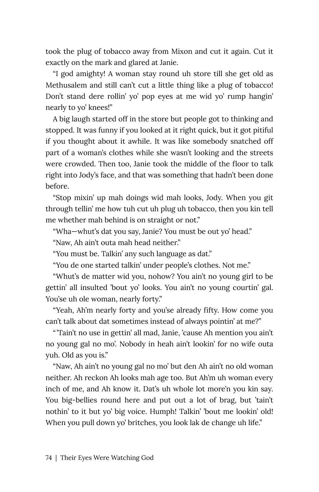took the plug of tobacco away from Mixon and cut it again. Cut it exactly on the mark and glared at Janie.

"I god amighty! A woman stay round uh store till she get old as Methusalem and still can't cut a little thing like a plug of tobacco! Don't stand dere rollin' yo' pop eyes at me wid yo' rump hangin' nearly to yo' knees!"

A big laugh started off in the store but people got to thinking and stopped. It was funny if you looked at it right quick, but it got pitiful if you thought about it awhile. It was like somebody snatched off part of a woman's clothes while she wasn't looking and the streets were crowded. Then too, Janie took the middle of the floor to talk right into Jody's face, and that was something that hadn't been done before.

"Stop mixin' up mah doings wid mah looks, Jody. When you git through tellin' me how tuh cut uh plug uh tobacco, then you kin tell me whether mah behind is on straight or not."

"Wha—whut's dat you say, Janie? You must be out yo' head."

"Naw, Ah ain't outa mah head neither."

"You must be. Talkin' any such language as dat."

"You de one started talkin' under people's clothes. Not me."

"Whut's de matter wid you, nohow? You ain't no young girl to be gettin' all insulted 'bout yo' looks. You ain't no young courtin' gal. You'se uh ole woman, nearly forty."

"Yeah, Ah'm nearly forty and you'se already fifty. How come you can't talk about dat sometimes instead of always pointin' at me?"

" 'Tain't no use in gettin' all mad, Janie, 'cause Ah mention you ain't no young gal no mo'. Nobody in heah ain't lookin' for no wife outa yuh. Old as you is."

"Naw, Ah ain't no young gal no mo' but den Ah ain't no old woman neither. Ah reckon Ah looks mah age too. But Ah'm uh woman every inch of me, and Ah know it. Dat's uh whole lot more'n you kin say. You big-bellies round here and put out a lot of brag, but 'tain't nothin' to it but yo' big voice. Humph! Talkin' 'bout me lookin' old! When you pull down yo' britches, you look lak de change uh life."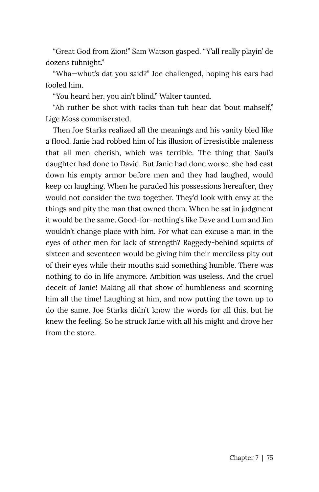"Great God from Zion!" Sam Watson gasped. "Y'all really playin' de dozens tuhnight."

"Wha—whut's dat you said?" Joe challenged, hoping his ears had fooled him.

"You heard her, you ain't blind," Walter taunted.

"Ah ruther be shot with tacks than tuh hear dat 'bout mahself," Lige Moss commiserated.

Then Joe Starks realized all the meanings and his vanity bled like a flood. Janie had robbed him of his illusion of irresistible maleness that all men cherish, which was terrible. The thing that Saul's daughter had done to David. But Janie had done worse, she had cast down his empty armor before men and they had laughed, would keep on laughing. When he paraded his possessions hereafter, they would not consider the two together. They'd look with envy at the things and pity the man that owned them. When he sat in judgment it would be the same. Good-for-nothing's like Dave and Lum and Jim wouldn't change place with him. For what can excuse a man in the eyes of other men for lack of strength? Raggedy-behind squirts of sixteen and seventeen would be giving him their merciless pity out of their eyes while their mouths said something humble. There was nothing to do in life anymore. Ambition was useless. And the cruel deceit of Janie! Making all that show of humbleness and scorning him all the time! Laughing at him, and now putting the town up to do the same. Joe Starks didn't know the words for all this, but he knew the feeling. So he struck Janie with all his might and drove her from the store.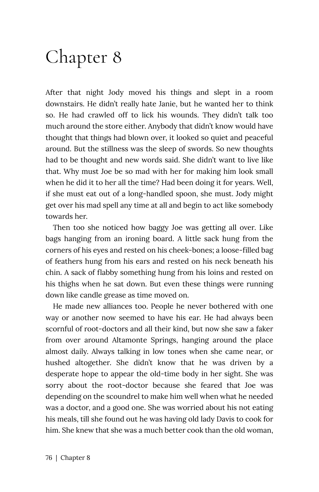## Chapter 8

After that night Jody moved his things and slept in a room downstairs. He didn't really hate Janie, but he wanted her to think so. He had crawled off to lick his wounds. They didn't talk too much around the store either. Anybody that didn't know would have thought that things had blown over, it looked so quiet and peaceful around. But the stillness was the sleep of swords. So new thoughts had to be thought and new words said. She didn't want to live like that. Why must Joe be so mad with her for making him look small when he did it to her all the time? Had been doing it for years. Well, if she must eat out of a long-handled spoon, she must. Jody might get over his mad spell any time at all and begin to act like somebody towards her.

Then too she noticed how baggy Joe was getting all over. Like bags hanging from an ironing board. A little sack hung from the corners of his eyes and rested on his cheek-bones; a loose-filled bag of feathers hung from his ears and rested on his neck beneath his chin. A sack of flabby something hung from his loins and rested on his thighs when he sat down. But even these things were running down like candle grease as time moved on.

He made new alliances too. People he never bothered with one way or another now seemed to have his ear. He had always been scornful of root-doctors and all their kind, but now she saw a faker from over around Altamonte Springs, hanging around the place almost daily. Always talking in low tones when she came near, or hushed altogether. She didn't know that he was driven by a desperate hope to appear the old-time body in her sight. She was sorry about the root-doctor because she feared that Joe was depending on the scoundrel to make him well when what he needed was a doctor, and a good one. She was worried about his not eating his meals, till she found out he was having old lady Davis to cook for him. She knew that she was a much better cook than the old woman,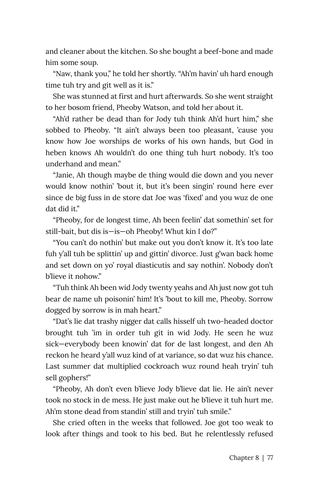and cleaner about the kitchen. So she bought a beef-bone and made him some soup.

"Naw, thank you," he told her shortly. "Ah'm havin' uh hard enough time tuh try and git well as it is."

She was stunned at first and hurt afterwards. So she went straight to her bosom friend, Pheoby Watson, and told her about it.

"Ah'd rather be dead than for Jody tuh think Ah'd hurt him," she sobbed to Pheoby. "It ain't always been too pleasant, 'cause you know how Joe worships de works of his own hands, but God in heben knows Ah wouldn't do one thing tuh hurt nobody. It's too underhand and mean."

"Janie, Ah though maybe de thing would die down and you never would know nothin' 'bout it, but it's been singin' round here ever since de big fuss in de store dat Joe was 'fixed' and you wuz de one dat did it."

"Pheoby, for de longest time, Ah been feelin' dat somethin' set for still-bait, but dis is—is—oh Pheoby! Whut kin I do?"

"You can't do nothin' but make out you don't know it. It's too late fuh y'all tuh be splittin' up and gittin' divorce. Just g'wan back home and set down on yo' royal diasticutis and say nothin'. Nobody don't b'lieve it nohow."

"Tuh think Ah been wid Jody twenty yeahs and Ah just now got tuh bear de name uh poisonin' him! It's 'bout to kill me, Pheoby. Sorrow dogged by sorrow is in mah heart."

"Dat's lie dat trashy nigger dat calls hisself uh two-headed doctor brought tuh 'im in order tuh git in wid Jody. He seen he wuz sick—everybody been knowin' dat for de last longest, and den Ah reckon he heard y'all wuz kind of at variance, so dat wuz his chance. Last summer dat multiplied cockroach wuz round heah tryin' tuh sell gophers!"

"Pheoby, Ah don't even b'lieve Jody b'lieve dat lie. He ain't never took no stock in de mess. He just make out he b'lieve it tuh hurt me. Ah'm stone dead from standin' still and tryin' tuh smile."

She cried often in the weeks that followed. Joe got too weak to look after things and took to his bed. But he relentlessly refused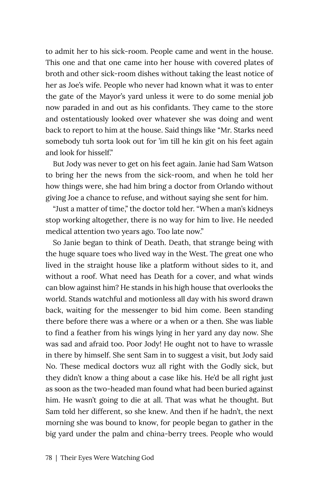to admit her to his sick-room. People came and went in the house. This one and that one came into her house with covered plates of broth and other sick-room dishes without taking the least notice of her as Joe's wife. People who never had known what it was to enter the gate of the Mayor's yard unless it were to do some menial job now paraded in and out as his confidants. They came to the store and ostentatiously looked over whatever she was doing and went back to report to him at the house. Said things like "Mr. Starks need somebody tuh sorta look out for 'im till he kin git on his feet again and look for hisself."

But Jody was never to get on his feet again. Janie had Sam Watson to bring her the news from the sick-room, and when he told her how things were, she had him bring a doctor from Orlando without giving Joe a chance to refuse, and without saying she sent for him.

"Just a matter of time," the doctor told her. "When a man's kidneys stop working altogether, there is no way for him to live. He needed medical attention two years ago. Too late now."

So Janie began to think of Death. Death, that strange being with the huge square toes who lived way in the West. The great one who lived in the straight house like a platform without sides to it, and without a roof. What need has Death for a cover, and what winds can blow against him? He stands in his high house that overlooks the world. Stands watchful and motionless all day with his sword drawn back, waiting for the messenger to bid him come. Been standing there before there was a where or a when or a then. She was liable to find a feather from his wings lying in her yard any day now. She was sad and afraid too. Poor Jody! He ought not to have to wrassle in there by himself. She sent Sam in to suggest a visit, but Jody said No. These medical doctors wuz all right with the Godly sick, but they didn't know a thing about a case like his. He'd be all right just as soon as the two-headed man found what had been buried against him. He wasn't going to die at all. That was what he thought. But Sam told her different, so she knew. And then if he hadn't, the next morning she was bound to know, for people began to gather in the big yard under the palm and china-berry trees. People who would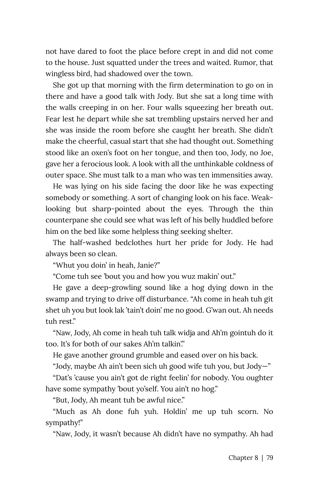not have dared to foot the place before crept in and did not come to the house. Just squatted under the trees and waited. Rumor, that wingless bird, had shadowed over the town.

She got up that morning with the firm determination to go on in there and have a good talk with Jody. But she sat a long time with the walls creeping in on her. Four walls squeezing her breath out. Fear lest he depart while she sat trembling upstairs nerved her and she was inside the room before she caught her breath. She didn't make the cheerful, casual start that she had thought out. Something stood like an oxen's foot on her tongue, and then too, Jody, no Joe, gave her a ferocious look. A look with all the unthinkable coldness of outer space. She must talk to a man who was ten immensities away.

He was lying on his side facing the door like he was expecting somebody or something. A sort of changing look on his face. Weaklooking but sharp-pointed about the eyes. Through the thin counterpane she could see what was left of his belly huddled before him on the bed like some helpless thing seeking shelter.

The half-washed bedclothes hurt her pride for Jody. He had always been so clean.

"Whut you doin' in heah, Janie?"

"Come tuh see 'bout you and how you wuz makin' out."

He gave a deep-growling sound like a hog dying down in the swamp and trying to drive off disturbance. "Ah come in heah tuh git shet uh you but look lak 'tain't doin' me no good. G'wan out. Ah needs tuh rest."

"Naw, Jody, Ah come in heah tuh talk widja and Ah'm gointuh do it too. It's for both of our sakes Ah'm talkin'."

He gave another ground grumble and eased over on his back.

"Jody, maybe Ah ain't been sich uh good wife tuh you, but Jody—"

"Dat's 'cause you ain't got de right feelin' for nobody. You oughter have some sympathy 'bout yo'self. You ain't no hog."

"But, Jody, Ah meant tuh be awful nice."

"Much as Ah done fuh yuh. Holdin' me up tuh scorn. No sympathy!"

"Naw, Jody, it wasn't because Ah didn't have no sympathy. Ah had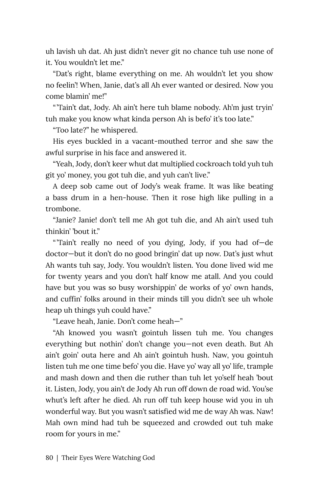uh lavish uh dat. Ah just didn't never git no chance tuh use none of it. You wouldn't let me."

"Dat's right, blame everything on me. Ah wouldn't let you show no feelin'! When, Janie, dat's all Ah ever wanted or desired. Now you come blamin' me!"

" 'Tain't dat, Jody. Ah ain't here tuh blame nobody. Ah'm just tryin' tuh make you know what kinda person Ah is befo' it's too late."

"Too late?" he whispered.

His eyes buckled in a vacant-mouthed terror and she saw the awful surprise in his face and answered it.

"Yeah, Jody, don't keer whut dat multiplied cockroach told yuh tuh git yo' money, you got tuh die, and yuh can't live."

A deep sob came out of Jody's weak frame. It was like beating a bass drum in a hen-house. Then it rose high like pulling in a trombone.

"Janie? Janie! don't tell me Ah got tuh die, and Ah ain't used tuh thinkin' 'bout it."

" 'Tain't really no need of you dying, Jody, if you had of—de doctor—but it don't do no good bringin' dat up now. Dat's just whut Ah wants tuh say, Jody. You wouldn't listen. You done lived wid me for twenty years and you don't half know me atall. And you could have but you was so busy worshippin' de works of yo' own hands, and cuffin' folks around in their minds till you didn't see uh whole heap uh things yuh could have."

"Leave heah, Janie. Don't come heah—"

"Ah knowed you wasn't gointuh lissen tuh me. You changes everything but nothin' don't change you—not even death. But Ah ain't goin' outa here and Ah ain't gointuh hush. Naw, you gointuh listen tuh me one time befo' you die. Have yo' way all yo' life, trample and mash down and then die ruther than tuh let yo'self heah 'bout it. Listen, Jody, you ain't de Jody Ah run off down de road wid. You'se whut's left after he died. Ah run off tuh keep house wid you in uh wonderful way. But you wasn't satisfied wid me de way Ah was. Naw! Mah own mind had tuh be squeezed and crowded out tuh make room for yours in me."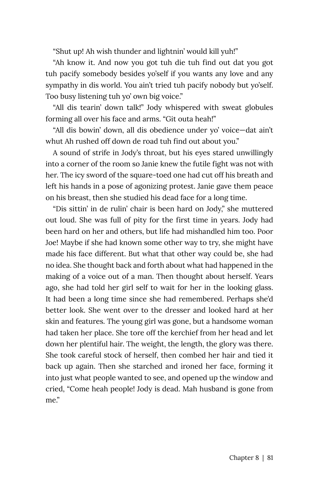"Shut up! Ah wish thunder and lightnin' would kill yuh!"

"Ah know it. And now you got tuh die tuh find out dat you got tuh pacify somebody besides yo'self if you wants any love and any sympathy in dis world. You ain't tried tuh pacify nobody but yo'self. Too busy listening tuh yo' own big voice."

"All dis tearin' down talk!" Jody whispered with sweat globules forming all over his face and arms. "Git outa heah!"

"All dis bowin' down, all dis obedience under yo' voice—dat ain't whut Ah rushed off down de road tuh find out about you."

A sound of strife in Jody's throat, but his eyes stared unwillingly into a corner of the room so Janie knew the futile fight was not with her. The icy sword of the square-toed one had cut off his breath and left his hands in a pose of agonizing protest. Janie gave them peace on his breast, then she studied his dead face for a long time.

"Dis sittin' in de rulin' chair is been hard on Jody," she muttered out loud. She was full of pity for the first time in years. Jody had been hard on her and others, but life had mishandled him too. Poor Joe! Maybe if she had known some other way to try, she might have made his face different. But what that other way could be, she had no idea. She thought back and forth about what had happened in the making of a voice out of a man. Then thought about herself. Years ago, she had told her girl self to wait for her in the looking glass. It had been a long time since she had remembered. Perhaps she'd better look. She went over to the dresser and looked hard at her skin and features. The young girl was gone, but a handsome woman had taken her place. She tore off the kerchief from her head and let down her plentiful hair. The weight, the length, the glory was there. She took careful stock of herself, then combed her hair and tied it back up again. Then she starched and ironed her face, forming it into just what people wanted to see, and opened up the window and cried, "Come heah people! Jody is dead. Mah husband is gone from me."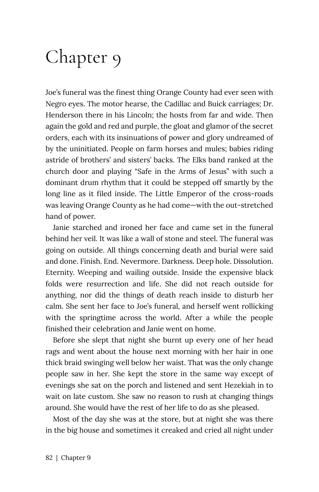## Chapter 9

Joe's funeral was the finest thing Orange County had ever seen with Negro eyes. The motor hearse, the Cadillac and Buick carriages; Dr. Henderson there in his Lincoln; the hosts from far and wide. Then again the gold and red and purple, the gloat and glamor of the secret orders, each with its insinuations of power and glory undreamed of by the uninitiated. People on farm horses and mules; babies riding astride of brothers' and sisters' backs. The Elks band ranked at the church door and playing "Safe in the Arms of Jesus" with such a dominant drum rhythm that it could be stepped off smartly by the long line as it filed inside. The Little Emperor of the cross-roads was leaving Orange County as he had come—with the out-stretched hand of power.

Janie starched and ironed her face and came set in the funeral behind her veil. It was like a wall of stone and steel. The funeral was going on outside. All things concerning death and burial were said and done. Finish. End. Nevermore. Darkness. Deep hole. Dissolution. Eternity. Weeping and wailing outside. Inside the expensive black folds were resurrection and life. She did not reach outside for anything, nor did the things of death reach inside to disturb her calm. She sent her face to Joe's funeral, and herself went rollicking with the springtime across the world. After a while the people finished their celebration and Janie went on home.

Before she slept that night she burnt up every one of her head rags and went about the house next morning with her hair in one thick braid swinging well below her waist. That was the only change people saw in her. She kept the store in the same way except of evenings she sat on the porch and listened and sent Hezekiah in to wait on late custom. She saw no reason to rush at changing things around. She would have the rest of her life to do as she pleased.

Most of the day she was at the store, but at night she was there in the big house and sometimes it creaked and cried all night under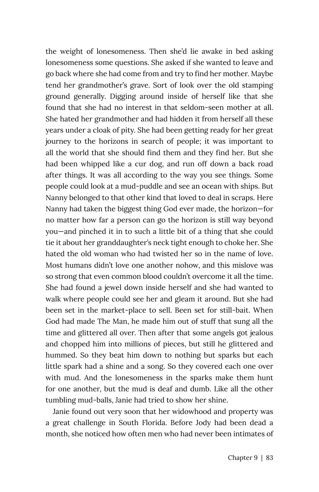the weight of lonesomeness. Then she'd lie awake in bed asking lonesomeness some questions. She asked if she wanted to leave and go back where she had come from and try to find her mother. Maybe tend her grandmother's grave. Sort of look over the old stamping ground generally. Digging around inside of herself like that she found that she had no interest in that seldom-seen mother at all. She hated her grandmother and had hidden it from herself all these years under a cloak of pity. She had been getting ready for her great journey to the horizons in search of people; it was important to all the world that she should find them and they find her. But she had been whipped like a cur dog, and run off down a back road after things. It was all according to the way you see things. Some people could look at a mud-puddle and see an ocean with ships. But Nanny belonged to that other kind that loved to deal in scraps. Here Nanny had taken the biggest thing God ever made, the horizon—for no matter how far a person can go the horizon is still way beyond you—and pinched it in to such a little bit of a thing that she could tie it about her granddaughter's neck tight enough to choke her. She hated the old woman who had twisted her so in the name of love. Most humans didn't love one another nohow, and this mislove was so strong that even common blood couldn't overcome it all the time. She had found a jewel down inside herself and she had wanted to walk where people could see her and gleam it around. But she had been set in the market-place to sell. Been set for still-bait. When God had made The Man, he made him out of stuff that sung all the time and glittered all over. Then after that some angels got jealous and chopped him into millions of pieces, but still he glittered and hummed. So they beat him down to nothing but sparks but each little spark had a shine and a song. So they covered each one over with mud. And the lonesomeness in the sparks make them hunt for one another, but the mud is deaf and dumb. Like all the other tumbling mud-balls, Janie had tried to show her shine.

Janie found out very soon that her widowhood and property was a great challenge in South Florida. Before Jody had been dead a month, she noticed how often men who had never been intimates of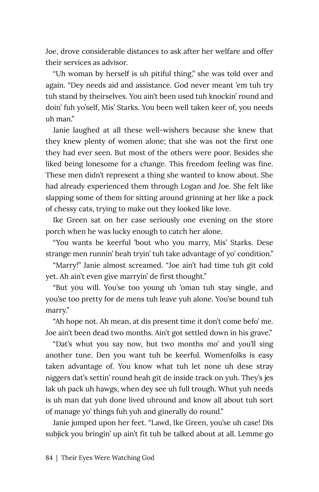Joe, drove considerable distances to ask after her welfare and offer their services as advisor.

"Uh woman by herself is uh pitiful thing," she was told over and again. "Dey needs aid and assistance. God never meant 'em tuh try tuh stand by theirselves. You ain't been used tuh knockin' round and doin' fuh yo'self, Mis' Starks. You been well taken keer of, you needs uh man."

Janie laughed at all these well-wishers because she knew that they knew plenty of women alone; that she was not the first one they had ever seen. But most of the others were poor. Besides she liked being lonesome for a change. This freedom feeling was fine. These men didn't represent a thing she wanted to know about. She had already experienced them through Logan and Joe. She felt like slapping some of them for sitting around grinning at her like a pack of chessy cats, trying to make out they looked like love.

Ike Green sat on her case seriously one evening on the store porch when he was lucky enough to catch her alone.

"You wants be keerful 'bout who you marry, Mis' Starks. Dese strange men runnin' heah tryin' tuh take advantage of yo' condition."

"Marry!" Janie almost screamed. "Joe ain't had time tuh git cold yet. Ah ain't even give marryin' de first thought."

"But you will. You'se too young uh 'oman tuh stay single, and you'se too pretty for de mens tuh leave yuh alone. You'se bound tuh marry."

"Ah hope not. Ah mean, at dis present time it don't come befo' me. Joe ain't been dead two months. Ain't got settled down in his grave."

"Dat's whut you say now, but two months mo' and you'll sing another tune. Den you want tuh be keerful. Womenfolks is easy taken advantage of. You know what tuh let none uh dese stray niggers dat's settin' round heah git de inside track on yuh. They's jes lak uh pack uh hawgs, when dey see uh full trough. Whut yuh needs is uh man dat yuh done lived uhround and know all about tuh sort of manage yo' things fuh yuh and ginerally do round."

Janie jumped upon her feet. "Lawd, Ike Green, you'se uh case! Dis subjick you bringin' up ain't fit tuh be talked about at all. Lemme go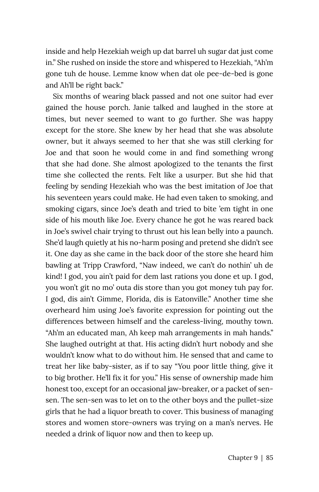inside and help Hezekiah weigh up dat barrel uh sugar dat just come in." She rushed on inside the store and whispered to Hezekiah, "Ah'm gone tuh de house. Lemme know when dat ole pee-de-bed is gone and Ah'll be right back."

Six months of wearing black passed and not one suitor had ever gained the house porch. Janie talked and laughed in the store at times, but never seemed to want to go further. She was happy except for the store. She knew by her head that she was absolute owner, but it always seemed to her that she was still clerking for Joe and that soon he would come in and find something wrong that she had done. She almost apologized to the tenants the first time she collected the rents. Felt like a usurper. But she hid that feeling by sending Hezekiah who was the best imitation of Joe that his seventeen years could make. He had even taken to smoking, and smoking cigars, since Joe's death and tried to bite 'em tight in one side of his mouth like Joe. Every chance he got he was reared back in Joe's swivel chair trying to thrust out his lean belly into a paunch. She'd laugh quietly at his no-harm posing and pretend she didn't see it. One day as she came in the back door of the store she heard him bawling at Tripp Crawford, "Naw indeed, we can't do nothin' uh de kind! I god, you ain't paid for dem last rations you done et up. I god, you won't git no mo' outa dis store than you got money tuh pay for. I god, dis ain't Gimme, Florida, dis is Eatonville." Another time she overheard him using Joe's favorite expression for pointing out the differences between himself and the careless-living, mouthy town. "Ah'm an educated man, Ah keep mah arrangements in mah hands." She laughed outright at that. His acting didn't hurt nobody and she wouldn't know what to do without him. He sensed that and came to treat her like baby-sister, as if to say "You poor little thing, give it to big brother. He'll fix it for you." His sense of ownership made him honest too, except for an occasional jaw-breaker, or a packet of sensen. The sen-sen was to let on to the other boys and the pullet-size girls that he had a liquor breath to cover. This business of managing stores and women store-owners was trying on a man's nerves. He needed a drink of liquor now and then to keep up.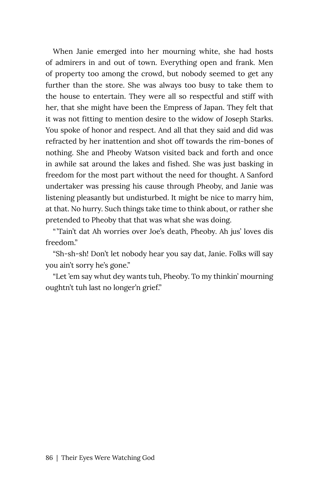When Janie emerged into her mourning white, she had hosts of admirers in and out of town. Everything open and frank. Men of property too among the crowd, but nobody seemed to get any further than the store. She was always too busy to take them to the house to entertain. They were all so respectful and stiff with her, that she might have been the Empress of Japan. They felt that it was not fitting to mention desire to the widow of Joseph Starks. You spoke of honor and respect. And all that they said and did was refracted by her inattention and shot off towards the rim-bones of nothing. She and Pheoby Watson visited back and forth and once in awhile sat around the lakes and fished. She was just basking in freedom for the most part without the need for thought. A Sanford undertaker was pressing his cause through Pheoby, and Janie was listening pleasantly but undisturbed. It might be nice to marry him, at that. No hurry. Such things take time to think about, or rather she pretended to Pheoby that that was what she was doing.

" 'Tain't dat Ah worries over Joe's death, Pheoby. Ah jus' loves dis freedom."

"Sh-sh-sh! Don't let nobody hear you say dat, Janie. Folks will say you ain't sorry he's gone."

"Let 'em say whut dey wants tuh, Pheoby. To my thinkin' mourning oughtn't tuh last no longer'n grief."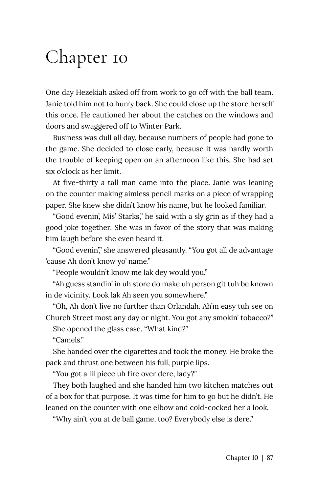### Chapter 10

One day Hezekiah asked off from work to go off with the ball team. Janie told him not to hurry back. She could close up the store herself this once. He cautioned her about the catches on the windows and doors and swaggered off to Winter Park.

Business was dull all day, because numbers of people had gone to the game. She decided to close early, because it was hardly worth the trouble of keeping open on an afternoon like this. She had set six o'clock as her limit.

At five-thirty a tall man came into the place. Janie was leaning on the counter making aimless pencil marks on a piece of wrapping paper. She knew she didn't know his name, but he looked familiar.

"Good evenin', Mis' Starks," he said with a sly grin as if they had a good joke together. She was in favor of the story that was making him laugh before she even heard it.

"Good evenin," she answered pleasantly. "You got all de advantage 'cause Ah don't know yo' name."

"People wouldn't know me lak dey would you."

"Ah guess standin' in uh store do make uh person git tuh be known in de vicinity. Look lak Ah seen you somewhere."

"Oh, Ah don't live no further than Orlandah. Ah'm easy tuh see on Church Street most any day or night. You got any smokin' tobacco?" She opened the glass case. "What kind?" "Camels."

She handed over the cigarettes and took the money. He broke the pack and thrust one between his full, purple lips.

"You got a lil piece uh fire over dere, lady?"

They both laughed and she handed him two kitchen matches out of a box for that purpose. It was time for him to go but he didn't. He leaned on the counter with one elbow and cold-cocked her a look.

"Why ain't you at de ball game, too? Everybody else is dere."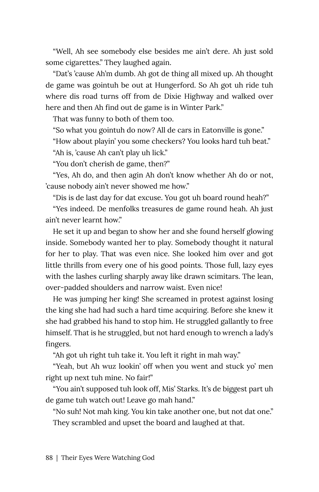"Well, Ah see somebody else besides me ain't dere. Ah just sold some cigarettes." They laughed again.

"Dat's 'cause Ah'm dumb. Ah got de thing all mixed up. Ah thought de game was gointuh be out at Hungerford. So Ah got uh ride tuh where dis road turns off from de Dixie Highway and walked over here and then Ah find out de game is in Winter Park."

That was funny to both of them too.

"So what you gointuh do now? All de cars in Eatonville is gone."

"How about playin' you some checkers? You looks hard tuh beat."

"Ah is, 'cause Ah can't play uh lick."

"You don't cherish de game, then?"

"Yes, Ah do, and then agin Ah don't know whether Ah do or not, 'cause nobody ain't never showed me how."

"Dis is de last day for dat excuse. You got uh board round heah?"

"Yes indeed. De menfolks treasures de game round heah. Ah just ain't never learnt how."

He set it up and began to show her and she found herself glowing inside. Somebody wanted her to play. Somebody thought it natural for her to play. That was even nice. She looked him over and got little thrills from every one of his good points. Those full, lazy eyes with the lashes curling sharply away like drawn scimitars. The lean, over-padded shoulders and narrow waist. Even nice!

He was jumping her king! She screamed in protest against losing the king she had had such a hard time acquiring. Before she knew it she had grabbed his hand to stop him. He struggled gallantly to free himself. That is he struggled, but not hard enough to wrench a lady's fingers.

"Ah got uh right tuh take it. You left it right in mah way."

"Yeah, but Ah wuz lookin' off when you went and stuck yo' men right up next tuh mine. No fair!"

"You ain't supposed tuh look off, Mis' Starks. It's de biggest part uh de game tuh watch out! Leave go mah hand."

"No suh! Not mah king. You kin take another one, but not dat one." They scrambled and upset the board and laughed at that.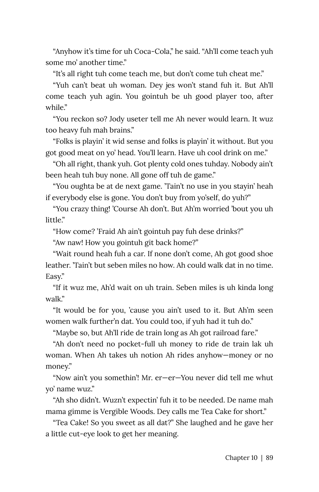"Anyhow it's time for uh Coca-Cola," he said. "Ah'll come teach yuh some mo' another time."

"It's all right tuh come teach me, but don't come tuh cheat me."

"Yuh can't beat uh woman. Dey jes won't stand fuh it. But Ah'll come teach yuh agin. You gointuh be uh good player too, after while."

"You reckon so? Jody useter tell me Ah never would learn. It wuz too heavy fuh mah brains."

"Folks is playin' it wid sense and folks is playin' it without. But you got good meat on yo' head. You'll learn. Have uh cool drink on me."

"Oh all right, thank yuh. Got plenty cold ones tuhday. Nobody ain't been heah tuh buy none. All gone off tuh de game."

"You oughta be at de next game. 'Tain't no use in you stayin' heah if everybody else is gone. You don't buy from yo'self, do yuh?"

"You crazy thing! 'Course Ah don't. But Ah'm worried 'bout you uh little"

"How come? 'Fraid Ah ain't gointuh pay fuh dese drinks?"

"Aw naw! How you gointuh git back home?"

"Wait round heah fuh a car. If none don't come, Ah got good shoe leather. 'Tain't but seben miles no how. Ah could walk dat in no time. Easy."

"If it wuz me, Ah'd wait on uh train. Seben miles is uh kinda long walk."

"It would be for you, 'cause you ain't used to it. But Ah'm seen women walk further'n dat. You could too, if yuh had it tuh do."

"Maybe so, but Ah'll ride de train long as Ah got railroad fare."

"Ah don't need no pocket-full uh money to ride de train lak uh woman. When Ah takes uh notion Ah rides anyhow—money or no money."

"Now ain't you somethin'! Mr. er—er—You never did tell me whut yo' name wuz."

"Ah sho didn't. Wuzn't expectin' fuh it to be needed. De name mah mama gimme is Vergible Woods. Dey calls me Tea Cake for short."

"Tea Cake! So you sweet as all dat?" She laughed and he gave her a little cut-eye look to get her meaning.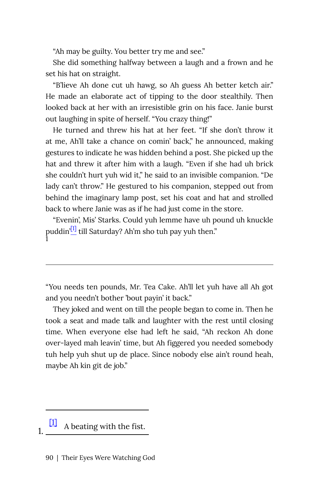"Ah may be guilty. You better try me and see."

She did something halfway between a laugh and a frown and he set his hat on straight.

"B'lieve Ah done cut uh hawg, so Ah guess Ah better ketch air." He made an elaborate act of tipping to the door stealthily. Then looked back at her with an irresistible grin on his face. Janie burst out laughing in spite of herself. "You crazy thing!"

He turned and threw his hat at her feet. "If she don't throw it at me, Ah'll take a chance on comin' back," he announced, making gestures to indicate he was hidden behind a post. She picked up the hat and threw it after him with a laugh. "Even if she had uh brick she couldn't hurt yuh wid it," he said to an invisible companion. "De lady can't throw." He gestured to his companion, stepped out from behind the imaginary lamp post, set his coat and hat and strolled back to where Janie was as if he had just come in the store.

<span id="page-95-1"></span>"Evenin', Mis' Starks. Could yuh lemme have uh pound uh knuckle puddin'<sup>[\[1\]](#page-95-0)</sup> till Saturday? Ah'm sho tuh pay yuh then." 1

"You needs ten pounds, Mr. Tea Cake. Ah'll let yuh have all Ah got and you needn't bother 'bout payin' it back."

They joked and went on till the people began to come in. Then he took a seat and made talk and laughter with the rest until closing time. When everyone else had left he said, "Ah reckon Ah done over-layed mah leavin' time, but Ah figgered you needed somebody tuh help yuh shut up de place. Since nobody else ain't round heah, maybe Ah kin git de job."

<span id="page-95-0"></span>1. [\[1\]](#page-95-1) A beating with the fist.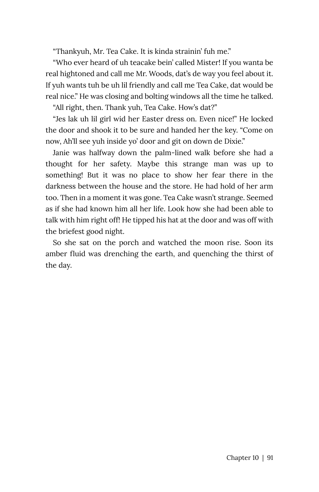"Thankyuh, Mr. Tea Cake. It is kinda strainin' fuh me."

"Who ever heard of uh teacake bein' called Mister! If you wanta be real hightoned and call me Mr. Woods, dat's de way you feel about it. If yuh wants tuh be uh lil friendly and call me Tea Cake, dat would be real nice." He was closing and bolting windows all the time he talked.

"All right, then. Thank yuh, Tea Cake. How's dat?"

"Jes lak uh lil girl wid her Easter dress on. Even nice!" He locked the door and shook it to be sure and handed her the key. "Come on now, Ah'll see yuh inside yo' door and git on down de Dixie."

Janie was halfway down the palm-lined walk before she had a thought for her safety. Maybe this strange man was up to something! But it was no place to show her fear there in the darkness between the house and the store. He had hold of her arm too. Then in a moment it was gone. Tea Cake wasn't strange. Seemed as if she had known him all her life. Look how she had been able to talk with him right off! He tipped his hat at the door and was off with the briefest good night.

So she sat on the porch and watched the moon rise. Soon its amber fluid was drenching the earth, and quenching the thirst of the day.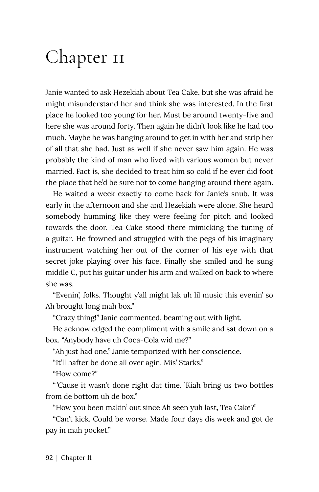## Chapter II

Janie wanted to ask Hezekiah about Tea Cake, but she was afraid he might misunderstand her and think she was interested. In the first place he looked too young for her. Must be around twenty-five and here she was around forty. Then again he didn't look like he had too much. Maybe he was hanging around to get in with her and strip her of all that she had. Just as well if she never saw him again. He was probably the kind of man who lived with various women but never married. Fact is, she decided to treat him so cold if he ever did foot the place that he'd be sure not to come hanging around there again.

He waited a week exactly to come back for Janie's snub. It was early in the afternoon and she and Hezekiah were alone. She heard somebody humming like they were feeling for pitch and looked towards the door. Tea Cake stood there mimicking the tuning of a guitar. He frowned and struggled with the pegs of his imaginary instrument watching her out of the corner of his eye with that secret joke playing over his face. Finally she smiled and he sung middle C, put his guitar under his arm and walked on back to where she was.

"Evenin', folks. Thought y'all might lak uh lil music this evenin' so Ah brought long mah box."

"Crazy thing!" Janie commented, beaming out with light.

He acknowledged the compliment with a smile and sat down on a box. "Anybody have uh Coca-Cola wid me?"

"Ah just had one," Janie temporized with her conscience.

"It'll hafter be done all over agin, Mis' Starks."

"How come?"

" 'Cause it wasn't done right dat time. 'Kiah bring us two bottles from de bottom uh de box."

"How you been makin' out since Ah seen yuh last, Tea Cake?"

"Can't kick. Could be worse. Made four days dis week and got de pay in mah pocket."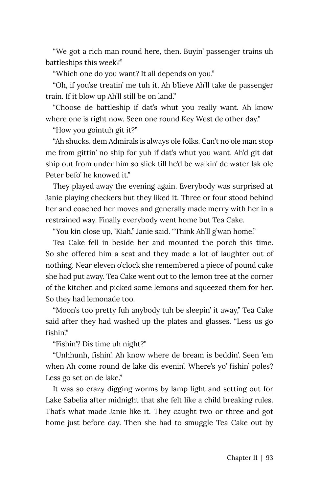"We got a rich man round here, then. Buyin' passenger trains uh battleships this week?"

"Which one do you want? It all depends on you."

"Oh, if you'se treatin' me tuh it, Ah b'lieve Ah'll take de passenger train. If it blow up Ah'll still be on land."

"Choose de battleship if dat's whut you really want. Ah know where one is right now. Seen one round Key West de other day."

"How you gointuh git it?"

"Ah shucks, dem Admirals is always ole folks. Can't no ole man stop me from gittin' no ship for yuh if dat's whut you want. Ah'd git dat ship out from under him so slick till he'd be walkin' de water lak ole Peter befo' he knowed it."

They played away the evening again. Everybody was surprised at Janie playing checkers but they liked it. Three or four stood behind her and coached her moves and generally made merry with her in a restrained way. Finally everybody went home but Tea Cake.

"You kin close up, 'Kiah," Janie said. "Think Ah'll g'wan home."

Tea Cake fell in beside her and mounted the porch this time. So she offered him a seat and they made a lot of laughter out of nothing. Near eleven o'clock she remembered a piece of pound cake she had put away. Tea Cake went out to the lemon tree at the corner of the kitchen and picked some lemons and squeezed them for her. So they had lemonade too.

"Moon's too pretty fuh anybody tuh be sleepin' it away," Tea Cake said after they had washed up the plates and glasses. "Less us go fishin'."

"Fishin'? Dis time uh night?"

"Unhhunh, fishin'. Ah know where de bream is beddin'. Seen 'em when Ah come round de lake dis evenin'. Where's yo' fishin' poles? Less go set on de lake."

It was so crazy digging worms by lamp light and setting out for Lake Sabelia after midnight that she felt like a child breaking rules. That's what made Janie like it. They caught two or three and got home just before day. Then she had to smuggle Tea Cake out by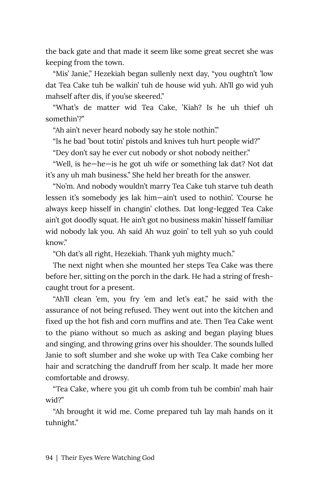the back gate and that made it seem like some great secret she was keeping from the town.

"Mis' Janie," Hezekiah began sullenly next day, "you oughtn't 'low dat Tea Cake tuh be walkin' tuh de house wid yuh. Ah'll go wid yuh mahself after dis, if you'se skeered."

"What's de matter wid Tea Cake, 'Kiah? Is he uh thief uh somethin'?"

"Ah ain't never heard nobody say he stole nothin'."

"Is he bad 'bout totin' pistols and knives tuh hurt people wid?"

"Dey don't say he ever cut nobody or shot nobody neither."

"Well, is he—he—is he got uh wife or something lak dat? Not dat it's any uh mah business." She held her breath for the answer.

"No'm. And nobody wouldn't marry Tea Cake tuh starve tuh death lessen it's somebody jes lak him—ain't used to nothin'. 'Course he always keep hisself in changin' clothes. Dat long-legged Tea Cake ain't got doodly squat. He ain't got no business makin' hisself familiar wid nobody lak you. Ah said Ah wuz goin' to tell yuh so yuh could know."

"Oh dat's all right, Hezekiah. Thank yuh mighty much."

The next night when she mounted her steps Tea Cake was there before her, sitting on the porch in the dark. He had a string of freshcaught trout for a present.

"Ah'll clean 'em, you fry 'em and let's eat," he said with the assurance of not being refused. They went out into the kitchen and fixed up the hot fish and corn muffins and ate. Then Tea Cake went to the piano without so much as asking and began playing blues and singing, and throwing grins over his shoulder. The sounds lulled Janie to soft slumber and she woke up with Tea Cake combing her hair and scratching the dandruff from her scalp. It made her more comfortable and drowsy.

"Tea Cake, where you git uh comb from tuh be combin' mah hair wid?"

"Ah brought it wid me. Come prepared tuh lay mah hands on it tuhnight."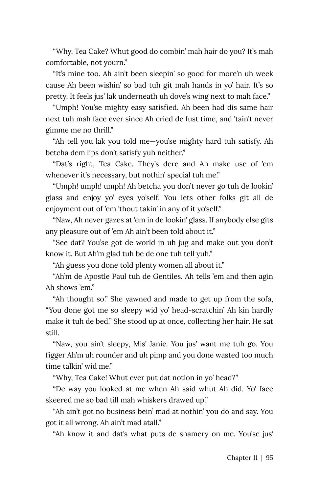"Why, Tea Cake? Whut good do combin' mah hair do you? It's mah comfortable, not yourn."

"It's mine too. Ah ain't been sleepin' so good for more'n uh week cause Ah been wishin' so bad tuh git mah hands in yo' hair. It's so pretty. It feels jus' lak underneath uh dove's wing next to mah face."

"Umph! You'se mighty easy satisfied. Ah been had dis same hair next tuh mah face ever since Ah cried de fust time, and 'tain't never gimme me no thrill."

"Ah tell you lak you told me—you'se mighty hard tuh satisfy. Ah betcha dem lips don't satisfy yuh neither."

"Dat's right, Tea Cake. They's dere and Ah make use of 'em whenever it's necessary, but nothin' special tuh me."

"Umph! umph! umph! Ah betcha you don't never go tuh de lookin' glass and enjoy yo' eyes yo'self. You lets other folks git all de enjoyment out of 'em 'thout takin' in any of it yo'self."

"Naw, Ah never gazes at 'em in de lookin' glass. If anybody else gits any pleasure out of 'em Ah ain't been told about it."

"See dat? You'se got de world in uh jug and make out you don't know it. But Ah'm glad tuh be de one tuh tell yuh."

"Ah guess you done told plenty women all about it."

"Ah'm de Apostle Paul tuh de Gentiles. Ah tells 'em and then agin Ah shows 'em."

"Ah thought so." She yawned and made to get up from the sofa, "You done got me so sleepy wid yo' head-scratchin' Ah kin hardly make it tuh de bed." She stood up at once, collecting her hair. He sat still.

"Naw, you ain't sleepy, Mis' Janie. You jus' want me tuh go. You figger Ah'm uh rounder and uh pimp and you done wasted too much time talkin' wid me."

"Why, Tea Cake! Whut ever put dat notion in yo' head?"

"De way you looked at me when Ah said whut Ah did. Yo' face skeered me so bad till mah whiskers drawed up."

"Ah ain't got no business bein' mad at nothin' you do and say. You got it all wrong. Ah ain't mad atall."

"Ah know it and dat's what puts de shamery on me. You'se jus'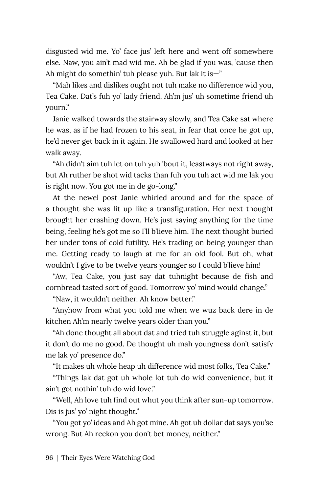disgusted wid me. Yo' face jus' left here and went off somewhere else. Naw, you ain't mad wid me. Ah be glad if you was, 'cause then Ah might do somethin' tuh please yuh. But lak it is—"

"Mah likes and dislikes ought not tuh make no difference wid you, Tea Cake. Dat's fuh yo' lady friend. Ah'm jus' uh sometime friend uh yourn."

Janie walked towards the stairway slowly, and Tea Cake sat where he was, as if he had frozen to his seat, in fear that once he got up, he'd never get back in it again. He swallowed hard and looked at her walk away.

"Ah didn't aim tuh let on tuh yuh 'bout it, leastways not right away, but Ah ruther be shot wid tacks than fuh you tuh act wid me lak you is right now. You got me in de go-long."

At the newel post Janie whirled around and for the space of a thought she was lit up like a transfiguration. Her next thought brought her crashing down. He's just saying anything for the time being, feeling he's got me so I'll b'lieve him. The next thought buried her under tons of cold futility. He's trading on being younger than me. Getting ready to laugh at me for an old fool. But oh, what wouldn't I give to be twelve years younger so I could b'lieve him!

"Aw, Tea Cake, you just say dat tuhnight because de fish and cornbread tasted sort of good. Tomorrow yo' mind would change."

"Naw, it wouldn't neither. Ah know better."

"Anyhow from what you told me when we wuz back dere in de kitchen Ah'm nearly twelve years older than you."

"Ah done thought all about dat and tried tuh struggle aginst it, but it don't do me no good. De thought uh mah youngness don't satisfy me lak yo' presence do."

"It makes uh whole heap uh difference wid most folks, Tea Cake."

"Things lak dat got uh whole lot tuh do wid convenience, but it ain't got nothin' tuh do wid love."

"Well, Ah love tuh find out whut you think after sun-up tomorrow. Dis is jus' yo' night thought."

"You got yo' ideas and Ah got mine. Ah got uh dollar dat says you'se wrong. But Ah reckon you don't bet money, neither."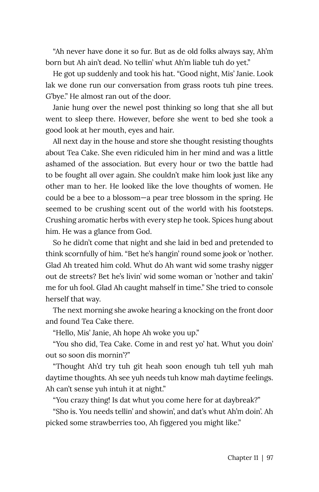"Ah never have done it so fur. But as de old folks always say, Ah'm born but Ah ain't dead. No tellin' whut Ah'm liable tuh do yet."

He got up suddenly and took his hat. "Good night, Mis' Janie. Look lak we done run our conversation from grass roots tuh pine trees. G'bye." He almost ran out of the door.

Janie hung over the newel post thinking so long that she all but went to sleep there. However, before she went to bed she took a good look at her mouth, eyes and hair.

All next day in the house and store she thought resisting thoughts about Tea Cake. She even ridiculed him in her mind and was a little ashamed of the association. But every hour or two the battle had to be fought all over again. She couldn't make him look just like any other man to her. He looked like the love thoughts of women. He could be a bee to a blossom—a pear tree blossom in the spring. He seemed to be crushing scent out of the world with his footsteps. Crushing aromatic herbs with every step he took. Spices hung about him. He was a glance from God.

So he didn't come that night and she laid in bed and pretended to think scornfully of him. "Bet he's hangin' round some jook or 'nother. Glad Ah treated him cold. Whut do Ah want wid some trashy nigger out de streets? Bet he's livin' wid some woman or 'nother and takin' me for uh fool. Glad Ah caught mahself in time." She tried to console herself that way.

The next morning she awoke hearing a knocking on the front door and found Tea Cake there.

"Hello, Mis' Janie, Ah hope Ah woke you up."

"You sho did, Tea Cake. Come in and rest yo' hat. Whut you doin' out so soon dis mornin'?"

"Thought Ah'd try tuh git heah soon enough tuh tell yuh mah daytime thoughts. Ah see yuh needs tuh know mah daytime feelings. Ah can't sense yuh intuh it at night."

"You crazy thing! Is dat whut you come here for at daybreak?"

"Sho is. You needs tellin' and showin', and dat's whut Ah'm doin'. Ah picked some strawberries too, Ah figgered you might like."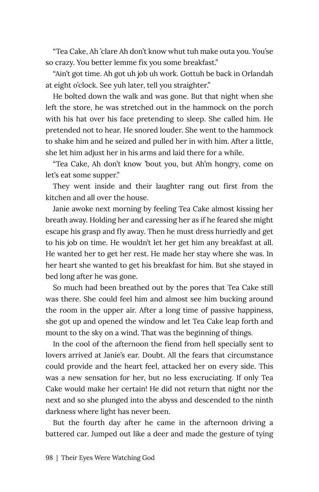"Tea Cake, Ah 'clare Ah don't know whut tuh make outa you. You'se so crazy. You better lemme fix you some breakfast."

"Ain't got time. Ah got uh job uh work. Gottuh be back in Orlandah at eight o'clock. See yuh later, tell you straighter."

He bolted down the walk and was gone. But that night when she left the store, he was stretched out in the hammock on the porch with his hat over his face pretending to sleep. She called him. He pretended not to hear. He snored louder. She went to the hammock to shake him and he seized and pulled her in with him. After a little, she let him adjust her in his arms and laid there for a while.

"Tea Cake, Ah don't know 'bout you, but Ah'm hongry, come on let's eat some supper."

They went inside and their laughter rang out first from the kitchen and all over the house.

Janie awoke next morning by feeling Tea Cake almost kissing her breath away. Holding her and caressing her as if he feared she might escape his grasp and fly away. Then he must dress hurriedly and get to his job on time. He wouldn't let her get him any breakfast at all. He wanted her to get her rest. He made her stay where she was. In her heart she wanted to get his breakfast for him. But she stayed in bed long after he was gone.

So much had been breathed out by the pores that Tea Cake still was there. She could feel him and almost see him bucking around the room in the upper air. After a long time of passive happiness, she got up and opened the window and let Tea Cake leap forth and mount to the sky on a wind. That was the beginning of things.

In the cool of the afternoon the fiend from hell specially sent to lovers arrived at Janie's ear. Doubt. All the fears that circumstance could provide and the heart feel, attacked her on every side. This was a new sensation for her, but no less excruciating. If only Tea Cake would make her certain! He did not return that night nor the next and so she plunged into the abyss and descended to the ninth darkness where light has never been.

But the fourth day after he came in the afternoon driving a battered car. Jumped out like a deer and made the gesture of tying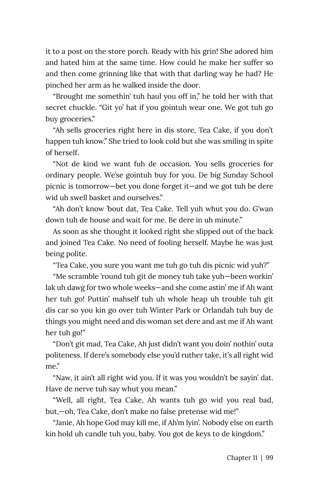it to a post on the store porch. Ready with his grin! She adored him and hated him at the same time. How could he make her suffer so and then come grinning like that with that darling way he had? He pinched her arm as he walked inside the door.

"Brought me somethin' tuh haul you off in," he told her with that secret chuckle. "Git yo' hat if you gointuh wear one. We got tuh go buy groceries."

"Ah sells groceries right here in dis store, Tea Cake, if you don't happen tuh know." She tried to look cold but she was smiling in spite of herself.

"Not de kind we want fuh de occasion. You sells groceries for ordinary people. We'se gointuh buy for you. De big Sunday School picnic is tomorrow—bet you done forget it—and we got tuh be dere wid uh swell basket and ourselves."

"Ah don't know 'bout dat, Tea Cake. Tell yuh whut you do. G'wan down tuh de house and wait for me. Be dere in uh minute."

As soon as she thought it looked right she slipped out of the back and joined Tea Cake. No need of fooling herself. Maybe he was just being polite.

"Tea Cake, you sure you want me tuh go tuh dis picnic wid yuh?"

"Me scramble 'round tuh git de money tuh take yuh—been workin' lak uh dawg for two whole weeks—and she come astin' me if Ah want her tuh go! Puttin' mahself tuh uh whole heap uh trouble tuh git dis car so you kin go over tuh Winter Park or Orlandah tuh buy de things you might need and dis woman set dere and ast me if Ah want her tuh go!"

"Don't git mad, Tea Cake, Ah just didn't want you doin' nothin' outa politeness. If dere's somebody else you'd ruther take, it's all right wid me."

"Naw, it ain't all right wid you. If it was you wouldn't be sayin' dat. Have de nerve tuh say whut you mean."

"Well, all right, Tea Cake, Ah wants tuh go wid you real bad, but,—oh, Tea Cake, don't make no false pretense wid me!"

"Janie, Ah hope God may kill me, if Ah'm lyin'. Nobody else on earth kin hold uh candle tuh you, baby. You got de keys to de kingdom."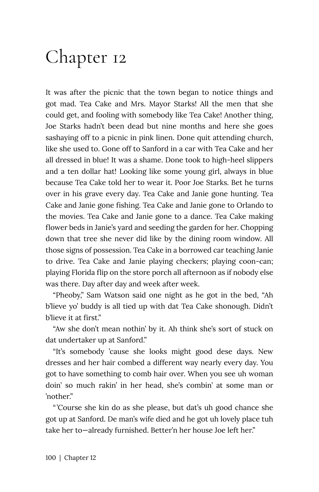#### Chapter 12

It was after the picnic that the town began to notice things and got mad. Tea Cake and Mrs. Mayor Starks! All the men that she could get, and fooling with somebody like Tea Cake! Another thing, Joe Starks hadn't been dead but nine months and here she goes sashaying off to a picnic in pink linen. Done quit attending church, like she used to. Gone off to Sanford in a car with Tea Cake and her all dressed in blue! It was a shame. Done took to high-heel slippers and a ten dollar hat! Looking like some young girl, always in blue because Tea Cake told her to wear it. Poor Joe Starks. Bet he turns over in his grave every day. Tea Cake and Janie gone hunting. Tea Cake and Janie gone fishing. Tea Cake and Janie gone to Orlando to the movies. Tea Cake and Janie gone to a dance. Tea Cake making flower beds in Janie's yard and seeding the garden for her. Chopping down that tree she never did like by the dining room window. All those signs of possession. Tea Cake in a borrowed car teaching Janie to drive. Tea Cake and Janie playing checkers; playing coon-can; playing Florida flip on the store porch all afternoon as if nobody else was there. Day after day and week after week.

"Pheoby," Sam Watson said one night as he got in the bed, "Ah b'lieve yo' buddy is all tied up with dat Tea Cake shonough. Didn't b'lieve it at first."

"Aw she don't mean nothin' by it. Ah think she's sort of stuck on dat undertaker up at Sanford."

"It's somebody 'cause she looks might good dese days. New dresses and her hair combed a different way nearly every day. You got to have something to comb hair over. When you see uh woman doin' so much rakin' in her head, she's combin' at some man or 'nother."

" 'Course she kin do as she please, but dat's uh good chance she got up at Sanford. De man's wife died and he got uh lovely place tuh take her to—already furnished. Better'n her house Joe left her."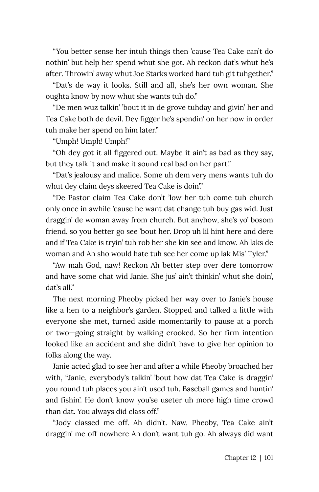"You better sense her intuh things then 'cause Tea Cake can't do nothin' but help her spend whut she got. Ah reckon dat's whut he's after. Throwin' away whut Joe Starks worked hard tuh git tuhgether."

"Dat's de way it looks. Still and all, she's her own woman. She oughta know by now whut she wants tuh do."

"De men wuz talkin' 'bout it in de grove tuhday and givin' her and Tea Cake both de devil. Dey figger he's spendin' on her now in order tuh make her spend on him later."

"Umph! Umph! Umph!"

"Oh dey got it all figgered out. Maybe it ain't as bad as they say, but they talk it and make it sound real bad on her part."

"Dat's jealousy and malice. Some uh dem very mens wants tuh do whut dey claim deys skeered Tea Cake is doin'."

"De Pastor claim Tea Cake don't 'low her tuh come tuh church only once in awhile 'cause he want dat change tuh buy gas wid. Just draggin' de woman away from church. But anyhow, she's yo' bosom friend, so you better go see 'bout her. Drop uh lil hint here and dere and if Tea Cake is tryin' tuh rob her she kin see and know. Ah laks de woman and Ah sho would hate tuh see her come up lak Mis' Tyler."

"Aw mah God, naw! Reckon Ah better step over dere tomorrow and have some chat wid Janie. She jus' ain't thinkin' whut she doin', dat's all."

The next morning Pheoby picked her way over to Janie's house like a hen to a neighbor's garden. Stopped and talked a little with everyone she met, turned aside momentarily to pause at a porch or two—going straight by walking crooked. So her firm intention looked like an accident and she didn't have to give her opinion to folks along the way.

Janie acted glad to see her and after a while Pheoby broached her with, "Janie, everybody's talkin' 'bout how dat Tea Cake is draggin' you round tuh places you ain't used tuh. Baseball games and huntin' and fishin'. He don't know you'se useter uh more high time crowd than dat. You always did class off."

"Jody classed me off. Ah didn't. Naw, Pheoby, Tea Cake ain't draggin' me off nowhere Ah don't want tuh go. Ah always did want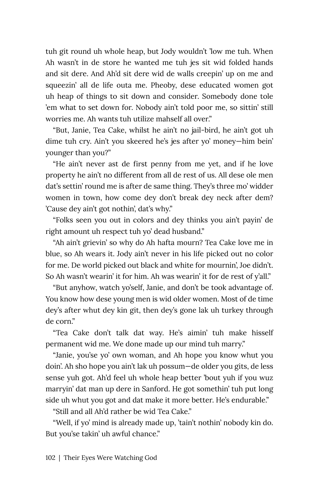tuh git round uh whole heap, but Jody wouldn't 'low me tuh. When Ah wasn't in de store he wanted me tuh jes sit wid folded hands and sit dere. And Ah'd sit dere wid de walls creepin' up on me and squeezin' all de life outa me. Pheoby, dese educated women got uh heap of things to sit down and consider. Somebody done tole 'em what to set down for. Nobody ain't told poor me, so sittin' still worries me. Ah wants tuh utilize mahself all over."

"But, Janie, Tea Cake, whilst he ain't no jail-bird, he ain't got uh dime tuh cry. Ain't you skeered he's jes after yo' money—him bein' younger than you?"

"He ain't never ast de first penny from me yet, and if he love property he ain't no different from all de rest of us. All dese ole men dat's settin' round me is after de same thing. They's three mo' widder women in town, how come dey don't break dey neck after dem? 'Cause dey ain't got nothin', dat's why."

"Folks seen you out in colors and dey thinks you ain't payin' de right amount uh respect tuh yo' dead husband."

"Ah ain't grievin' so why do Ah hafta mourn? Tea Cake love me in blue, so Ah wears it. Jody ain't never in his life picked out no color for me. De world picked out black and white for mournin', Joe didn't. So Ah wasn't wearin' it for him. Ah was wearin' it for de rest of y'all."

"But anyhow, watch yo'self, Janie, and don't be took advantage of. You know how dese young men is wid older women. Most of de time dey's after whut dey kin git, then dey's gone lak uh turkey through de corn."

"Tea Cake don't talk dat way. He's aimin' tuh make hisself permanent wid me. We done made up our mind tuh marry."

"Janie, you'se yo' own woman, and Ah hope you know whut you doin'. Ah sho hope you ain't lak uh possum—de older you gits, de less sense yuh got. Ah'd feel uh whole heap better 'bout yuh if you wuz marryin' dat man up dere in Sanford. He got somethin' tuh put long side uh whut you got and dat make it more better. He's endurable."

"Still and all Ah'd rather be wid Tea Cake."

"Well, if yo' mind is already made up, 'tain't nothin' nobody kin do. But you'se takin' uh awful chance."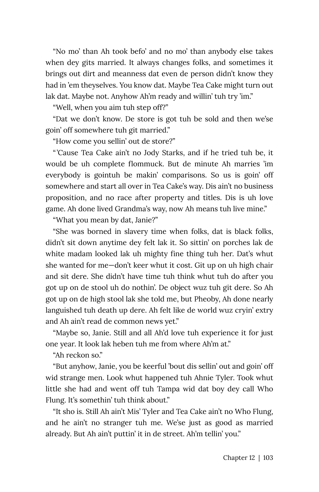"No mo' than Ah took befo' and no mo' than anybody else takes when dey gits married. It always changes folks, and sometimes it brings out dirt and meanness dat even de person didn't know they had in 'em theyselves. You know dat. Maybe Tea Cake might turn out lak dat. Maybe not. Anyhow Ah'm ready and willin' tuh try 'im."

"Well, when you aim tuh step off?"

"Dat we don't know. De store is got tuh be sold and then we'se goin' off somewhere tuh git married."

"How come you sellin' out de store?"

" 'Cause Tea Cake ain't no Jody Starks, and if he tried tuh be, it would be uh complete flommuck. But de minute Ah marries 'im everybody is gointuh be makin' comparisons. So us is goin' off somewhere and start all over in Tea Cake's way. Dis ain't no business proposition, and no race after property and titles. Dis is uh love game. Ah done lived Grandma's way, now Ah means tuh live mine."

"What you mean by dat, Janie?"

"She was borned in slavery time when folks, dat is black folks, didn't sit down anytime dey felt lak it. So sittin' on porches lak de white madam looked lak uh mighty fine thing tuh her. Dat's whut she wanted for me—don't keer whut it cost. Git up on uh high chair and sit dere. She didn't have time tuh think whut tuh do after you got up on de stool uh do nothin'. De object wuz tuh git dere. So Ah got up on de high stool lak she told me, but Pheoby, Ah done nearly languished tuh death up dere. Ah felt like de world wuz cryin' extry and Ah ain't read de common news yet."

"Maybe so, Janie. Still and all Ah'd love tuh experience it for just one year. It look lak heben tuh me from where Ah'm at."

"Ah reckon so."

"But anyhow, Janie, you be keerful 'bout dis sellin' out and goin' off wid strange men. Look whut happened tuh Ahnie Tyler. Took whut little she had and went off tuh Tampa wid dat boy dey call Who Flung. It's somethin' tuh think about."

"It sho is. Still Ah ain't Mis' Tyler and Tea Cake ain't no Who Flung, and he ain't no stranger tuh me. We'se just as good as married already. But Ah ain't puttin' it in de street. Ah'm tellin' you."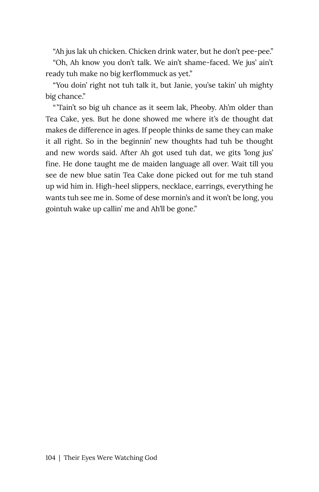"Ah jus lak uh chicken. Chicken drink water, but he don't pee-pee."

"Oh, Ah know you don't talk. We ain't shame-faced. We jus' ain't ready tuh make no big kerflommuck as yet."

"You doin' right not tuh talk it, but Janie, you'se takin' uh mighty big chance."

" 'Tain't so big uh chance as it seem lak, Pheoby. Ah'm older than Tea Cake, yes. But he done showed me where it's de thought dat makes de difference in ages. If people thinks de same they can make it all right. So in the beginnin' new thoughts had tuh be thought and new words said. After Ah got used tuh dat, we gits 'long jus' fine. He done taught me de maiden language all over. Wait till you see de new blue satin Tea Cake done picked out for me tuh stand up wid him in. High-heel slippers, necklace, earrings, everything he wants tuh see me in. Some of dese mornin's and it won't be long, you gointuh wake up callin' me and Ah'll be gone."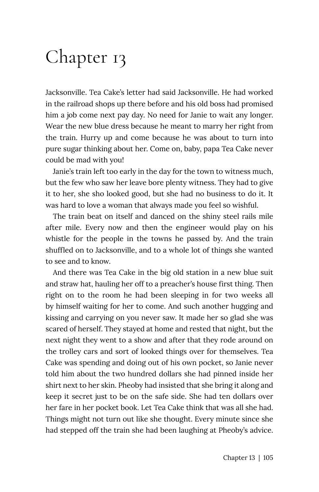# Chapter 13

Jacksonville. Tea Cake's letter had said Jacksonville. He had worked in the railroad shops up there before and his old boss had promised him a job come next pay day. No need for Janie to wait any longer. Wear the new blue dress because he meant to marry her right from the train. Hurry up and come because he was about to turn into pure sugar thinking about her. Come on, baby, papa Tea Cake never could be mad with you!

Janie's train left too early in the day for the town to witness much, but the few who saw her leave bore plenty witness. They had to give it to her, she sho looked good, but she had no business to do it. It was hard to love a woman that always made you feel so wishful.

The train beat on itself and danced on the shiny steel rails mile after mile. Every now and then the engineer would play on his whistle for the people in the towns he passed by. And the train shuffled on to Jacksonville, and to a whole lot of things she wanted to see and to know.

And there was Tea Cake in the big old station in a new blue suit and straw hat, hauling her off to a preacher's house first thing. Then right on to the room he had been sleeping in for two weeks all by himself waiting for her to come. And such another hugging and kissing and carrying on you never saw. It made her so glad she was scared of herself. They stayed at home and rested that night, but the next night they went to a show and after that they rode around on the trolley cars and sort of looked things over for themselves. Tea Cake was spending and doing out of his own pocket, so Janie never told him about the two hundred dollars she had pinned inside her shirt next to her skin. Pheoby had insisted that she bring it along and keep it secret just to be on the safe side. She had ten dollars over her fare in her pocket book. Let Tea Cake think that was all she had. Things might not turn out like she thought. Every minute since she had stepped off the train she had been laughing at Pheoby's advice.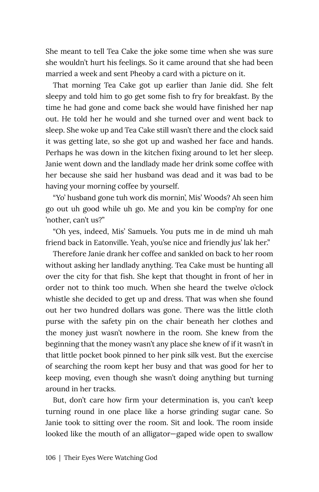She meant to tell Tea Cake the joke some time when she was sure she wouldn't hurt his feelings. So it came around that she had been married a week and sent Pheoby a card with a picture on it.

That morning Tea Cake got up earlier than Janie did. She felt sleepy and told him to go get some fish to fry for breakfast. By the time he had gone and come back she would have finished her nap out. He told her he would and she turned over and went back to sleep. She woke up and Tea Cake still wasn't there and the clock said it was getting late, so she got up and washed her face and hands. Perhaps he was down in the kitchen fixing around to let her sleep. Janie went down and the landlady made her drink some coffee with her because she said her husband was dead and it was bad to be having your morning coffee by yourself.

"Yo' husband gone tuh work dis mornin', Mis' Woods? Ah seen him go out uh good while uh go. Me and you kin be comp'ny for one 'nother, can't us?"

"Oh yes, indeed, Mis' Samuels. You puts me in de mind uh mah friend back in Eatonville. Yeah, you'se nice and friendly jus' lak her."

Therefore Janie drank her coffee and sankled on back to her room without asking her landlady anything. Tea Cake must be hunting all over the city for that fish. She kept that thought in front of her in order not to think too much. When she heard the twelve o'clock whistle she decided to get up and dress. That was when she found out her two hundred dollars was gone. There was the little cloth purse with the safety pin on the chair beneath her clothes and the money just wasn't nowhere in the room. She knew from the beginning that the money wasn't any place she knew of if it wasn't in that little pocket book pinned to her pink silk vest. But the exercise of searching the room kept her busy and that was good for her to keep moving, even though she wasn't doing anything but turning around in her tracks.

But, don't care how firm your determination is, you can't keep turning round in one place like a horse grinding sugar cane. So Janie took to sitting over the room. Sit and look. The room inside looked like the mouth of an alligator—gaped wide open to swallow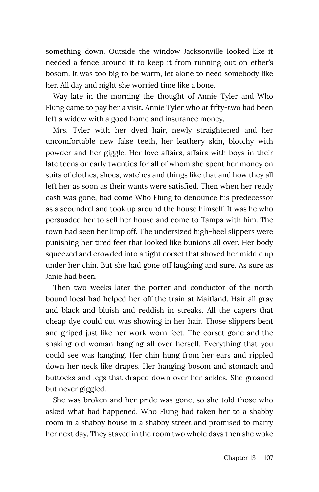something down. Outside the window Jacksonville looked like it needed a fence around it to keep it from running out on ether's bosom. It was too big to be warm, let alone to need somebody like her. All day and night she worried time like a bone.

Way late in the morning the thought of Annie Tyler and Who Flung came to pay her a visit. Annie Tyler who at fifty-two had been left a widow with a good home and insurance money.

Mrs. Tyler with her dyed hair, newly straightened and her uncomfortable new false teeth, her leathery skin, blotchy with powder and her giggle. Her love affairs, affairs with boys in their late teens or early twenties for all of whom she spent her money on suits of clothes, shoes, watches and things like that and how they all left her as soon as their wants were satisfied. Then when her ready cash was gone, had come Who Flung to denounce his predecessor as a scoundrel and took up around the house himself. It was he who persuaded her to sell her house and come to Tampa with him. The town had seen her limp off. The undersized high-heel slippers were punishing her tired feet that looked like bunions all over. Her body squeezed and crowded into a tight corset that shoved her middle up under her chin. But she had gone off laughing and sure. As sure as Janie had been.

Then two weeks later the porter and conductor of the north bound local had helped her off the train at Maitland. Hair all gray and black and bluish and reddish in streaks. All the capers that cheap dye could cut was showing in her hair. Those slippers bent and griped just like her work-worn feet. The corset gone and the shaking old woman hanging all over herself. Everything that you could see was hanging. Her chin hung from her ears and rippled down her neck like drapes. Her hanging bosom and stomach and buttocks and legs that draped down over her ankles. She groaned but never giggled.

She was broken and her pride was gone, so she told those who asked what had happened. Who Flung had taken her to a shabby room in a shabby house in a shabby street and promised to marry her next day. They stayed in the room two whole days then she woke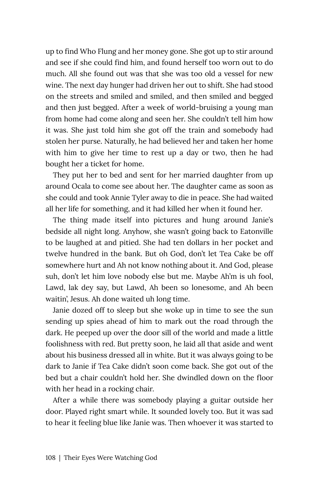up to find Who Flung and her money gone. She got up to stir around and see if she could find him, and found herself too worn out to do much. All she found out was that she was too old a vessel for new wine. The next day hunger had driven her out to shift. She had stood on the streets and smiled and smiled, and then smiled and begged and then just begged. After a week of world-bruising a young man from home had come along and seen her. She couldn't tell him how it was. She just told him she got off the train and somebody had stolen her purse. Naturally, he had believed her and taken her home with him to give her time to rest up a day or two, then he had bought her a ticket for home.

They put her to bed and sent for her married daughter from up around Ocala to come see about her. The daughter came as soon as she could and took Annie Tyler away to die in peace. She had waited all her life for something, and it had killed her when it found her.

The thing made itself into pictures and hung around Janie's bedside all night long. Anyhow, she wasn't going back to Eatonville to be laughed at and pitied. She had ten dollars in her pocket and twelve hundred in the bank. But oh God, don't let Tea Cake be off somewhere hurt and Ah not know nothing about it. And God, please suh, don't let him love nobody else but me. Maybe Ah'm is uh fool, Lawd, lak dey say, but Lawd, Ah been so lonesome, and Ah been waitin', Jesus. Ah done waited uh long time.

Janie dozed off to sleep but she woke up in time to see the sun sending up spies ahead of him to mark out the road through the dark. He peeped up over the door sill of the world and made a little foolishness with red. But pretty soon, he laid all that aside and went about his business dressed all in white. But it was always going to be dark to Janie if Tea Cake didn't soon come back. She got out of the bed but a chair couldn't hold her. She dwindled down on the floor with her head in a rocking chair.

After a while there was somebody playing a guitar outside her door. Played right smart while. It sounded lovely too. But it was sad to hear it feeling blue like Janie was. Then whoever it was started to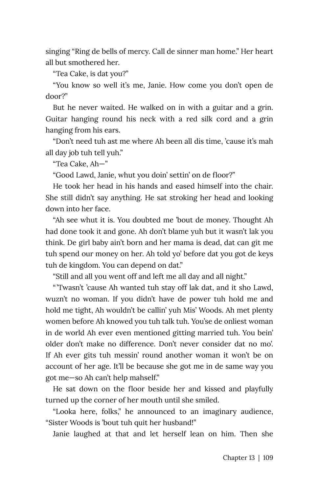singing "Ring de bells of mercy. Call de sinner man home." Her heart all but smothered her.

"Tea Cake, is dat you?"

"You know so well it's me, Janie. How come you don't open de door?"

But he never waited. He walked on in with a guitar and a grin. Guitar hanging round his neck with a red silk cord and a grin hanging from his ears.

"Don't need tuh ast me where Ah been all dis time, 'cause it's mah all day job tuh tell yuh."

"Tea Cake, Ah—"

"Good Lawd, Janie, whut you doin' settin' on de floor?"

He took her head in his hands and eased himself into the chair. She still didn't say anything. He sat stroking her head and looking down into her face.

"Ah see whut it is. You doubted me 'bout de money. Thought Ah had done took it and gone. Ah don't blame yuh but it wasn't lak you think. De girl baby ain't born and her mama is dead, dat can git me tuh spend our money on her. Ah told yo' before dat you got de keys tuh de kingdom. You can depend on dat."

"Still and all you went off and left me all day and all night."

" 'Twasn't 'cause Ah wanted tuh stay off lak dat, and it sho Lawd, wuzn't no woman. If you didn't have de power tuh hold me and hold me tight, Ah wouldn't be callin' yuh Mis' Woods. Ah met plenty women before Ah knowed you tuh talk tuh. You'se de onliest woman in de world Ah ever even mentioned gitting married tuh. You bein' older don't make no difference. Don't never consider dat no mo'. If Ah ever gits tuh messin' round another woman it won't be on account of her age. It'll be because she got me in de same way you got me—so Ah can't help mahself."

He sat down on the floor beside her and kissed and playfully turned up the corner of her mouth until she smiled.

"Looka here, folks," he announced to an imaginary audience, "Sister Woods is 'bout tuh quit her husband!"

Janie laughed at that and let herself lean on him. Then she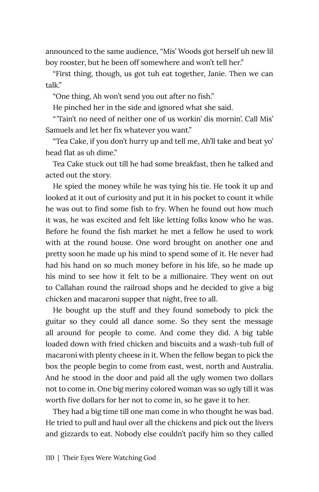announced to the same audience, "Mis' Woods got herself uh new lil boy rooster, but he been off somewhere and won't tell her."

"First thing, though, us got tuh eat together, Janie. Then we can talk."

"One thing, Ah won't send you out after no fish."

He pinched her in the side and ignored what she said.

" 'Tain't no need of neither one of us workin' dis mornin'. Call Mis' Samuels and let her fix whatever you want."

"Tea Cake, if you don't hurry up and tell me, Ah'll take and beat yo' head flat as uh dime."

Tea Cake stuck out till he had some breakfast, then he talked and acted out the story.

He spied the money while he was tying his tie. He took it up and looked at it out of curiosity and put it in his pocket to count it while he was out to find some fish to fry. When he found out how much it was, he was excited and felt like letting folks know who he was. Before he found the fish market he met a fellow he used to work with at the round house. One word brought on another one and pretty soon he made up his mind to spend some of it. He never had had his hand on so much money before in his life, so he made up his mind to see how it felt to be a millionaire. They went on out to Callahan round the railroad shops and he decided to give a big chicken and macaroni supper that night, free to all.

He bought up the stuff and they found somebody to pick the guitar so they could all dance some. So they sent the message all around for people to come. And come they did. A big table loaded down with fried chicken and biscuits and a wash-tub full of macaroni with plenty cheese in it. When the fellow began to pick the box the people begin to come from east, west, north and Australia. And he stood in the door and paid all the ugly women two dollars not to come in. One big meriny colored woman was so ugly till it was worth five dollars for her not to come in, so he gave it to her.

They had a big time till one man come in who thought he was bad. He tried to pull and haul over all the chickens and pick out the livers and gizzards to eat. Nobody else couldn't pacify him so they called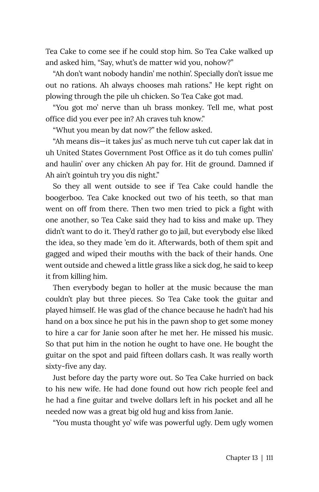Tea Cake to come see if he could stop him. So Tea Cake walked up and asked him, "Say, whut's de matter wid you, nohow?"

"Ah don't want nobody handin' me nothin'. Specially don't issue me out no rations. Ah always chooses mah rations." He kept right on plowing through the pile uh chicken. So Tea Cake got mad.

"You got mo' nerve than uh brass monkey. Tell me, what post office did you ever pee in? Ah craves tuh know."

"Whut you mean by dat now?" the fellow asked.

"Ah means dis—it takes jus' as much nerve tuh cut caper lak dat in uh United States Government Post Office as it do tuh comes pullin' and haulin' over any chicken Ah pay for. Hit de ground. Damned if Ah ain't gointuh try you dis night."

So they all went outside to see if Tea Cake could handle the boogerboo. Tea Cake knocked out two of his teeth, so that man went on off from there. Then two men tried to pick a fight with one another, so Tea Cake said they had to kiss and make up. They didn't want to do it. They'd rather go to jail, but everybody else liked the idea, so they made 'em do it. Afterwards, both of them spit and gagged and wiped their mouths with the back of their hands. One went outside and chewed a little grass like a sick dog, he said to keep it from killing him.

Then everybody began to holler at the music because the man couldn't play but three pieces. So Tea Cake took the guitar and played himself. He was glad of the chance because he hadn't had his hand on a box since he put his in the pawn shop to get some money to hire a car for Janie soon after he met her. He missed his music. So that put him in the notion he ought to have one. He bought the guitar on the spot and paid fifteen dollars cash. It was really worth sixty-five any day.

Just before day the party wore out. So Tea Cake hurried on back to his new wife. He had done found out how rich people feel and he had a fine guitar and twelve dollars left in his pocket and all he needed now was a great big old hug and kiss from Janie.

"You musta thought yo' wife was powerful ugly. Dem ugly women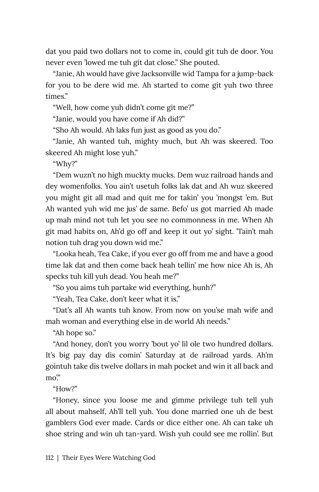dat you paid two dollars not to come in, could git tuh de door. You never even 'lowed me tuh git dat close." She pouted.

"Janie, Ah would have give Jacksonville wid Tampa for a jump-back for you to be dere wid me. Ah started to come git yuh two three times."

"Well, how come yuh didn't come git me?"

"Janie, would you have come if Ah did?"

"Sho Ah would. Ah laks fun just as good as you do."

"Janie, Ah wanted tuh, mighty much, but Ah was skeered. Too skeered Ah might lose yuh."

"Why?"

"Dem wuzn't no high muckty mucks. Dem wuz railroad hands and dey womenfolks. You ain't usetuh folks lak dat and Ah wuz skeered you might git all mad and quit me for takin' you 'mongst 'em. But Ah wanted yuh wid me jus' de same. Befo' us got married Ah made up mah mind not tuh let you see no commonness in me. When Ah git mad habits on, Ah'd go off and keep it out yo' sight. 'Tain't mah notion tuh drag you down wid me."

"Looka heah, Tea Cake, if you ever go off from me and have a good time lak dat and then come back heah tellin' me how nice Ah is, Ah specks tuh kill yuh dead. You heah me?"

"So you aims tuh partake wid everything, hunh?"

"Yeah, Tea Cake, don't keer what it is."

"Dat's all Ah wants tuh know. From now on you'se mah wife and mah woman and everything else in de world Ah needs."

"Ah hope so."

"And honey, don't you worry 'bout yo' lil ole two hundred dollars. It's big pay day dis comin' Saturday at de railroad yards. Ah'm gointuh take dis twelve dollars in mah pocket and win it all back and mo".

" $How2"$ 

"Honey, since you loose me and gimme privilege tuh tell yuh all about mahself, Ah'll tell yuh. You done married one uh de best gamblers God ever made. Cards or dice either one. Ah can take uh shoe string and win uh tan-yard. Wish yuh could see me rollin'. But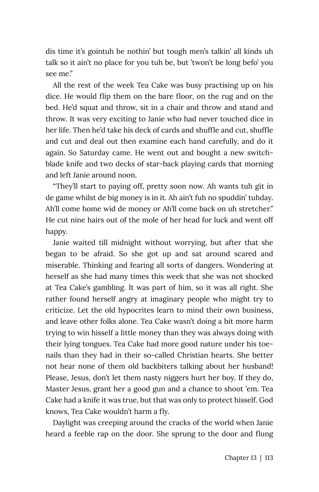dis time it's gointuh be nothin' but tough men's talkin' all kinds uh talk so it ain't no place for you tuh be, but 'twon't be long befo' you see me."

All the rest of the week Tea Cake was busy practising up on his dice. He would flip them on the bare floor, on the rug and on the bed. He'd squat and throw, sit in a chair and throw and stand and throw. It was very exciting to Janie who had never touched dice in her life. Then he'd take his deck of cards and shuffle and cut, shuffle and cut and deal out then examine each hand carefully, and do it again. So Saturday came. He went out and bought a new switchblade knife and two decks of star-back playing cards that morning and left Janie around noon.

"They'll start to paying off, pretty soon now. Ah wants tuh git in de game whilst de big money is in it. Ah ain't fuh no spuddin' tuhday. Ah'll come home wid de money or Ah'll come back on uh stretcher." He cut nine hairs out of the mole of her head for luck and went off happy.

Janie waited till midnight without worrying, but after that she began to be afraid. So she got up and sat around scared and miserable. Thinking and fearing all sorts of dangers. Wondering at herself as she had many times this week that she was not shocked at Tea Cake's gambling. It was part of him, so it was all right. She rather found herself angry at imaginary people who might try to criticize. Let the old hypocrites learn to mind their own business, and leave other folks alone. Tea Cake wasn't doing a bit more harm trying to win hisself a little money than they was always doing with their lying tongues. Tea Cake had more good nature under his toenails than they had in their so-called Christian hearts. She better not hear none of them old backbiters talking about her husband! Please, Jesus, don't let them nasty niggers hurt her boy. If they do, Master Jesus, grant her a good gun and a chance to shoot 'em. Tea Cake had a knife it was true, but that was only to protect hisself. God knows, Tea Cake wouldn't harm a fly.

Daylight was creeping around the cracks of the world when Janie heard a feeble rap on the door. She sprung to the door and flung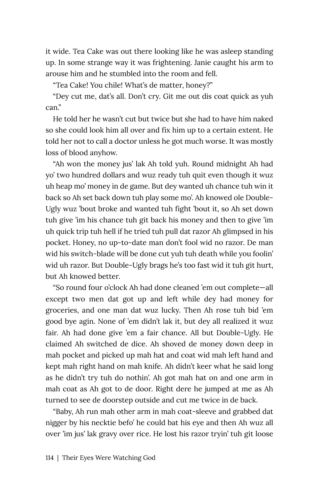it wide. Tea Cake was out there looking like he was asleep standing up. In some strange way it was frightening. Janie caught his arm to arouse him and he stumbled into the room and fell.

"Tea Cake! You chile! What's de matter, honey?"

"Dey cut me, dat's all. Don't cry. Git me out dis coat quick as yuh can."

He told her he wasn't cut but twice but she had to have him naked so she could look him all over and fix him up to a certain extent. He told her not to call a doctor unless he got much worse. It was mostly loss of blood anyhow.

"Ah won the money jus' lak Ah told yuh. Round midnight Ah had yo' two hundred dollars and wuz ready tuh quit even though it wuz uh heap mo' money in de game. But dey wanted uh chance tuh win it back so Ah set back down tuh play some mo'. Ah knowed ole Double-Ugly wuz 'bout broke and wanted tuh fight 'bout it, so Ah set down tuh give 'im his chance tuh git back his money and then to give 'im uh quick trip tuh hell if he tried tuh pull dat razor Ah glimpsed in his pocket. Honey, no up-to-date man don't fool wid no razor. De man wid his switch-blade will be done cut yuh tuh death while you foolin' wid uh razor. But Double-Ugly brags he's too fast wid it tuh git hurt, but Ah knowed better.

"So round four o'clock Ah had done cleaned 'em out complete—all except two men dat got up and left while dey had money for groceries, and one man dat wuz lucky. Then Ah rose tuh bid 'em good bye agin. None of 'em didn't lak it, but dey all realized it wuz fair. Ah had done give 'em a fair chance. All but Double-Ugly. He claimed Ah switched de dice. Ah shoved de money down deep in mah pocket and picked up mah hat and coat wid mah left hand and kept mah right hand on mah knife. Ah didn't keer what he said long as he didn't try tuh do nothin'. Ah got mah hat on and one arm in mah coat as Ah got to de door. Right dere he jumped at me as Ah turned to see de doorstep outside and cut me twice in de back.

"Baby, Ah run mah other arm in mah coat-sleeve and grabbed dat nigger by his necktie befo' he could bat his eye and then Ah wuz all over 'im jus' lak gravy over rice. He lost his razor tryin' tuh git loose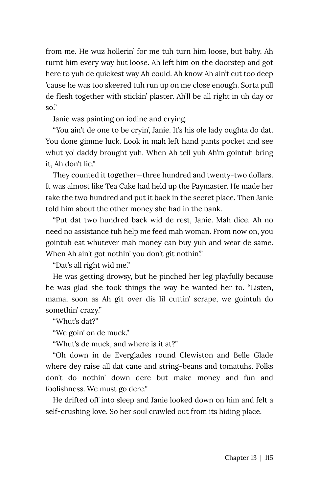from me. He wuz hollerin' for me tuh turn him loose, but baby, Ah turnt him every way but loose. Ah left him on the doorstep and got here to yuh de quickest way Ah could. Ah know Ah ain't cut too deep 'cause he was too skeered tuh run up on me close enough. Sorta pull de flesh together with stickin' plaster. Ah'll be all right in uh day or so."

Janie was painting on iodine and crying.

"You ain't de one to be cryin', Janie. It's his ole lady oughta do dat. You done gimme luck. Look in mah left hand pants pocket and see whut yo' daddy brought yuh. When Ah tell yuh Ah'm gointuh bring it, Ah don't lie."

They counted it together—three hundred and twenty-two dollars. It was almost like Tea Cake had held up the Paymaster. He made her take the two hundred and put it back in the secret place. Then Janie told him about the other money she had in the bank.

"Put dat two hundred back wid de rest, Janie. Mah dice. Ah no need no assistance tuh help me feed mah woman. From now on, you gointuh eat whutever mah money can buy yuh and wear de same. When Ah ain't got nothin' you don't git nothin."

"Dat's all right wid me."

He was getting drowsy, but he pinched her leg playfully because he was glad she took things the way he wanted her to. "Listen, mama, soon as Ah git over dis lil cuttin' scrape, we gointuh do somethin' crazy."

"Whut's dat?"

"We goin' on de muck."

"Whut's de muck, and where is it at?"

"Oh down in de Everglades round Clewiston and Belle Glade where dey raise all dat cane and string-beans and tomatuhs. Folks don't do nothin' down dere but make money and fun and foolishness. We must go dere."

He drifted off into sleep and Janie looked down on him and felt a self-crushing love. So her soul crawled out from its hiding place.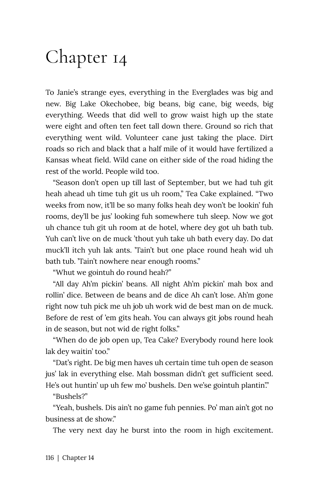### Chapter 14

To Janie's strange eyes, everything in the Everglades was big and new. Big Lake Okechobee, big beans, big cane, big weeds, big everything. Weeds that did well to grow waist high up the state were eight and often ten feet tall down there. Ground so rich that everything went wild. Volunteer cane just taking the place. Dirt roads so rich and black that a half mile of it would have fertilized a Kansas wheat field. Wild cane on either side of the road hiding the rest of the world. People wild too.

"Season don't open up till last of September, but we had tuh git heah ahead uh time tuh git us uh room," Tea Cake explained. "Two weeks from now, it'll be so many folks heah dey won't be lookin' fuh rooms, dey'll be jus' looking fuh somewhere tuh sleep. Now we got uh chance tuh git uh room at de hotel, where dey got uh bath tub. Yuh can't live on de muck 'thout yuh take uh bath every day. Do dat muck'll itch yuh lak ants. 'Tain't but one place round heah wid uh bath tub. 'Tain't nowhere near enough rooms."

"Whut we gointuh do round heah?"

"All day Ah'm pickin' beans. All night Ah'm pickin' mah box and rollin' dice. Between de beans and de dice Ah can't lose. Ah'm gone right now tuh pick me uh job uh work wid de best man on de muck. Before de rest of 'em gits heah. You can always git jobs round heah in de season, but not wid de right folks."

"When do de job open up, Tea Cake? Everybody round here look lak dey waitin' too."

"Dat's right. De big men haves uh certain time tuh open de season jus' lak in everything else. Mah bossman didn't get sufficient seed. He's out huntin' up uh few mo' bushels. Den we'se gointuh plantin'."

"Bushels?"

"Yeah, bushels. Dis ain't no game fuh pennies. Po' man ain't got no business at de show."

The very next day he burst into the room in high excitement.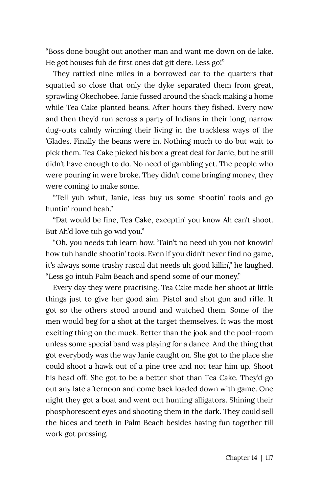"Boss done bought out another man and want me down on de lake. He got houses fuh de first ones dat git dere. Less go!"

They rattled nine miles in a borrowed car to the quarters that squatted so close that only the dyke separated them from great, sprawling Okechobee. Janie fussed around the shack making a home while Tea Cake planted beans. After hours they fished. Every now and then they'd run across a party of Indians in their long, narrow dug-outs calmly winning their living in the trackless ways of the 'Glades. Finally the beans were in. Nothing much to do but wait to pick them. Tea Cake picked his box a great deal for Janie, but he still didn't have enough to do. No need of gambling yet. The people who were pouring in were broke. They didn't come bringing money, they were coming to make some.

"Tell yuh whut, Janie, less buy us some shootin' tools and go huntin' round heah."

"Dat would be fine, Tea Cake, exceptin' you know Ah can't shoot. But Ah'd love tuh go wid you."

"Oh, you needs tuh learn how. 'Tain't no need uh you not knowin' how tuh handle shootin' tools. Even if you didn't never find no game, it's always some trashy rascal dat needs uh good killin," he laughed. "Less go intuh Palm Beach and spend some of our money."

Every day they were practising. Tea Cake made her shoot at little things just to give her good aim. Pistol and shot gun and rifle. It got so the others stood around and watched them. Some of the men would beg for a shot at the target themselves. It was the most exciting thing on the muck. Better than the jook and the pool-room unless some special band was playing for a dance. And the thing that got everybody was the way Janie caught on. She got to the place she could shoot a hawk out of a pine tree and not tear him up. Shoot his head off. She got to be a better shot than Tea Cake. They'd go out any late afternoon and come back loaded down with game. One night they got a boat and went out hunting alligators. Shining their phosphorescent eyes and shooting them in the dark. They could sell the hides and teeth in Palm Beach besides having fun together till work got pressing.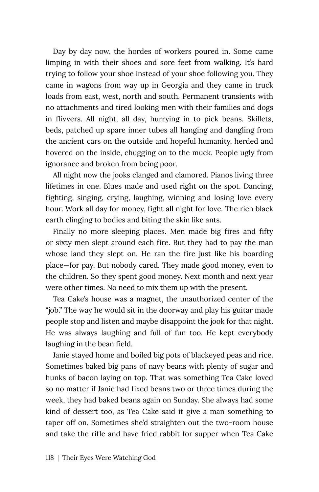Day by day now, the hordes of workers poured in. Some came limping in with their shoes and sore feet from walking. It's hard trying to follow your shoe instead of your shoe following you. They came in wagons from way up in Georgia and they came in truck loads from east, west, north and south. Permanent transients with no attachments and tired looking men with their families and dogs in flivvers. All night, all day, hurrying in to pick beans. Skillets, beds, patched up spare inner tubes all hanging and dangling from the ancient cars on the outside and hopeful humanity, herded and hovered on the inside, chugging on to the muck. People ugly from ignorance and broken from being poor.

All night now the jooks clanged and clamored. Pianos living three lifetimes in one. Blues made and used right on the spot. Dancing, fighting, singing, crying, laughing, winning and losing love every hour. Work all day for money, fight all night for love. The rich black earth clinging to bodies and biting the skin like ants.

Finally no more sleeping places. Men made big fires and fifty or sixty men slept around each fire. But they had to pay the man whose land they slept on. He ran the fire just like his boarding place—for pay. But nobody cared. They made good money, even to the children. So they spent good money. Next month and next year were other times. No need to mix them up with the present.

Tea Cake's house was a magnet, the unauthorized center of the "job." The way he would sit in the doorway and play his guitar made people stop and listen and maybe disappoint the jook for that night. He was always laughing and full of fun too. He kept everybody laughing in the bean field.

Janie stayed home and boiled big pots of blackeyed peas and rice. Sometimes baked big pans of navy beans with plenty of sugar and hunks of bacon laying on top. That was something Tea Cake loved so no matter if Janie had fixed beans two or three times during the week, they had baked beans again on Sunday. She always had some kind of dessert too, as Tea Cake said it give a man something to taper off on. Sometimes she'd straighten out the two-room house and take the rifle and have fried rabbit for supper when Tea Cake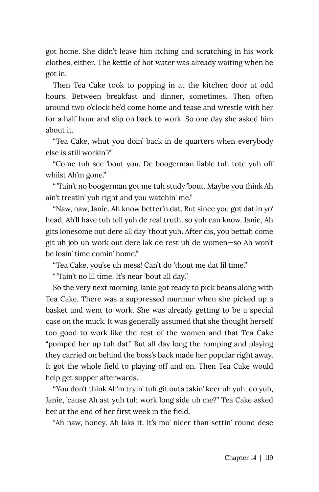got home. She didn't leave him itching and scratching in his work clothes, either. The kettle of hot water was already waiting when he got in.

Then Tea Cake took to popping in at the kitchen door at odd hours. Between breakfast and dinner, sometimes. Then often around two o'clock he'd come home and tease and wrestle with her for a half hour and slip on back to work. So one day she asked him about it.

"Tea Cake, whut you doin' back in de quarters when everybody else is still workin'?"

"Come tuh see 'bout you. De boogerman liable tuh tote yuh off whilst Ah'm gone."

" 'Tain't no boogerman got me tuh study 'bout. Maybe you think Ah ain't treatin' yuh right and you watchin' me."

"Naw, naw, Janie. Ah know better'n dat. But since you got dat in yo' head, Ah'll have tuh tell yuh de real truth, so yuh can know. Janie, Ah gits lonesome out dere all day 'thout yuh. After dis, you bettah come git uh job uh work out dere lak de rest uh de women—so Ah won't be losin' time comin' home."

"Tea Cake, you'se uh mess! Can't do 'thout me dat lil time."

" 'Tain't no lil time. It's near 'bout all day."

So the very next morning Janie got ready to pick beans along with Tea Cake. There was a suppressed murmur when she picked up a basket and went to work. She was already getting to be a special case on the muck. It was generally assumed that she thought herself too good to work like the rest of the women and that Tea Cake "pomped her up tuh dat." But all day long the romping and playing they carried on behind the boss's back made her popular right away. It got the whole field to playing off and on. Then Tea Cake would help get supper afterwards.

"You don't think Ah'm tryin' tuh git outa takin' keer uh yuh, do yuh, Janie, 'cause Ah ast yuh tuh work long side uh me?" Tea Cake asked her at the end of her first week in the field.

"Ah naw, honey. Ah laks it. It's mo' nicer than settin' round dese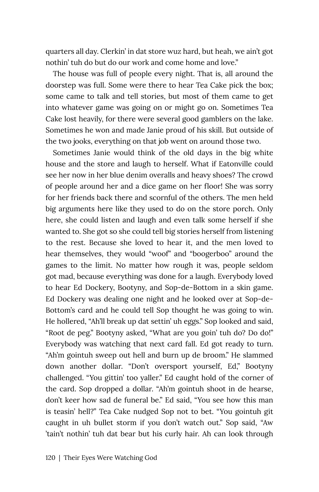quarters all day. Clerkin' in dat store wuz hard, but heah, we ain't got nothin' tuh do but do our work and come home and love."

The house was full of people every night. That is, all around the doorstep was full. Some were there to hear Tea Cake pick the box; some came to talk and tell stories, but most of them came to get into whatever game was going on or might go on. Sometimes Tea Cake lost heavily, for there were several good gamblers on the lake. Sometimes he won and made Janie proud of his skill. But outside of the two jooks, everything on that job went on around those two.

Sometimes Janie would think of the old days in the big white house and the store and laugh to herself. What if Eatonville could see her now in her blue denim overalls and heavy shoes? The crowd of people around her and a dice game on her floor! She was sorry for her friends back there and scornful of the others. The men held big arguments here like they used to do on the store porch. Only here, she could listen and laugh and even talk some herself if she wanted to. She got so she could tell big stories herself from listening to the rest. Because she loved to hear it, and the men loved to hear themselves, they would "woof" and "boogerboo" around the games to the limit. No matter how rough it was, people seldom got mad, because everything was done for a laugh. Everybody loved to hear Ed Dockery, Bootyny, and Sop-de-Bottom in a skin game. Ed Dockery was dealing one night and he looked over at Sop-de-Bottom's card and he could tell Sop thought he was going to win. He hollered, "Ah'll break up dat settin' uh eggs." Sop looked and said, "Root de peg." Bootyny asked, "What are you goin' tuh do? Do do!" Everybody was watching that next card fall. Ed got ready to turn. "Ah'm gointuh sweep out hell and burn up de broom." He slammed down another dollar. "Don't oversport yourself, Ed," Bootyny challenged. "You gittin' too yaller." Ed caught hold of the corner of the card. Sop dropped a dollar. "Ah'm gointuh shoot in de hearse, don't keer how sad de funeral be." Ed said, "You see how this man is teasin' hell?" Tea Cake nudged Sop not to bet. "You gointuh git caught in uh bullet storm if you don't watch out." Sop said, "Aw 'tain't nothin' tuh dat bear but his curly hair. Ah can look through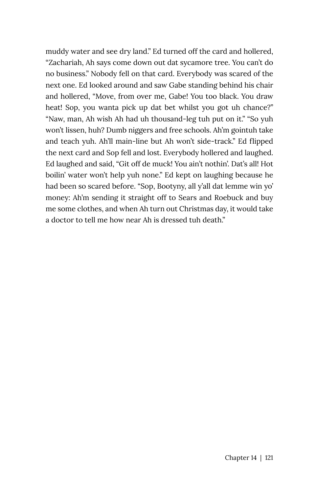muddy water and see dry land." Ed turned off the card and hollered, "Zachariah, Ah says come down out dat sycamore tree. You can't do no business." Nobody fell on that card. Everybody was scared of the next one. Ed looked around and saw Gabe standing behind his chair and hollered, "Move, from over me, Gabe! You too black. You draw heat! Sop, you wanta pick up dat bet whilst you got uh chance?" "Naw, man, Ah wish Ah had uh thousand-leg tuh put on it." "So yuh won't lissen, huh? Dumb niggers and free schools. Ah'm gointuh take and teach yuh. Ah'll main-line but Ah won't side-track." Ed flipped the next card and Sop fell and lost. Everybody hollered and laughed. Ed laughed and said, "Git off de muck! You ain't nothin'. Dat's all! Hot boilin' water won't help yuh none." Ed kept on laughing because he had been so scared before. "Sop, Bootyny, all y'all dat lemme win yo' money: Ah'm sending it straight off to Sears and Roebuck and buy me some clothes, and when Ah turn out Christmas day, it would take a doctor to tell me how near Ah is dressed tuh death."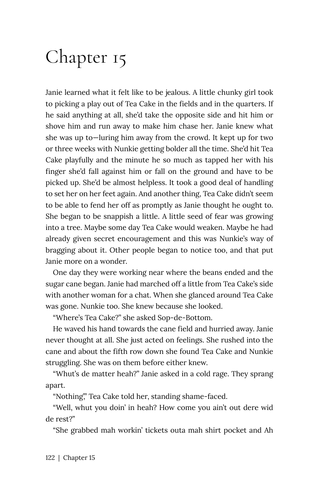# Chapter 15

Janie learned what it felt like to be jealous. A little chunky girl took to picking a play out of Tea Cake in the fields and in the quarters. If he said anything at all, she'd take the opposite side and hit him or shove him and run away to make him chase her. Janie knew what she was up to—luring him away from the crowd. It kept up for two or three weeks with Nunkie getting bolder all the time. She'd hit Tea Cake playfully and the minute he so much as tapped her with his finger she'd fall against him or fall on the ground and have to be picked up. She'd be almost helpless. It took a good deal of handling to set her on her feet again. And another thing, Tea Cake didn't seem to be able to fend her off as promptly as Janie thought he ought to. She began to be snappish a little. A little seed of fear was growing into a tree. Maybe some day Tea Cake would weaken. Maybe he had already given secret encouragement and this was Nunkie's way of bragging about it. Other people began to notice too, and that put Janie more on a wonder.

One day they were working near where the beans ended and the sugar cane began. Janie had marched off a little from Tea Cake's side with another woman for a chat. When she glanced around Tea Cake was gone. Nunkie too. She knew because she looked.

"Where's Tea Cake?" she asked Sop-de-Bottom.

He waved his hand towards the cane field and hurried away. Janie never thought at all. She just acted on feelings. She rushed into the cane and about the fifth row down she found Tea Cake and Nunkie struggling. She was on them before either knew.

"Whut's de matter heah?" Janie asked in a cold rage. They sprang apart.

"Nothing", Tea Cake told her, standing shame-faced.

"Well, whut you doin' in heah? How come you ain't out dere wid de rest?"

"She grabbed mah workin' tickets outa mah shirt pocket and Ah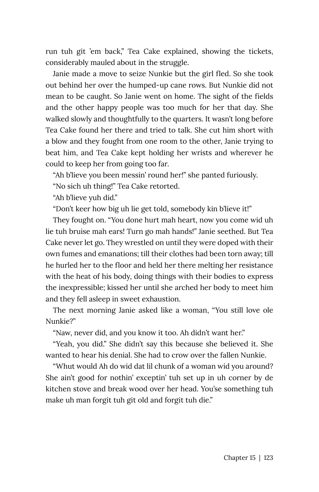run tuh git 'em back," Tea Cake explained, showing the tickets, considerably mauled about in the struggle.

Janie made a move to seize Nunkie but the girl fled. So she took out behind her over the humped-up cane rows. But Nunkie did not mean to be caught. So Janie went on home. The sight of the fields and the other happy people was too much for her that day. She walked slowly and thoughtfully to the quarters. It wasn't long before Tea Cake found her there and tried to talk. She cut him short with a blow and they fought from one room to the other, Janie trying to beat him, and Tea Cake kept holding her wrists and wherever he could to keep her from going too far.

"Ah b'lieve you been messin' round her!" she panted furiously.

"No sich uh thing!" Tea Cake retorted.

"Ah b'lieve yuh did."

"Don't keer how big uh lie get told, somebody kin b'lieve it!"

They fought on. "You done hurt mah heart, now you come wid uh lie tuh bruise mah ears! Turn go mah hands!" Janie seethed. But Tea Cake never let go. They wrestled on until they were doped with their own fumes and emanations; till their clothes had been torn away; till he hurled her to the floor and held her there melting her resistance with the heat of his body, doing things with their bodies to express the inexpressible; kissed her until she arched her body to meet him and they fell asleep in sweet exhaustion.

The next morning Janie asked like a woman, "You still love ole Nunkie?"

"Naw, never did, and you know it too. Ah didn't want her."

"Yeah, you did." She didn't say this because she believed it. She wanted to hear his denial. She had to crow over the fallen Nunkie.

"Whut would Ah do wid dat lil chunk of a woman wid you around? She ain't good for nothin' exceptin' tuh set up in uh corner by de kitchen stove and break wood over her head. You'se something tuh make uh man forgit tuh git old and forgit tuh die."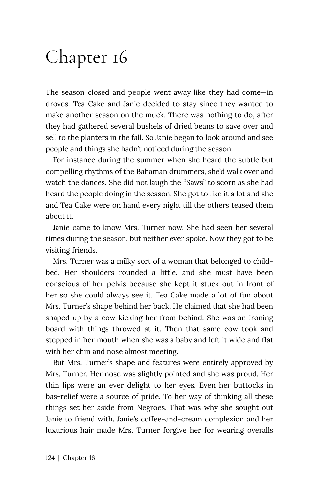## Chapter 16

The season closed and people went away like they had come—in droves. Tea Cake and Janie decided to stay since they wanted to make another season on the muck. There was nothing to do, after they had gathered several bushels of dried beans to save over and sell to the planters in the fall. So Janie began to look around and see people and things she hadn't noticed during the season.

For instance during the summer when she heard the subtle but compelling rhythms of the Bahaman drummers, she'd walk over and watch the dances. She did not laugh the "Saws" to scorn as she had heard the people doing in the season. She got to like it a lot and she and Tea Cake were on hand every night till the others teased them about it.

Janie came to know Mrs. Turner now. She had seen her several times during the season, but neither ever spoke. Now they got to be visiting friends.

Mrs. Turner was a milky sort of a woman that belonged to childbed. Her shoulders rounded a little, and she must have been conscious of her pelvis because she kept it stuck out in front of her so she could always see it. Tea Cake made a lot of fun about Mrs. Turner's shape behind her back. He claimed that she had been shaped up by a cow kicking her from behind. She was an ironing board with things throwed at it. Then that same cow took and stepped in her mouth when she was a baby and left it wide and flat with her chin and nose almost meeting.

But Mrs. Turner's shape and features were entirely approved by Mrs. Turner. Her nose was slightly pointed and she was proud. Her thin lips were an ever delight to her eyes. Even her buttocks in bas-relief were a source of pride. To her way of thinking all these things set her aside from Negroes. That was why she sought out Janie to friend with. Janie's coffee-and-cream complexion and her luxurious hair made Mrs. Turner forgive her for wearing overalls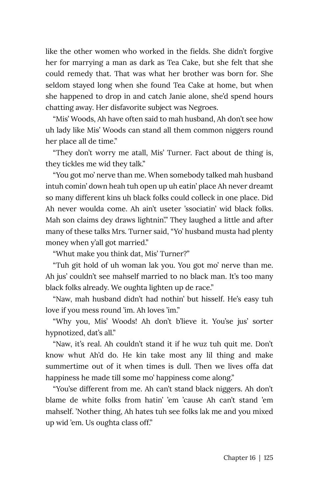like the other women who worked in the fields. She didn't forgive her for marrying a man as dark as Tea Cake, but she felt that she could remedy that. That was what her brother was born for. She seldom stayed long when she found Tea Cake at home, but when she happened to drop in and catch Janie alone, she'd spend hours chatting away. Her disfavorite subject was Negroes.

"Mis' Woods, Ah have often said to mah husband, Ah don't see how uh lady like Mis' Woods can stand all them common niggers round her place all de time."

"They don't worry me atall, Mis' Turner. Fact about de thing is, they tickles me wid they talk."

"You got mo' nerve than me. When somebody talked mah husband intuh comin' down heah tuh open up uh eatin' place Ah never dreamt so many different kins uh black folks could colleck in one place. Did Ah never woulda come. Ah ain't useter 'ssociatin' wid black folks. Mah son claims dey draws lightnin'." They laughed a little and after many of these talks Mrs. Turner said, "Yo' husband musta had plenty money when y'all got married."

"Whut make you think dat, Mis' Turner?"

"Tuh git hold of uh woman lak you. You got mo' nerve than me. Ah jus' couldn't see mahself married to no black man. It's too many black folks already. We oughta lighten up de race."

"Naw, mah husband didn't had nothin' but hisself. He's easy tuh love if you mess round 'im. Ah loves 'im."

"Why you, Mis' Woods! Ah don't b'lieve it. You'se jus' sorter hypnotized, dat's all."

"Naw, it's real. Ah couldn't stand it if he wuz tuh quit me. Don't know whut Ah'd do. He kin take most any lil thing and make summertime out of it when times is dull. Then we lives offa dat happiness he made till some mo' happiness come along."

"You'se different from me. Ah can't stand black niggers. Ah don't blame de white folks from hatin' 'em 'cause Ah can't stand 'em mahself. 'Nother thing, Ah hates tuh see folks lak me and you mixed up wid 'em. Us oughta class off."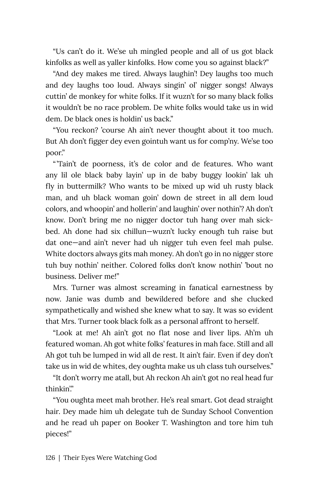"Us can't do it. We'se uh mingled people and all of us got black kinfolks as well as yaller kinfolks. How come you so against black?"

"And dey makes me tired. Always laughin'! Dey laughs too much and dey laughs too loud. Always singin' ol' nigger songs! Always cuttin' de monkey for white folks. If it wuzn't for so many black folks it wouldn't be no race problem. De white folks would take us in wid dem. De black ones is holdin' us back."

"You reckon? 'course Ah ain't never thought about it too much. But Ah don't figger dey even gointuh want us for comp'ny. We'se too poor."

" 'Tain't de poorness, it's de color and de features. Who want any lil ole black baby layin' up in de baby buggy lookin' lak uh fly in buttermilk? Who wants to be mixed up wid uh rusty black man, and uh black woman goin' down de street in all dem loud colors, and whoopin' and hollerin' and laughin' over nothin'? Ah don't know. Don't bring me no nigger doctor tuh hang over mah sickbed. Ah done had six chillun—wuzn't lucky enough tuh raise but dat one—and ain't never had uh nigger tuh even feel mah pulse. White doctors always gits mah money. Ah don't go in no nigger store tuh buy nothin' neither. Colored folks don't know nothin' 'bout no business. Deliver me!"

Mrs. Turner was almost screaming in fanatical earnestness by now. Janie was dumb and bewildered before and she clucked sympathetically and wished she knew what to say. It was so evident that Mrs. Turner took black folk as a personal affront to herself.

"Look at me! Ah ain't got no flat nose and liver lips. Ah'm uh featured woman. Ah got white folks' features in mah face. Still and all Ah got tuh be lumped in wid all de rest. It ain't fair. Even if dey don't take us in wid de whites, dey oughta make us uh class tuh ourselves."

"It don't worry me atall, but Ah reckon Ah ain't got no real head fur thinkin'."

"You oughta meet mah brother. He's real smart. Got dead straight hair. Dey made him uh delegate tuh de Sunday School Convention and he read uh paper on Booker T. Washington and tore him tuh pieces!"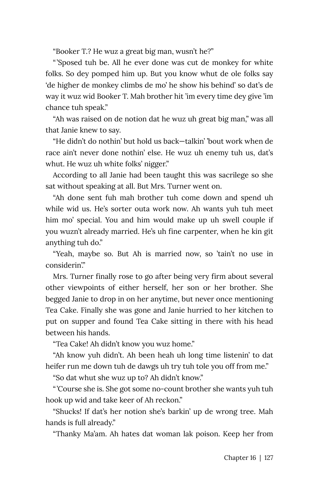"Booker T.? He wuz a great big man, wusn't he?"

" 'Sposed tuh be. All he ever done was cut de monkey for white folks. So dey pomped him up. But you know whut de ole folks say 'de higher de monkey climbs de mo' he show his behind' so dat's de way it wuz wid Booker T. Mah brother hit 'im every time dey give 'im chance tuh speak."

"Ah was raised on de notion dat he wuz uh great big man," was all that Janie knew to say.

"He didn't do nothin' but hold us back—talkin' 'bout work when de race ain't never done nothin' else. He wuz uh enemy tuh us, dat's whut. He wuz uh white folks' nigger."

According to all Janie had been taught this was sacrilege so she sat without speaking at all. But Mrs. Turner went on.

"Ah done sent fuh mah brother tuh come down and spend uh while wid us. He's sorter outa work now. Ah wants yuh tuh meet him mo' special. You and him would make up uh swell couple if you wuzn't already married. He's uh fine carpenter, when he kin git anything tuh do."

"Yeah, maybe so. But Ah is married now, so 'tain't no use in considerin'."

Mrs. Turner finally rose to go after being very firm about several other viewpoints of either herself, her son or her brother. She begged Janie to drop in on her anytime, but never once mentioning Tea Cake. Finally she was gone and Janie hurried to her kitchen to put on supper and found Tea Cake sitting in there with his head between his hands.

"Tea Cake! Ah didn't know you wuz home."

"Ah know yuh didn't. Ah been heah uh long time listenin' to dat heifer run me down tuh de dawgs uh try tuh tole you off from me."

"So dat whut she wuz up to? Ah didn't know."

" 'Course she is. She got some no-count brother she wants yuh tuh hook up wid and take keer of Ah reckon."

"Shucks! If dat's her notion she's barkin' up de wrong tree. Mah hands is full already."

"Thanky Ma'am. Ah hates dat woman lak poison. Keep her from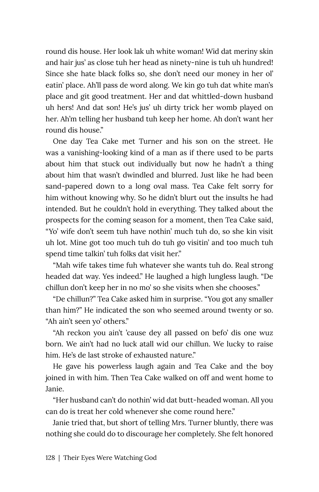round dis house. Her look lak uh white woman! Wid dat meriny skin and hair jus' as close tuh her head as ninety-nine is tuh uh hundred! Since she hate black folks so, she don't need our money in her ol' eatin' place. Ah'll pass de word along. We kin go tuh dat white man's place and git good treatment. Her and dat whittled-down husband uh hers! And dat son! He's jus' uh dirty trick her womb played on her. Ah'm telling her husband tuh keep her home. Ah don't want her round dis house."

One day Tea Cake met Turner and his son on the street. He was a vanishing-looking kind of a man as if there used to be parts about him that stuck out individually but now he hadn't a thing about him that wasn't dwindled and blurred. Just like he had been sand-papered down to a long oval mass. Tea Cake felt sorry for him without knowing why. So he didn't blurt out the insults he had intended. But he couldn't hold in everything. They talked about the prospects for the coming season for a moment, then Tea Cake said, "Yo' wife don't seem tuh have nothin' much tuh do, so she kin visit uh lot. Mine got too much tuh do tuh go visitin' and too much tuh spend time talkin' tuh folks dat visit her."

"Mah wife takes time fuh whatever she wants tuh do. Real strong headed dat way. Yes indeed." He laughed a high lungless laugh. "De chillun don't keep her in no mo' so she visits when she chooses."

"De chillun?" Tea Cake asked him in surprise. "You got any smaller than him?" He indicated the son who seemed around twenty or so. "Ah ain't seen yo' others."

"Ah reckon you ain't 'cause dey all passed on befo' dis one wuz born. We ain't had no luck atall wid our chillun. We lucky to raise him. He's de last stroke of exhausted nature."

He gave his powerless laugh again and Tea Cake and the boy joined in with him. Then Tea Cake walked on off and went home to Janie.

"Her husband can't do nothin' wid dat butt-headed woman. All you can do is treat her cold whenever she come round here."

Janie tried that, but short of telling Mrs. Turner bluntly, there was nothing she could do to discourage her completely. She felt honored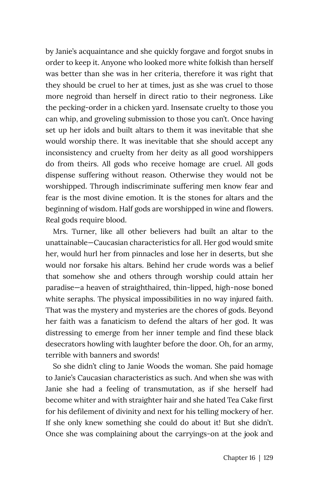by Janie's acquaintance and she quickly forgave and forgot snubs in order to keep it. Anyone who looked more white folkish than herself was better than she was in her criteria, therefore it was right that they should be cruel to her at times, just as she was cruel to those more negroid than herself in direct ratio to their negroness. Like the pecking-order in a chicken yard. Insensate cruelty to those you can whip, and groveling submission to those you can't. Once having set up her idols and built altars to them it was inevitable that she would worship there. It was inevitable that she should accept any inconsistency and cruelty from her deity as all good worshippers do from theirs. All gods who receive homage are cruel. All gods dispense suffering without reason. Otherwise they would not be worshipped. Through indiscriminate suffering men know fear and fear is the most divine emotion. It is the stones for altars and the beginning of wisdom. Half gods are worshipped in wine and flowers. Real gods require blood.

Mrs. Turner, like all other believers had built an altar to the unattainable—Caucasian characteristics for all. Her god would smite her, would hurl her from pinnacles and lose her in deserts, but she would nor forsake his altars. Behind her crude words was a belief that somehow she and others through worship could attain her paradise—a heaven of straighthaired, thin-lipped, high-nose boned white seraphs. The physical impossibilities in no way injured faith. That was the mystery and mysteries are the chores of gods. Beyond her faith was a fanaticism to defend the altars of her god. It was distressing to emerge from her inner temple and find these black desecrators howling with laughter before the door. Oh, for an army, terrible with banners and swords!

So she didn't cling to Janie Woods the woman. She paid homage to Janie's Caucasian characteristics as such. And when she was with Janie she had a feeling of transmutation, as if she herself had become whiter and with straighter hair and she hated Tea Cake first for his defilement of divinity and next for his telling mockery of her. If she only knew something she could do about it! But she didn't. Once she was complaining about the carryings-on at the jook and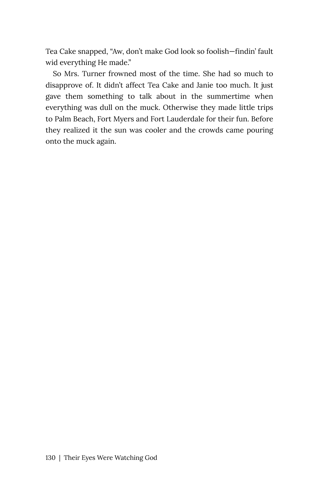Tea Cake snapped, "Aw, don't make God look so foolish—findin' fault wid everything He made."

So Mrs. Turner frowned most of the time. She had so much to disapprove of. It didn't affect Tea Cake and Janie too much. It just gave them something to talk about in the summertime when everything was dull on the muck. Otherwise they made little trips to Palm Beach, Fort Myers and Fort Lauderdale for their fun. Before they realized it the sun was cooler and the crowds came pouring onto the muck again.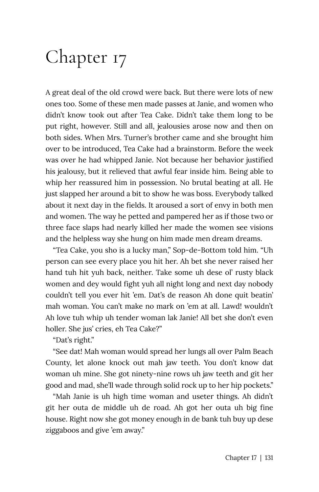# Chapter 17

A great deal of the old crowd were back. But there were lots of new ones too. Some of these men made passes at Janie, and women who didn't know took out after Tea Cake. Didn't take them long to be put right, however. Still and all, jealousies arose now and then on both sides. When Mrs. Turner's brother came and she brought him over to be introduced, Tea Cake had a brainstorm. Before the week was over he had whipped Janie. Not because her behavior justified his jealousy, but it relieved that awful fear inside him. Being able to whip her reassured him in possession. No brutal beating at all. He just slapped her around a bit to show he was boss. Everybody talked about it next day in the fields. It aroused a sort of envy in both men and women. The way he petted and pampered her as if those two or three face slaps had nearly killed her made the women see visions and the helpless way she hung on him made men dream dreams.

"Tea Cake, you sho is a lucky man," Sop-de-Bottom told him. "Uh person can see every place you hit her. Ah bet she never raised her hand tuh hit yuh back, neither. Take some uh dese ol' rusty black women and dey would fight yuh all night long and next day nobody couldn't tell you ever hit 'em. Dat's de reason Ah done quit beatin' mah woman. You can't make no mark on 'em at all. Lawd! wouldn't Ah love tuh whip uh tender woman lak Janie! All bet she don't even holler. She jus' cries, eh Tea Cake?"

"Dat's right."

"See dat! Mah woman would spread her lungs all over Palm Beach County, let alone knock out mah jaw teeth. You don't know dat woman uh mine. She got ninety-nine rows uh jaw teeth and git her good and mad, she'll wade through solid rock up to her hip pockets."

"Mah Janie is uh high time woman and useter things. Ah didn't git her outa de middle uh de road. Ah got her outa uh big fine house. Right now she got money enough in de bank tuh buy up dese ziggaboos and give 'em away."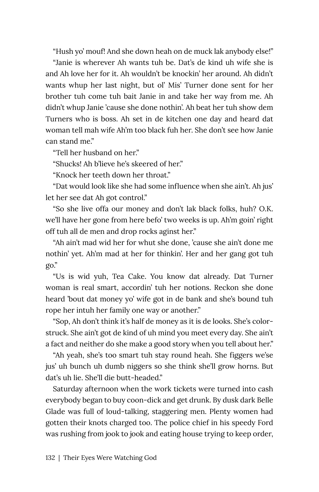"Hush yo' mouf! And she down heah on de muck lak anybody else!"

"Janie is wherever Ah wants tuh be. Dat's de kind uh wife she is and Ah love her for it. Ah wouldn't be knockin' her around. Ah didn't wants whup her last night, but ol' Mis' Turner done sent for her brother tuh come tuh bait Janie in and take her way from me. Ah didn't whup Janie 'cause she done nothin'. Ah beat her tuh show dem Turners who is boss. Ah set in de kitchen one day and heard dat woman tell mah wife Ah'm too black fuh her. She don't see how Janie can stand me."

"Tell her husband on her."

"Shucks! Ah b'lieve he's skeered of her."

"Knock her teeth down her throat."

"Dat would look like she had some influence when she ain't. Ah jus' let her see dat Ah got control."

"So she live offa our money and don't lak black folks, huh? O.K. we'll have her gone from here befo' two weeks is up. Ah'm goin' right off tuh all de men and drop rocks aginst her."

"Ah ain't mad wid her for whut she done, 'cause she ain't done me nothin' yet. Ah'm mad at her for thinkin'. Her and her gang got tuh go."

"Us is wid yuh, Tea Cake. You know dat already. Dat Turner woman is real smart, accordin' tuh her notions. Reckon she done heard 'bout dat money yo' wife got in de bank and she's bound tuh rope her intuh her family one way or another."

"Sop, Ah don't think it's half de money as it is de looks. She's colorstruck. She ain't got de kind of uh mind you meet every day. She ain't a fact and neither do she make a good story when you tell about her."

"Ah yeah, she's too smart tuh stay round heah. She figgers we'se jus' uh bunch uh dumb niggers so she think she'll grow horns. But dat's uh lie. She'll die butt-headed."

Saturday afternoon when the work tickets were turned into cash everybody began to buy coon-dick and get drunk. By dusk dark Belle Glade was full of loud-talking, staggering men. Plenty women had gotten their knots charged too. The police chief in his speedy Ford was rushing from jook to jook and eating house trying to keep order,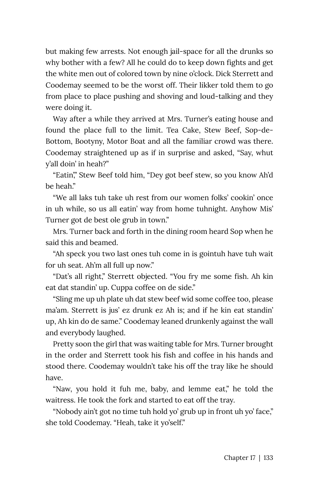but making few arrests. Not enough jail-space for all the drunks so why bother with a few? All he could do to keep down fights and get the white men out of colored town by nine o'clock. Dick Sterrett and Coodemay seemed to be the worst off. Their likker told them to go from place to place pushing and shoving and loud-talking and they were doing it.

Way after a while they arrived at Mrs. Turner's eating house and found the place full to the limit. Tea Cake, Stew Beef, Sop-de-Bottom, Bootyny, Motor Boat and all the familiar crowd was there. Coodemay straightened up as if in surprise and asked, "Say, whut y'all doin' in heah?"

"Eatin", Stew Beef told him, "Dey got beef stew, so you know Ah'd be heah."

"We all laks tuh take uh rest from our women folks' cookin' once in uh while, so us all eatin' way from home tuhnight. Anyhow Mis' Turner got de best ole grub in town."

Mrs. Turner back and forth in the dining room heard Sop when he said this and beamed.

"Ah speck you two last ones tuh come in is gointuh have tuh wait for uh seat. Ah'm all full up now."

"Dat's all right," Sterrett objected. "You fry me some fish. Ah kin eat dat standin' up. Cuppa coffee on de side."

"Sling me up uh plate uh dat stew beef wid some coffee too, please ma'am. Sterrett is jus' ez drunk ez Ah is; and if he kin eat standin' up, Ah kin do de same." Coodemay leaned drunkenly against the wall and everybody laughed.

Pretty soon the girl that was waiting table for Mrs. Turner brought in the order and Sterrett took his fish and coffee in his hands and stood there. Coodemay wouldn't take his off the tray like he should have.

"Naw, you hold it fuh me, baby, and lemme eat," he told the waitress. He took the fork and started to eat off the tray.

"Nobody ain't got no time tuh hold yo' grub up in front uh yo' face," she told Coodemay. "Heah, take it yo'self."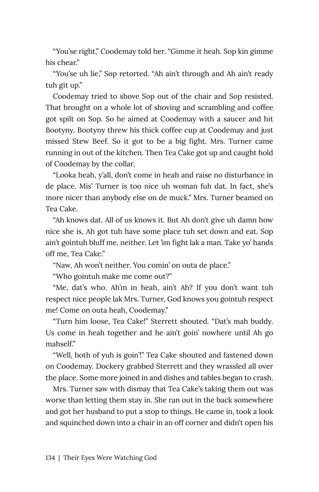"You'se right," Coodemay told her. "Gimme it heah. Sop kin gimme his chear."

"You'se uh lie," Sop retorted. "Ah ain't through and Ah ain't ready tuh git up."

Coodemay tried to shove Sop out of the chair and Sop resisted. That brought on a whole lot of shoving and scrambling and coffee got spilt on Sop. So he aimed at Coodemay with a saucer and hit Bootyny. Bootyny threw his thick coffee cup at Coodemay and just missed Stew Beef. So it got to be a big fight. Mrs. Turner came running in out of the kitchen. Then Tea Cake got up and caught hold of Coodemay by the collar.

"Looka heah, y'all, don't come in heah and raise no disturbance in de place. Mis' Turner is too nice uh woman fuh dat. In fact, she's more nicer than anybody else on de muck." Mrs. Turner beamed on Tea Cake.

"Ah knows dat. All of us knows it. But Ah don't give uh damn how nice she is, Ah got tuh have some place tuh set down and eat. Sop ain't gointuh bluff me, neither. Let 'im fight lak a man. Take yo' hands off me, Tea Cake."

"Naw, Ah won't neither. You comin' on outa de place."

"Who gointuh make me come out?"

"Me, dat's who. Ah'm in heah, ain't Ah? If you don't want tuh respect nice people lak Mrs. Turner, God knows you gointuh respect me! Come on outa heah, Coodemay."

"Turn him loose, Tea Cake!" Sterrett shouted. "Dat's mah buddy. Us come in heah together and he ain't goin' nowhere until Ah go mahself."

"Well, both of yuh is goin'!" Tea Cake shouted and fastened down on Coodemay. Dockery grabbed Sterrett and they wrassled all over the place. Some more joined in and dishes and tables began to crash.

Mrs. Turner saw with dismay that Tea Cake's taking them out was worse than letting them stay in. She ran out in the back somewhere and got her husband to put a stop to things. He came in, took a look and squinched down into a chair in an off corner and didn't open his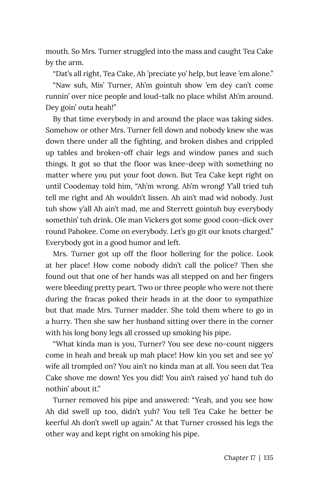mouth. So Mrs. Turner struggled into the mass and caught Tea Cake by the arm.

"Dat's all right, Tea Cake, Ah 'preciate yo' help, but leave 'em alone." "Naw suh, Mis' Turner, Ah'm gointuh show 'em dey can't come runnin' over nice people and loud-talk no place whilst Ah'm around. Dey goin' outa heah!"

By that time everybody in and around the place was taking sides. Somehow or other Mrs. Turner fell down and nobody knew she was down there under all the fighting, and broken dishes and crippled up tables and broken-off chair legs and window panes and such things. It got so that the floor was knee-deep with something no matter where you put your foot down. But Tea Cake kept right on until Coodemay told him, "Ah'm wrong. Ah'm wrong! Y'all tried tuh tell me right and Ah wouldn't lissen. Ah ain't mad wid nobody. Just tuh show y'all Ah ain't mad, me and Sterrett gointuh buy everybody somethin' tuh drink. Ole man Vickers got some good coon-dick over round Pahokee. Come on everybody. Let's go git our knots charged." Everybody got in a good humor and left.

Mrs. Turner got up off the floor hollering for the police. Look at her place! How come nobody didn't call the police? Then she found out that one of her hands was all stepped on and her fingers were bleeding pretty peart. Two or three people who were not there during the fracas poked their heads in at the door to sympathize but that made Mrs. Turner madder. She told them where to go in a hurry. Then she saw her husband sitting over there in the corner with his long bony legs all crossed up smoking his pipe.

"What kinda man is you, Turner? You see dese no-count niggers come in heah and break up mah place! How kin you set and see yo' wife all trompled on? You ain't no kinda man at all. You seen dat Tea Cake shove me down! Yes you did! You ain't raised yo' hand tuh do nothin' about it."

Turner removed his pipe and answered: "Yeah, and you see how Ah did swell up too, didn't yuh? You tell Tea Cake he better be keerful Ah don't swell up again." At that Turner crossed his legs the other way and kept right on smoking his pipe.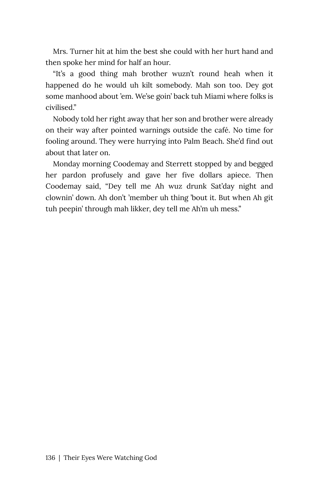Mrs. Turner hit at him the best she could with her hurt hand and then spoke her mind for half an hour.

"It's a good thing mah brother wuzn't round heah when it happened do he would uh kilt somebody. Mah son too. Dey got some manhood about 'em. We'se goin' back tuh Miami where folks is civilised."

Nobody told her right away that her son and brother were already on their way after pointed warnings outside the café. No time for fooling around. They were hurrying into Palm Beach. She'd find out about that later on.

Monday morning Coodemay and Sterrett stopped by and begged her pardon profusely and gave her five dollars apiece. Then Coodemay said, "Dey tell me Ah wuz drunk Sat'day night and clownin' down. Ah don't 'member uh thing 'bout it. But when Ah git tuh peepin' through mah likker, dey tell me Ah'm uh mess."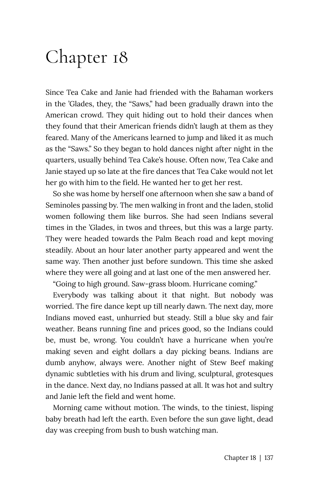### Chapter 18

Since Tea Cake and Janie had friended with the Bahaman workers in the 'Glades, they, the "Saws," had been gradually drawn into the American crowd. They quit hiding out to hold their dances when they found that their American friends didn't laugh at them as they feared. Many of the Americans learned to jump and liked it as much as the "Saws." So they began to hold dances night after night in the quarters, usually behind Tea Cake's house. Often now, Tea Cake and Janie stayed up so late at the fire dances that Tea Cake would not let her go with him to the field. He wanted her to get her rest.

So she was home by herself one afternoon when she saw a band of Seminoles passing by. The men walking in front and the laden, stolid women following them like burros. She had seen Indians several times in the 'Glades, in twos and threes, but this was a large party. They were headed towards the Palm Beach road and kept moving steadily. About an hour later another party appeared and went the same way. Then another just before sundown. This time she asked where they were all going and at last one of the men answered her.

"Going to high ground. Saw-grass bloom. Hurricane coming."

Everybody was talking about it that night. But nobody was worried. The fire dance kept up till nearly dawn. The next day, more Indians moved east, unhurried but steady. Still a blue sky and fair weather. Beans running fine and prices good, so the Indians could be, must be, wrong. You couldn't have a hurricane when you're making seven and eight dollars a day picking beans. Indians are dumb anyhow, always were. Another night of Stew Beef making dynamic subtleties with his drum and living, sculptural, grotesques in the dance. Next day, no Indians passed at all. It was hot and sultry and Janie left the field and went home.

Morning came without motion. The winds, to the tiniest, lisping baby breath had left the earth. Even before the sun gave light, dead day was creeping from bush to bush watching man.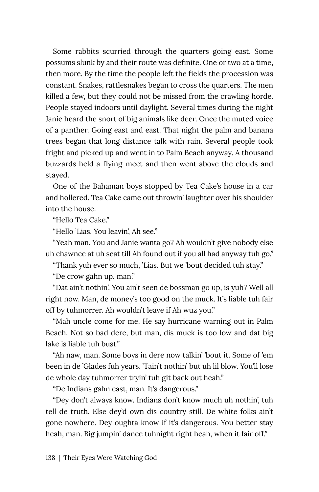Some rabbits scurried through the quarters going east. Some possums slunk by and their route was definite. One or two at a time, then more. By the time the people left the fields the procession was constant. Snakes, rattlesnakes began to cross the quarters. The men killed a few, but they could not be missed from the crawling horde. People stayed indoors until daylight. Several times during the night Janie heard the snort of big animals like deer. Once the muted voice of a panther. Going east and east. That night the palm and banana trees began that long distance talk with rain. Several people took fright and picked up and went in to Palm Beach anyway. A thousand buzzards held a flying-meet and then went above the clouds and stayed.

One of the Bahaman boys stopped by Tea Cake's house in a car and hollered. Tea Cake came out throwin' laughter over his shoulder into the house.

"Hello Tea Cake."

"Hello 'Lias. You leavin', Ah see."

"Yeah man. You and Janie wanta go? Ah wouldn't give nobody else uh chawnce at uh seat till Ah found out if you all had anyway tuh go."

"Thank yuh ever so much, 'Lias. But we 'bout decided tuh stay."

"De crow gahn up, man."

"Dat ain't nothin'. You ain't seen de bossman go up, is yuh? Well all right now. Man, de money's too good on the muck. It's liable tuh fair off by tuhmorrer. Ah wouldn't leave if Ah wuz you."

"Mah uncle come for me. He say hurricane warning out in Palm Beach. Not so bad dere, but man, dis muck is too low and dat big lake is liable tuh bust."

"Ah naw, man. Some boys in dere now talkin' 'bout it. Some of 'em been in de 'Glades fuh years. 'Tain't nothin' but uh lil blow. You'll lose de whole day tuhmorrer tryin' tuh git back out heah."

"De Indians gahn east, man. It's dangerous."

"Dey don't always know. Indians don't know much uh nothin', tuh tell de truth. Else dey'd own dis country still. De white folks ain't gone nowhere. Dey oughta know if it's dangerous. You better stay heah, man. Big jumpin' dance tuhnight right heah, when it fair off."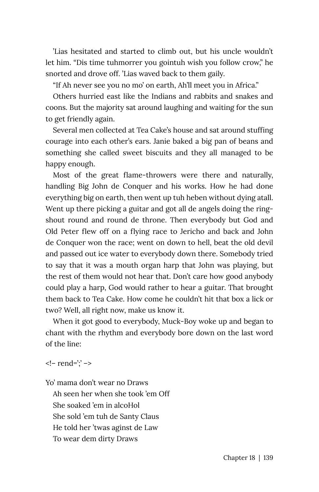'Lias hesitated and started to climb out, but his uncle wouldn't let him. "Dis time tuhmorrer you gointuh wish you follow crow," he snorted and drove off. 'Lias waved back to them gaily.

"If Ah never see you no mo' on earth, Ah'll meet you in Africa."

Others hurried east like the Indians and rabbits and snakes and coons. But the majority sat around laughing and waiting for the sun to get friendly again.

Several men collected at Tea Cake's house and sat around stuffing courage into each other's ears. Janie baked a big pan of beans and something she called sweet biscuits and they all managed to be happy enough.

Most of the great flame-throwers were there and naturally, handling Big John de Conquer and his works. How he had done everything big on earth, then went up tuh heben without dying atall. Went up there picking a guitar and got all de angels doing the ringshout round and round de throne. Then everybody but God and Old Peter flew off on a flying race to Jericho and back and John de Conquer won the race; went on down to hell, beat the old devil and passed out ice water to everybody down there. Somebody tried to say that it was a mouth organ harp that John was playing, but the rest of them would not hear that. Don't care how good anybody could play a harp, God would rather to hear a guitar. That brought them back to Tea Cake. How come he couldn't hit that box a lick or two? Well, all right now, make us know it.

When it got good to everybody, Muck-Boy woke up and began to chant with the rhythm and everybody bore down on the last word of the line:

<!– rend=';' –>

Yo' mama don't wear no Draws

Ah seen her when she took 'em Off She soaked 'em in alcoHol She sold 'em tuh de Santy Claus He told her 'twas aginst de Law To wear dem dirty Draws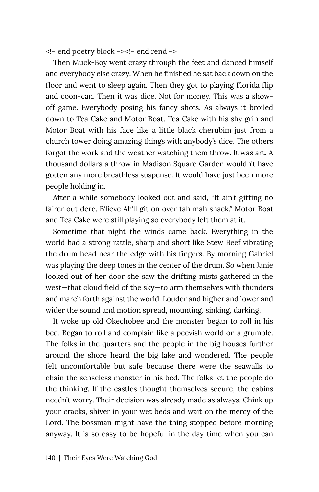<!– end poetry block –><!– end rend –>

Then Muck-Boy went crazy through the feet and danced himself and everybody else crazy. When he finished he sat back down on the floor and went to sleep again. Then they got to playing Florida flip and coon-can. Then it was dice. Not for money. This was a showoff game. Everybody posing his fancy shots. As always it broiled down to Tea Cake and Motor Boat. Tea Cake with his shy grin and Motor Boat with his face like a little black cherubim just from a church tower doing amazing things with anybody's dice. The others forgot the work and the weather watching them throw. It was art. A thousand dollars a throw in Madison Square Garden wouldn't have gotten any more breathless suspense. It would have just been more people holding in.

After a while somebody looked out and said, "It ain't gitting no fairer out dere. B'lieve Ah'll git on over tah mah shack." Motor Boat and Tea Cake were still playing so everybody left them at it.

Sometime that night the winds came back. Everything in the world had a strong rattle, sharp and short like Stew Beef vibrating the drum head near the edge with his fingers. By morning Gabriel was playing the deep tones in the center of the drum. So when Janie looked out of her door she saw the drifting mists gathered in the west—that cloud field of the sky—to arm themselves with thunders and march forth against the world. Louder and higher and lower and wider the sound and motion spread, mounting, sinking, darking.

It woke up old Okechobee and the monster began to roll in his bed. Began to roll and complain like a peevish world on a grumble. The folks in the quarters and the people in the big houses further around the shore heard the big lake and wondered. The people felt uncomfortable but safe because there were the seawalls to chain the senseless monster in his bed. The folks let the people do the thinking. If the castles thought themselves secure, the cabins needn't worry. Their decision was already made as always. Chink up your cracks, shiver in your wet beds and wait on the mercy of the Lord. The bossman might have the thing stopped before morning anyway. It is so easy to be hopeful in the day time when you can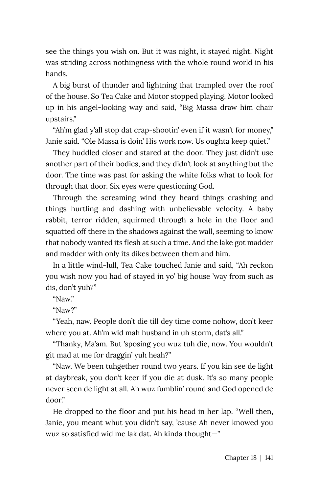see the things you wish on. But it was night, it stayed night. Night was striding across nothingness with the whole round world in his hands.

A big burst of thunder and lightning that trampled over the roof of the house. So Tea Cake and Motor stopped playing. Motor looked up in his angel-looking way and said, "Big Massa draw him chair upstairs."

"Ah'm glad y'all stop dat crap-shootin' even if it wasn't for money," Janie said. "Ole Massa is doin' His work now. Us oughta keep quiet."

They huddled closer and stared at the door. They just didn't use another part of their bodies, and they didn't look at anything but the door. The time was past for asking the white folks what to look for through that door. Six eyes were questioning God.

Through the screaming wind they heard things crashing and things hurtling and dashing with unbelievable velocity. A baby rabbit, terror ridden, squirmed through a hole in the floor and squatted off there in the shadows against the wall, seeming to know that nobody wanted its flesh at such a time. And the lake got madder and madder with only its dikes between them and him.

In a little wind-lull, Tea Cake touched Janie and said, "Ah reckon you wish now you had of stayed in yo' big house 'way from such as dis, don't yuh?"

"Naw."

"Naw?"

"Yeah, naw. People don't die till dey time come nohow, don't keer where you at. Ah'm wid mah husband in uh storm, dat's all."

"Thanky, Ma'am. But 'sposing you wuz tuh die, now. You wouldn't git mad at me for draggin' yuh heah?"

"Naw. We been tuhgether round two years. If you kin see de light at daybreak, you don't keer if you die at dusk. It's so many people never seen de light at all. Ah wuz fumblin' round and God opened de door."

He dropped to the floor and put his head in her lap. "Well then, Janie, you meant whut you didn't say, 'cause Ah never knowed you wuz so satisfied wid me lak dat. Ah kinda thought—"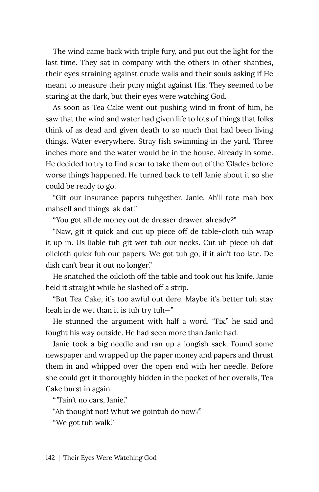The wind came back with triple fury, and put out the light for the last time. They sat in company with the others in other shanties, their eyes straining against crude walls and their souls asking if He meant to measure their puny might against His. They seemed to be staring at the dark, but their eyes were watching God.

As soon as Tea Cake went out pushing wind in front of him, he saw that the wind and water had given life to lots of things that folks think of as dead and given death to so much that had been living things. Water everywhere. Stray fish swimming in the yard. Three inches more and the water would be in the house. Already in some. He decided to try to find a car to take them out of the 'Glades before worse things happened. He turned back to tell Janie about it so she could be ready to go.

"Git our insurance papers tuhgether, Janie. Ah'll tote mah box mahself and things lak dat."

"You got all de money out de dresser drawer, already?"

"Naw, git it quick and cut up piece off de table-cloth tuh wrap it up in. Us liable tuh git wet tuh our necks. Cut uh piece uh dat oilcloth quick fuh our papers. We got tuh go, if it ain't too late. De dish can't bear it out no longer."

He snatched the oilcloth off the table and took out his knife. Janie held it straight while he slashed off a strip.

"But Tea Cake, it's too awful out dere. Maybe it's better tuh stay heah in de wet than it is tuh try tuh—"

He stunned the argument with half a word. "Fix," he said and fought his way outside. He had seen more than Janie had.

Janie took a big needle and ran up a longish sack. Found some newspaper and wrapped up the paper money and papers and thrust them in and whipped over the open end with her needle. Before she could get it thoroughly hidden in the pocket of her overalls, Tea Cake burst in again.

" 'Tain't no cars, Janie."

"Ah thought not! Whut we gointuh do now?"

"We got tuh walk."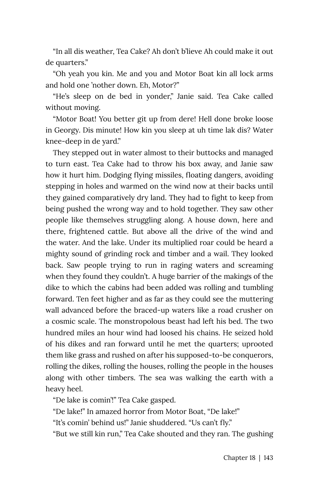"In all dis weather, Tea Cake? Ah don't b'lieve Ah could make it out de quarters."

"Oh yeah you kin. Me and you and Motor Boat kin all lock arms and hold one 'nother down. Eh, Motor?"

"He's sleep on de bed in yonder," Janie said. Tea Cake called without moving.

"Motor Boat! You better git up from dere! Hell done broke loose in Georgy. Dis minute! How kin you sleep at uh time lak dis? Water knee-deep in de yard."

They stepped out in water almost to their buttocks and managed to turn east. Tea Cake had to throw his box away, and Janie saw how it hurt him. Dodging flying missiles, floating dangers, avoiding stepping in holes and warmed on the wind now at their backs until they gained comparatively dry land. They had to fight to keep from being pushed the wrong way and to hold together. They saw other people like themselves struggling along. A house down, here and there, frightened cattle. But above all the drive of the wind and the water. And the lake. Under its multiplied roar could be heard a mighty sound of grinding rock and timber and a wail. They looked back. Saw people trying to run in raging waters and screaming when they found they couldn't. A huge barrier of the makings of the dike to which the cabins had been added was rolling and tumbling forward. Ten feet higher and as far as they could see the muttering wall advanced before the braced-up waters like a road crusher on a cosmic scale. The monstropolous beast had left his bed. The two hundred miles an hour wind had loosed his chains. He seized hold of his dikes and ran forward until he met the quarters; uprooted them like grass and rushed on after his supposed-to-be conquerors, rolling the dikes, rolling the houses, rolling the people in the houses along with other timbers. The sea was walking the earth with a heavy heel.

"De lake is comin'!" Tea Cake gasped.

"De lake!" In amazed horror from Motor Boat, "De lake!"

"It's comin' behind us!" Janie shuddered. "Us can't fly."

"But we still kin run," Tea Cake shouted and they ran. The gushing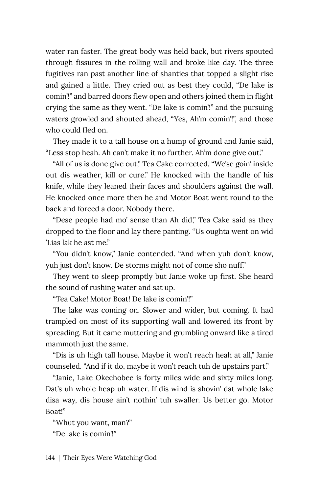water ran faster. The great body was held back, but rivers spouted through fissures in the rolling wall and broke like day. The three fugitives ran past another line of shanties that topped a slight rise and gained a little. They cried out as best they could, "De lake is comin'!" and barred doors flew open and others joined them in flight crying the same as they went. "De lake is comin'!" and the pursuing waters growled and shouted ahead, "Yes, Ah'm comin'!", and those who could fled on.

They made it to a tall house on a hump of ground and Janie said, "Less stop heah. Ah can't make it no further. Ah'm done give out."

"All of us is done give out," Tea Cake corrected. "We'se goin' inside out dis weather, kill or cure." He knocked with the handle of his knife, while they leaned their faces and shoulders against the wall. He knocked once more then he and Motor Boat went round to the back and forced a door. Nobody there.

"Dese people had mo' sense than Ah did," Tea Cake said as they dropped to the floor and lay there panting. "Us oughta went on wid 'Lias lak he ast me."

"You didn't know," Janie contended. "And when yuh don't know, yuh just don't know. De storms might not of come sho nuff."

They went to sleep promptly but Janie woke up first. She heard the sound of rushing water and sat up.

"Tea Cake! Motor Boat! De lake is comin'!"

The lake was coming on. Slower and wider, but coming. It had trampled on most of its supporting wall and lowered its front by spreading. But it came muttering and grumbling onward like a tired mammoth just the same.

"Dis is uh high tall house. Maybe it won't reach heah at all," Janie counseled. "And if it do, maybe it won't reach tuh de upstairs part."

"Janie, Lake Okechobee is forty miles wide and sixty miles long. Dat's uh whole heap uh water. If dis wind is shovin' dat whole lake disa way, dis house ain't nothin' tuh swaller. Us better go. Motor Boat!"

"Whut you want, man?"

"De lake is comin'!"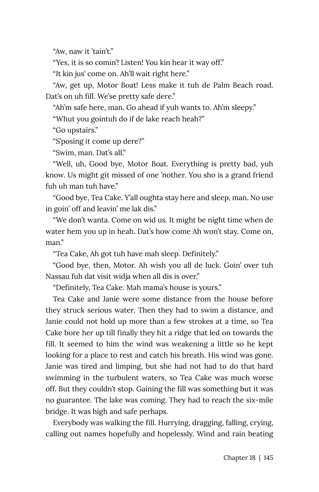"Aw, naw it 'tain't."

"Yes, it is so comin'! Listen! You kin hear it way off."

"It kin jus' come on. Ah'll wait right here."

"Aw, get up, Motor Boat! Less make it tuh de Palm Beach road. Dat's on uh fill. We'se pretty safe dere."

"Ah'm safe here, man. Go ahead if yuh wants to. Ah'm sleepy."

"Whut you gointuh do if de lake reach heah?"

"Go upstairs."

"S'posing it come up dere?"

"Swim, man. Dat's all."

"Well, uh, Good bye, Motor Boat. Everything is pretty bad, yuh know. Us might git missed of one 'nother. You sho is a grand friend fuh uh man tuh have."

"Good bye, Tea Cake. Y'all oughta stay here and sleep, man. No use in goin' off and leavin' me lak dis."

"We don't wanta. Come on wid us. It might be night time when de water hem you up in heah. Dat's how come Ah won't stay. Come on, man."

"Tea Cake, Ah got tuh have mah sleep. Definitely."

"Good bye, then, Motor. Ah wish you all de luck. Goin' over tuh Nassau fuh dat visit widja when all dis is over."

"Definitely, Tea Cake. Mah mama's house is yours."

Tea Cake and Janie were some distance from the house before they struck serious water. Then they had to swim a distance, and Janie could not hold up more than a few strokes at a time, so Tea Cake bore her up till finally they hit a ridge that led on towards the fill. It seemed to him the wind was weakening a little so he kept looking for a place to rest and catch his breath. His wind was gone. Janie was tired and limping, but she had not had to do that hard swimming in the turbulent waters, so Tea Cake was much worse off. But they couldn't stop. Gaining the fill was something but it was no guarantee. The lake was coming. They had to reach the six-mile bridge. It was high and safe perhaps.

Everybody was walking the fill. Hurrying, dragging, falling, crying, calling out names hopefully and hopelessly. Wind and rain beating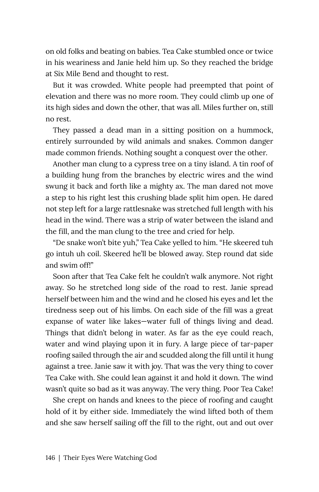on old folks and beating on babies. Tea Cake stumbled once or twice in his weariness and Janie held him up. So they reached the bridge at Six Mile Bend and thought to rest.

But it was crowded. White people had preempted that point of elevation and there was no more room. They could climb up one of its high sides and down the other, that was all. Miles further on, still no rest.

They passed a dead man in a sitting position on a hummock, entirely surrounded by wild animals and snakes. Common danger made common friends. Nothing sought a conquest over the other.

Another man clung to a cypress tree on a tiny island. A tin roof of a building hung from the branches by electric wires and the wind swung it back and forth like a mighty ax. The man dared not move a step to his right lest this crushing blade split him open. He dared not step left for a large rattlesnake was stretched full length with his head in the wind. There was a strip of water between the island and the fill, and the man clung to the tree and cried for help.

"De snake won't bite yuh," Tea Cake yelled to him. "He skeered tuh go intuh uh coil. Skeered he'll be blowed away. Step round dat side and swim off!"

Soon after that Tea Cake felt he couldn't walk anymore. Not right away. So he stretched long side of the road to rest. Janie spread herself between him and the wind and he closed his eyes and let the tiredness seep out of his limbs. On each side of the fill was a great expanse of water like lakes—water full of things living and dead. Things that didn't belong in water. As far as the eye could reach, water and wind playing upon it in fury. A large piece of tar-paper roofing sailed through the air and scudded along the fill until it hung against a tree. Janie saw it with joy. That was the very thing to cover Tea Cake with. She could lean against it and hold it down. The wind wasn't quite so bad as it was anyway. The very thing. Poor Tea Cake!

She crept on hands and knees to the piece of roofing and caught hold of it by either side. Immediately the wind lifted both of them and she saw herself sailing off the fill to the right, out and out over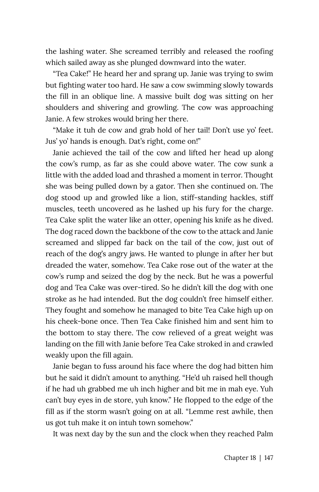the lashing water. She screamed terribly and released the roofing which sailed away as she plunged downward into the water.

"Tea Cake!" He heard her and sprang up. Janie was trying to swim but fighting water too hard. He saw a cow swimming slowly towards the fill in an oblique line. A massive built dog was sitting on her shoulders and shivering and growling. The cow was approaching Janie. A few strokes would bring her there.

"Make it tuh de cow and grab hold of her tail! Don't use yo' feet. Jus' yo' hands is enough. Dat's right, come on!"

Janie achieved the tail of the cow and lifted her head up along the cow's rump, as far as she could above water. The cow sunk a little with the added load and thrashed a moment in terror. Thought she was being pulled down by a gator. Then she continued on. The dog stood up and growled like a lion, stiff-standing hackles, stiff muscles, teeth uncovered as he lashed up his fury for the charge. Tea Cake split the water like an otter, opening his knife as he dived. The dog raced down the backbone of the cow to the attack and Janie screamed and slipped far back on the tail of the cow, just out of reach of the dog's angry jaws. He wanted to plunge in after her but dreaded the water, somehow. Tea Cake rose out of the water at the cow's rump and seized the dog by the neck. But he was a powerful dog and Tea Cake was over-tired. So he didn't kill the dog with one stroke as he had intended. But the dog couldn't free himself either. They fought and somehow he managed to bite Tea Cake high up on his cheek-bone once. Then Tea Cake finished him and sent him to the bottom to stay there. The cow relieved of a great weight was landing on the fill with Janie before Tea Cake stroked in and crawled weakly upon the fill again.

Janie began to fuss around his face where the dog had bitten him but he said it didn't amount to anything. "He'd uh raised hell though if he had uh grabbed me uh inch higher and bit me in mah eye. Yuh can't buy eyes in de store, yuh know." He flopped to the edge of the fill as if the storm wasn't going on at all. "Lemme rest awhile, then us got tuh make it on intuh town somehow."

It was next day by the sun and the clock when they reached Palm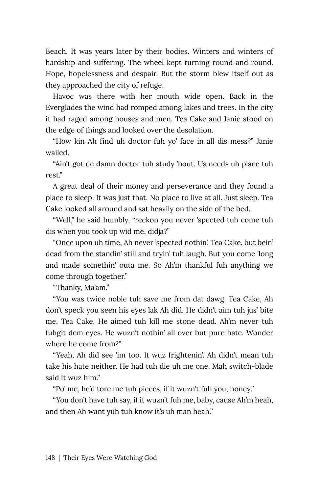Beach. It was years later by their bodies. Winters and winters of hardship and suffering. The wheel kept turning round and round. Hope, hopelessness and despair. But the storm blew itself out as they approached the city of refuge.

Havoc was there with her mouth wide open. Back in the Everglades the wind had romped among lakes and trees. In the city it had raged among houses and men. Tea Cake and Janie stood on the edge of things and looked over the desolation.

"How kin Ah find uh doctor fuh yo' face in all dis mess?" Janie wailed.

"Ain't got de damn doctor tuh study 'bout. Us needs uh place tuh rest."

A great deal of their money and perseverance and they found a place to sleep. It was just that. No place to live at all. Just sleep. Tea Cake looked all around and sat heavily on the side of the bed.

"Well," he said humbly, "reckon you never 'spected tuh come tuh dis when you took up wid me, didja?"

"Once upon uh time, Ah never 'spected nothin', Tea Cake, but bein' dead from the standin' still and tryin' tuh laugh. But you come 'long and made somethin' outa me. So Ah'm thankful fuh anything we come through together."

"Thanky, Ma'am."

"You was twice noble tuh save me from dat dawg. Tea Cake, Ah don't speck you seen his eyes lak Ah did. He didn't aim tuh jus' bite me, Tea Cake. He aimed tuh kill me stone dead. Ah'm never tuh fuhgit dem eyes. He wuzn't nothin' all over but pure hate. Wonder where he come from?"

"Yeah, Ah did see 'im too. It wuz frightenin'. Ah didn't mean tuh take his hate neither. He had tuh die uh me one. Mah switch-blade said it wuz him."

"Po' me, he'd tore me tuh pieces, if it wuzn't fuh you, honey."

"You don't have tuh say, if it wuzn't fuh me, baby, cause Ah'm heah, and then Ah want yuh tuh know it's uh man heah."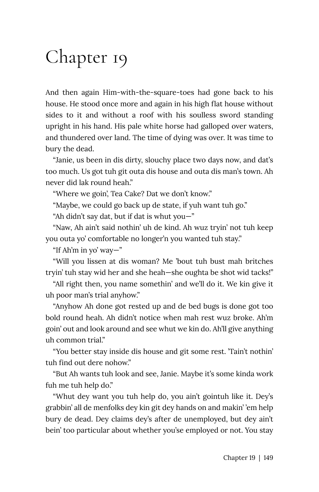## Chapter 19

And then again Him-with-the-square-toes had gone back to his house. He stood once more and again in his high flat house without sides to it and without a roof with his soulless sword standing upright in his hand. His pale white horse had galloped over waters, and thundered over land. The time of dying was over. It was time to bury the dead.

"Janie, us been in dis dirty, slouchy place two days now, and dat's too much. Us got tuh git outa dis house and outa dis man's town. Ah never did lak round heah."

"Where we goin', Tea Cake? Dat we don't know."

"Maybe, we could go back up de state, if yuh want tuh go."

"Ah didn't say dat, but if dat is whut you—"

"Naw, Ah ain't said nothin' uh de kind. Ah wuz tryin' not tuh keep you outa yo' comfortable no longer'n you wanted tuh stay."

"If Ah'm in yo' way—"

"Will you lissen at dis woman? Me 'bout tuh bust mah britches tryin' tuh stay wid her and she heah—she oughta be shot wid tacks!"

"All right then, you name somethin' and we'll do it. We kin give it uh poor man's trial anyhow."

"Anyhow Ah done got rested up and de bed bugs is done got too bold round heah. Ah didn't notice when mah rest wuz broke. Ah'm goin' out and look around and see whut we kin do. Ah'll give anything uh common trial."

"You better stay inside dis house and git some rest. 'Tain't nothin' tuh find out dere nohow."

"But Ah wants tuh look and see, Janie. Maybe it's some kinda work fuh me tuh help do."

"Whut dey want you tuh help do, you ain't gointuh like it. Dey's grabbin' all de menfolks dey kin git dey hands on and makin' 'em help bury de dead. Dey claims dey's after de unemployed, but dey ain't bein' too particular about whether you'se employed or not. You stay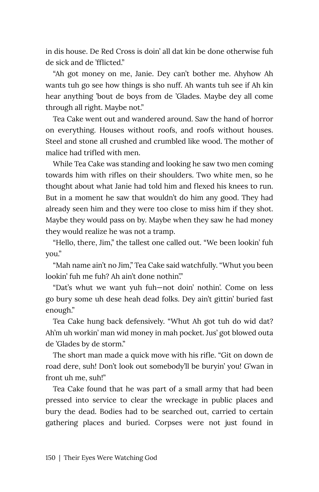in dis house. De Red Cross is doin' all dat kin be done otherwise fuh de sick and de 'fflicted."

"Ah got money on me, Janie. Dey can't bother me. Ahyhow Ah wants tuh go see how things is sho nuff. Ah wants tuh see if Ah kin hear anything 'bout de boys from de 'Glades. Maybe dey all come through all right. Maybe not."

Tea Cake went out and wandered around. Saw the hand of horror on everything. Houses without roofs, and roofs without houses. Steel and stone all crushed and crumbled like wood. The mother of malice had trifled with men.

While Tea Cake was standing and looking he saw two men coming towards him with rifles on their shoulders. Two white men, so he thought about what Janie had told him and flexed his knees to run. But in a moment he saw that wouldn't do him any good. They had already seen him and they were too close to miss him if they shot. Maybe they would pass on by. Maybe when they saw he had money they would realize he was not a tramp.

"Hello, there, Jim," the tallest one called out. "We been lookin' fuh you."

"Mah name ain't no Jim," Tea Cake said watchfully. "Whut you been lookin' fuh me fuh? Ah ain't done nothin'."

"Dat's whut we want yuh fuh—not doin' nothin'. Come on less go bury some uh dese heah dead folks. Dey ain't gittin' buried fast enough."

Tea Cake hung back defensively. "Whut Ah got tuh do wid dat? Ah'm uh workin' man wid money in mah pocket. Jus' got blowed outa de 'Glades by de storm."

The short man made a quick move with his rifle. "Git on down de road dere, suh! Don't look out somebody'll be buryin' you! G'wan in front uh me, suh!"

Tea Cake found that he was part of a small army that had been pressed into service to clear the wreckage in public places and bury the dead. Bodies had to be searched out, carried to certain gathering places and buried. Corpses were not just found in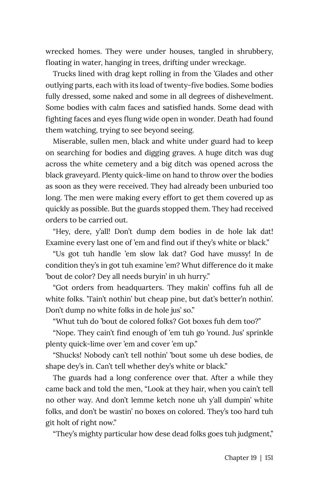wrecked homes. They were under houses, tangled in shrubbery, floating in water, hanging in trees, drifting under wreckage.

Trucks lined with drag kept rolling in from the 'Glades and other outlying parts, each with its load of twenty-five bodies. Some bodies fully dressed, some naked and some in all degrees of dishevelment. Some bodies with calm faces and satisfied hands. Some dead with fighting faces and eyes flung wide open in wonder. Death had found them watching, trying to see beyond seeing.

Miserable, sullen men, black and white under guard had to keep on searching for bodies and digging graves. A huge ditch was dug across the white cemetery and a big ditch was opened across the black graveyard. Plenty quick-lime on hand to throw over the bodies as soon as they were received. They had already been unburied too long. The men were making every effort to get them covered up as quickly as possible. But the guards stopped them. They had received orders to be carried out.

"Hey, dere, y'all! Don't dump dem bodies in de hole lak dat! Examine every last one of 'em and find out if they's white or black."

"Us got tuh handle 'em slow lak dat? God have mussy! In de condition they's in got tuh examine 'em? Whut difference do it make 'bout de color? Dey all needs buryin' in uh hurry."

"Got orders from headquarters. They makin' coffins fuh all de white folks. 'Tain't nothin' but cheap pine, but dat's better'n nothin'. Don't dump no white folks in de hole jus' so."

"Whut tuh do 'bout de colored folks? Got boxes fuh dem too?"

"Nope. They cain't find enough of 'em tuh go 'round. Jus' sprinkle plenty quick-lime over 'em and cover 'em up."

"Shucks! Nobody can't tell nothin' 'bout some uh dese bodies, de shape dey's in. Can't tell whether dey's white or black."

The guards had a long conference over that. After a while they came back and told the men, "Look at they hair, when you cain't tell no other way. And don't lemme ketch none uh y'all dumpin' white folks, and don't be wastin' no boxes on colored. They's too hard tuh git holt of right now."

"They's mighty particular how dese dead folks goes tuh judgment,"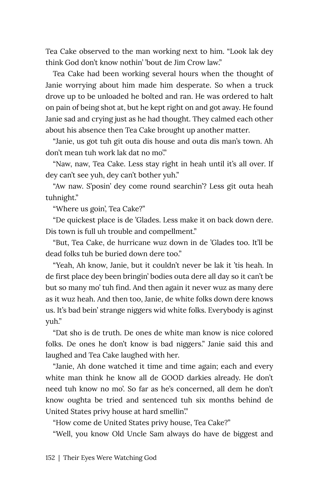Tea Cake observed to the man working next to him. "Look lak dey think God don't know nothin' 'bout de Jim Crow law."

Tea Cake had been working several hours when the thought of Janie worrying about him made him desperate. So when a truck drove up to be unloaded he bolted and ran. He was ordered to halt on pain of being shot at, but he kept right on and got away. He found Janie sad and crying just as he had thought. They calmed each other about his absence then Tea Cake brought up another matter.

"Janie, us got tuh git outa dis house and outa dis man's town. Ah don't mean tuh work lak dat no mo'."

"Naw, naw, Tea Cake. Less stay right in heah until it's all over. If dey can't see yuh, dey can't bother yuh."

"Aw naw. S'posin' dey come round searchin'? Less git outa heah tuhnight."

"Where us goin', Tea Cake?"

"De quickest place is de 'Glades. Less make it on back down dere. Dis town is full uh trouble and compellment."

"But, Tea Cake, de hurricane wuz down in de 'Glades too. It'll be dead folks tuh be buried down dere too."

"Yeah, Ah know, Janie, but it couldn't never be lak it 'tis heah. In de first place dey been bringin' bodies outa dere all day so it can't be but so many mo' tuh find. And then again it never wuz as many dere as it wuz heah. And then too, Janie, de white folks down dere knows us. It's bad bein' strange niggers wid white folks. Everybody is aginst yuh."

"Dat sho is de truth. De ones de white man know is nice colored folks. De ones he don't know is bad niggers." Janie said this and laughed and Tea Cake laughed with her.

"Janie, Ah done watched it time and time again; each and every white man think he know all de GOOD darkies already. He don't need tuh know no mo'. So far as he's concerned, all dem he don't know oughta be tried and sentenced tuh six months behind de United States privy house at hard smellin'."

"How come de United States privy house, Tea Cake?"

"Well, you know Old Uncle Sam always do have de biggest and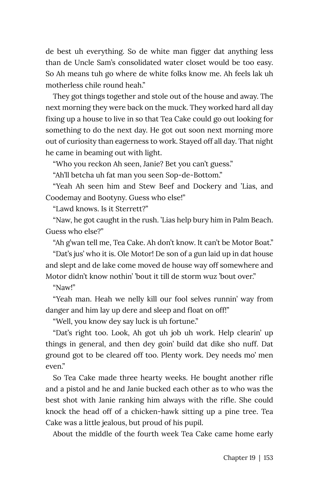de best uh everything. So de white man figger dat anything less than de Uncle Sam's consolidated water closet would be too easy. So Ah means tuh go where de white folks know me. Ah feels lak uh motherless chile round heah."

They got things together and stole out of the house and away. The next morning they were back on the muck. They worked hard all day fixing up a house to live in so that Tea Cake could go out looking for something to do the next day. He got out soon next morning more out of curiosity than eagerness to work. Stayed off all day. That night he came in beaming out with light.

"Who you reckon Ah seen, Janie? Bet you can't guess."

"Ah'll betcha uh fat man you seen Sop-de-Bottom."

"Yeah Ah seen him and Stew Beef and Dockery and 'Lias, and Coodemay and Bootyny. Guess who else!"

"Lawd knows. Is it Sterrett?"

"Naw, he got caught in the rush. 'Lias help bury him in Palm Beach. Guess who else?"

"Ah g'wan tell me, Tea Cake. Ah don't know. It can't be Motor Boat." "Dat's jus' who it is. Ole Motor! De son of a gun laid up in dat house and slept and de lake come moved de house way off somewhere and Motor didn't know nothin' 'bout it till de storm wuz 'bout over."

"Naw!"

"Yeah man. Heah we nelly kill our fool selves runnin' way from danger and him lay up dere and sleep and float on off!"

"Well, you know dey say luck is uh fortune."

"Dat's right too. Look, Ah got uh job uh work. Help clearin' up things in general, and then dey goin' build dat dike sho nuff. Dat ground got to be cleared off too. Plenty work. Dey needs mo' men even."

So Tea Cake made three hearty weeks. He bought another rifle and a pistol and he and Janie bucked each other as to who was the best shot with Janie ranking him always with the rifle. She could knock the head off of a chicken-hawk sitting up a pine tree. Tea Cake was a little jealous, but proud of his pupil.

About the middle of the fourth week Tea Cake came home early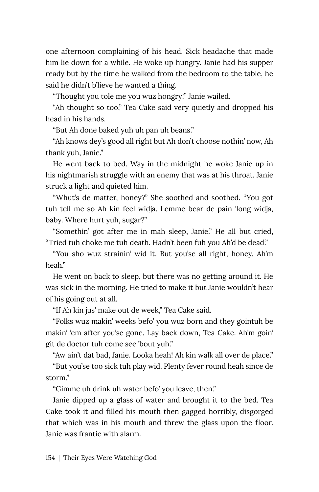one afternoon complaining of his head. Sick headache that made him lie down for a while. He woke up hungry. Janie had his supper ready but by the time he walked from the bedroom to the table, he said he didn't b'lieve he wanted a thing.

"Thought you tole me you wuz hongry!" Janie wailed.

"Ah thought so too," Tea Cake said very quietly and dropped his head in his hands.

"But Ah done baked yuh uh pan uh beans."

"Ah knows dey's good all right but Ah don't choose nothin' now, Ah thank yuh, Janie."

He went back to bed. Way in the midnight he woke Janie up in his nightmarish struggle with an enemy that was at his throat. Janie struck a light and quieted him.

"Whut's de matter, honey?" She soothed and soothed. "You got tuh tell me so Ah kin feel widja. Lemme bear de pain 'long widja, baby. Where hurt yuh, sugar?"

"Somethin' got after me in mah sleep, Janie." He all but cried, "Tried tuh choke me tuh death. Hadn't been fuh you Ah'd be dead."

"You sho wuz strainin' wid it. But you'se all right, honey. Ah'm heah."

He went on back to sleep, but there was no getting around it. He was sick in the morning. He tried to make it but Janie wouldn't hear of his going out at all.

"If Ah kin jus' make out de week," Tea Cake said.

"Folks wuz makin' weeks befo' you wuz born and they gointuh be makin' 'em after you'se gone. Lay back down, Tea Cake. Ah'm goin' git de doctor tuh come see 'bout yuh."

"Aw ain't dat bad, Janie. Looka heah! Ah kin walk all over de place."

"But you'se too sick tuh play wid. Plenty fever round heah since de storm."

"Gimme uh drink uh water befo' you leave, then."

Janie dipped up a glass of water and brought it to the bed. Tea Cake took it and filled his mouth then gagged horribly, disgorged that which was in his mouth and threw the glass upon the floor. Janie was frantic with alarm.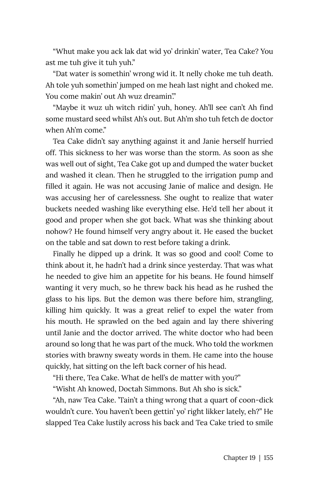"Whut make you ack lak dat wid yo' drinkin' water, Tea Cake? You ast me tuh give it tuh yuh."

"Dat water is somethin' wrong wid it. It nelly choke me tuh death. Ah tole yuh somethin' jumped on me heah last night and choked me. You come makin' out Ah wuz dreamin'."

"Maybe it wuz uh witch ridin' yuh, honey. Ah'll see can't Ah find some mustard seed whilst Ah's out. But Ah'm sho tuh fetch de doctor when Ah'm come."

Tea Cake didn't say anything against it and Janie herself hurried off. This sickness to her was worse than the storm. As soon as she was well out of sight, Tea Cake got up and dumped the water bucket and washed it clean. Then he struggled to the irrigation pump and filled it again. He was not accusing Janie of malice and design. He was accusing her of carelessness. She ought to realize that water buckets needed washing like everything else. He'd tell her about it good and proper when she got back. What was she thinking about nohow? He found himself very angry about it. He eased the bucket on the table and sat down to rest before taking a drink.

Finally he dipped up a drink. It was so good and cool! Come to think about it, he hadn't had a drink since yesterday. That was what he needed to give him an appetite for his beans. He found himself wanting it very much, so he threw back his head as he rushed the glass to his lips. But the demon was there before him, strangling, killing him quickly. It was a great relief to expel the water from his mouth. He sprawled on the bed again and lay there shivering until Janie and the doctor arrived. The white doctor who had been around so long that he was part of the muck. Who told the workmen stories with brawny sweaty words in them. He came into the house quickly, hat sitting on the left back corner of his head.

"Hi there, Tea Cake. What de hell's de matter with you?"

"Wisht Ah knowed, Doctah Simmons. But Ah sho is sick."

"Ah, naw Tea Cake. 'Tain't a thing wrong that a quart of coon-dick wouldn't cure. You haven't been gettin' yo' right likker lately, eh?" He slapped Tea Cake lustily across his back and Tea Cake tried to smile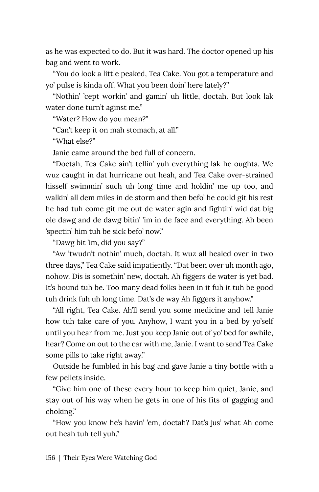as he was expected to do. But it was hard. The doctor opened up his bag and went to work.

"You do look a little peaked, Tea Cake. You got a temperature and yo' pulse is kinda off. What you been doin' here lately?"

"Nothin' 'cept workin' and gamin' uh little, doctah. But look lak water done turn't aginst me."

"Water? How do you mean?"

"Can't keep it on mah stomach, at all."

"What else?"

Janie came around the bed full of concern.

"Doctah, Tea Cake ain't tellin' yuh everything lak he oughta. We wuz caught in dat hurricane out heah, and Tea Cake over-strained hisself swimmin' such uh long time and holdin' me up too, and walkin' all dem miles in de storm and then befo' he could git his rest he had tuh come git me out de water agin and fightin' wid dat big ole dawg and de dawg bitin' 'im in de face and everything. Ah been 'spectin' him tuh be sick befo' now."

"Dawg bit 'im, did you say?"

"Aw 'twudn't nothin' much, doctah. It wuz all healed over in two three days," Tea Cake said impatiently. "Dat been over uh month ago, nohow. Dis is somethin' new, doctah. Ah figgers de water is yet bad. It's bound tuh be. Too many dead folks been in it fuh it tuh be good tuh drink fuh uh long time. Dat's de way Ah figgers it anyhow."

"All right, Tea Cake. Ah'll send you some medicine and tell Janie how tuh take care of you. Anyhow, I want you in a bed by yo'self until you hear from me. Just you keep Janie out of yo' bed for awhile, hear? Come on out to the car with me, Janie. I want to send Tea Cake some pills to take right away."

Outside he fumbled in his bag and gave Janie a tiny bottle with a few pellets inside.

"Give him one of these every hour to keep him quiet, Janie, and stay out of his way when he gets in one of his fits of gagging and choking."

"How you know he's havin' 'em, doctah? Dat's jus' what Ah come out heah tuh tell yuh."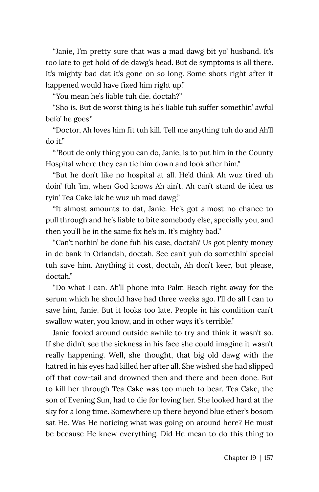"Janie, I'm pretty sure that was a mad dawg bit yo' husband. It's too late to get hold of de dawg's head. But de symptoms is all there. It's mighty bad dat it's gone on so long. Some shots right after it happened would have fixed him right up."

"You mean he's liable tuh die, doctah?"

"Sho is. But de worst thing is he's liable tuh suffer somethin' awful befo' he goes."

"Doctor, Ah loves him fit tuh kill. Tell me anything tuh do and Ah'll do it."

" 'Bout de only thing you can do, Janie, is to put him in the County Hospital where they can tie him down and look after him."

"But he don't like no hospital at all. He'd think Ah wuz tired uh doin' fuh 'im, when God knows Ah ain't. Ah can't stand de idea us tyin' Tea Cake lak he wuz uh mad dawg."

"It almost amounts to dat, Janie. He's got almost no chance to pull through and he's liable to bite somebody else, specially you, and then you'll be in the same fix he's in. It's mighty bad."

"Can't nothin' be done fuh his case, doctah? Us got plenty money in de bank in Orlandah, doctah. See can't yuh do somethin' special tuh save him. Anything it cost, doctah, Ah don't keer, but please, doctah."

"Do what I can. Ah'll phone into Palm Beach right away for the serum which he should have had three weeks ago. I'll do all I can to save him, Janie. But it looks too late. People in his condition can't swallow water, you know, and in other ways it's terrible."

Janie fooled around outside awhile to try and think it wasn't so. If she didn't see the sickness in his face she could imagine it wasn't really happening. Well, she thought, that big old dawg with the hatred in his eyes had killed her after all. She wished she had slipped off that cow-tail and drowned then and there and been done. But to kill her through Tea Cake was too much to bear. Tea Cake, the son of Evening Sun, had to die for loving her. She looked hard at the sky for a long time. Somewhere up there beyond blue ether's bosom sat He. Was He noticing what was going on around here? He must be because He knew everything. Did He mean to do this thing to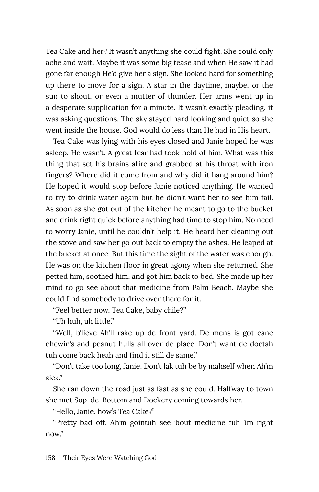Tea Cake and her? It wasn't anything she could fight. She could only ache and wait. Maybe it was some big tease and when He saw it had gone far enough He'd give her a sign. She looked hard for something up there to move for a sign. A star in the daytime, maybe, or the sun to shout, or even a mutter of thunder. Her arms went up in a desperate supplication for a minute. It wasn't exactly pleading, it was asking questions. The sky stayed hard looking and quiet so she went inside the house. God would do less than He had in His heart.

Tea Cake was lying with his eyes closed and Janie hoped he was asleep. He wasn't. A great fear had took hold of him. What was this thing that set his brains afire and grabbed at his throat with iron fingers? Where did it come from and why did it hang around him? He hoped it would stop before Janie noticed anything. He wanted to try to drink water again but he didn't want her to see him fail. As soon as she got out of the kitchen he meant to go to the bucket and drink right quick before anything had time to stop him. No need to worry Janie, until he couldn't help it. He heard her cleaning out the stove and saw her go out back to empty the ashes. He leaped at the bucket at once. But this time the sight of the water was enough. He was on the kitchen floor in great agony when she returned. She petted him, soothed him, and got him back to bed. She made up her mind to go see about that medicine from Palm Beach. Maybe she could find somebody to drive over there for it.

"Feel better now, Tea Cake, baby chile?"

"Uh huh, uh little."

"Well, b'lieve Ah'll rake up de front yard. De mens is got cane chewin's and peanut hulls all over de place. Don't want de doctah tuh come back heah and find it still de same."

"Don't take too long, Janie. Don't lak tuh be by mahself when Ah'm sick."

She ran down the road just as fast as she could. Halfway to town she met Sop-de-Bottom and Dockery coming towards her.

"Hello, Janie, how's Tea Cake?"

"Pretty bad off. Ah'm gointuh see 'bout medicine fuh 'im right now."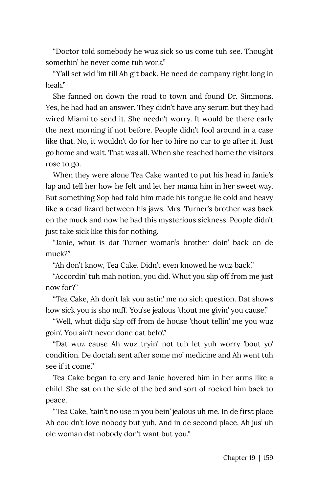"Doctor told somebody he wuz sick so us come tuh see. Thought somethin' he never come tuh work."

"Y'all set wid 'im till Ah git back. He need de company right long in heah."

She fanned on down the road to town and found Dr. Simmons. Yes, he had had an answer. They didn't have any serum but they had wired Miami to send it. She needn't worry. It would be there early the next morning if not before. People didn't fool around in a case like that. No, it wouldn't do for her to hire no car to go after it. Just go home and wait. That was all. When she reached home the visitors rose to go.

When they were alone Tea Cake wanted to put his head in Janie's lap and tell her how he felt and let her mama him in her sweet way. But something Sop had told him made his tongue lie cold and heavy like a dead lizard between his jaws. Mrs. Turner's brother was back on the muck and now he had this mysterious sickness. People didn't just take sick like this for nothing.

"Janie, whut is dat Turner woman's brother doin' back on de muck?"

"Ah don't know, Tea Cake. Didn't even knowed he wuz back."

"Accordin' tuh mah notion, you did. Whut you slip off from me just now for?"

"Tea Cake, Ah don't lak you astin' me no sich question. Dat shows how sick you is sho nuff. You'se jealous 'thout me givin' you cause."

"Well, whut didja slip off from de house 'thout tellin' me you wuz goin'. You ain't never done dat befo'."

"Dat wuz cause Ah wuz tryin' not tuh let yuh worry 'bout yo' condition. De doctah sent after some mo' medicine and Ah went tuh see if it come."

Tea Cake began to cry and Janie hovered him in her arms like a child. She sat on the side of the bed and sort of rocked him back to peace.

"Tea Cake, 'tain't no use in you bein' jealous uh me. In de first place Ah couldn't love nobody but yuh. And in de second place, Ah jus' uh ole woman dat nobody don't want but you."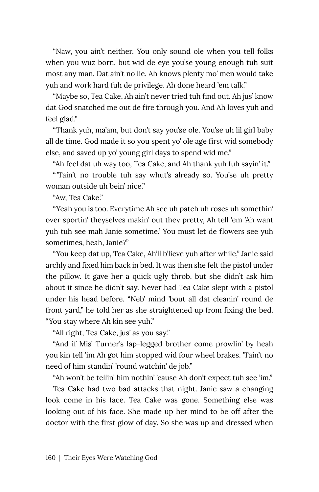"Naw, you ain't neither. You only sound ole when you tell folks when you wuz born, but wid de eye you'se young enough tuh suit most any man. Dat ain't no lie. Ah knows plenty mo' men would take yuh and work hard fuh de privilege. Ah done heard 'em talk."

"Maybe so, Tea Cake, Ah ain't never tried tuh find out. Ah jus' know dat God snatched me out de fire through you. And Ah loves yuh and feel glad."

"Thank yuh, ma'am, but don't say you'se ole. You'se uh lil girl baby all de time. God made it so you spent yo' ole age first wid somebody else, and saved up yo' young girl days to spend wid me."

"Ah feel dat uh way too, Tea Cake, and Ah thank yuh fuh sayin' it."

" 'Tain't no trouble tuh say whut's already so. You'se uh pretty woman outside uh bein' nice."

"Aw, Tea Cake."

"Yeah you is too. Everytime Ah see uh patch uh roses uh somethin' over sportin' theyselves makin' out they pretty, Ah tell 'em 'Ah want yuh tuh see mah Janie sometime.' You must let de flowers see yuh sometimes, heah, Janie?"

"You keep dat up, Tea Cake, Ah'll b'lieve yuh after while," Janie said archly and fixed him back in bed. It was then she felt the pistol under the pillow. It gave her a quick ugly throb, but she didn't ask him about it since he didn't say. Never had Tea Cake slept with a pistol under his head before. "Neb' mind 'bout all dat cleanin' round de front yard," he told her as she straightened up from fixing the bed. "You stay where Ah kin see yuh."

"All right, Tea Cake, jus' as you say."

"And if Mis' Turner's lap-legged brother come prowlin' by heah you kin tell 'im Ah got him stopped wid four wheel brakes. 'Tain't no need of him standin' 'round watchin' de job."

"Ah won't be tellin' him nothin' 'cause Ah don't expect tuh see 'im."

Tea Cake had two bad attacks that night. Janie saw a changing look come in his face. Tea Cake was gone. Something else was looking out of his face. She made up her mind to be off after the doctor with the first glow of day. So she was up and dressed when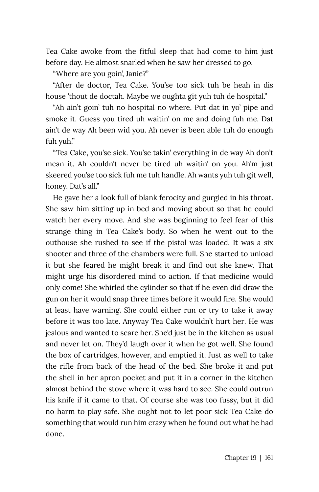Tea Cake awoke from the fitful sleep that had come to him just before day. He almost snarled when he saw her dressed to go.

"Where are you goin', Janie?"

"After de doctor, Tea Cake. You'se too sick tuh be heah in dis house 'thout de doctah. Maybe we oughta git yuh tuh de hospital."

"Ah ain't goin' tuh no hospital no where. Put dat in yo' pipe and smoke it. Guess you tired uh waitin' on me and doing fuh me. Dat ain't de way Ah been wid you. Ah never is been able tuh do enough fuh yuh."

"Tea Cake, you'se sick. You'se takin' everything in de way Ah don't mean it. Ah couldn't never be tired uh waitin' on you. Ah'm just skeered you'se too sick fuh me tuh handle. Ah wants yuh tuh git well, honey. Dat's all."

He gave her a look full of blank ferocity and gurgled in his throat. She saw him sitting up in bed and moving about so that he could watch her every move. And she was beginning to feel fear of this strange thing in Tea Cake's body. So when he went out to the outhouse she rushed to see if the pistol was loaded. It was a six shooter and three of the chambers were full. She started to unload it but she feared he might break it and find out she knew. That might urge his disordered mind to action. If that medicine would only come! She whirled the cylinder so that if he even did draw the gun on her it would snap three times before it would fire. She would at least have warning. She could either run or try to take it away before it was too late. Anyway Tea Cake wouldn't hurt her. He was jealous and wanted to scare her. She'd just be in the kitchen as usual and never let on. They'd laugh over it when he got well. She found the box of cartridges, however, and emptied it. Just as well to take the rifle from back of the head of the bed. She broke it and put the shell in her apron pocket and put it in a corner in the kitchen almost behind the stove where it was hard to see. She could outrun his knife if it came to that. Of course she was too fussy, but it did no harm to play safe. She ought not to let poor sick Tea Cake do something that would run him crazy when he found out what he had done.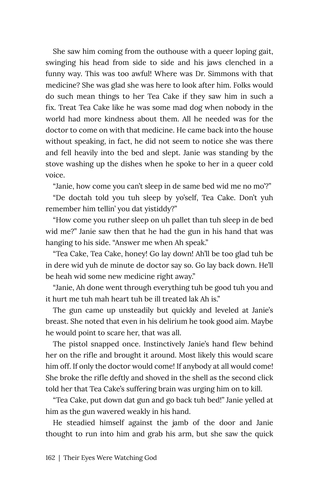She saw him coming from the outhouse with a queer loping gait, swinging his head from side to side and his jaws clenched in a funny way. This was too awful! Where was Dr. Simmons with that medicine? She was glad she was here to look after him. Folks would do such mean things to her Tea Cake if they saw him in such a fix. Treat Tea Cake like he was some mad dog when nobody in the world had more kindness about them. All he needed was for the doctor to come on with that medicine. He came back into the house without speaking, in fact, he did not seem to notice she was there and fell heavily into the bed and slept. Janie was standing by the stove washing up the dishes when he spoke to her in a queer cold voice.

"Janie, how come you can't sleep in de same bed wid me no mo'?"

"De doctah told you tuh sleep by yo'self, Tea Cake. Don't yuh remember him tellin' you dat yistiddy?"

"How come you ruther sleep on uh pallet than tuh sleep in de bed wid me?" Janie saw then that he had the gun in his hand that was hanging to his side. "Answer me when Ah speak."

"Tea Cake, Tea Cake, honey! Go lay down! Ah'll be too glad tuh be in dere wid yuh de minute de doctor say so. Go lay back down. He'll be heah wid some new medicine right away."

"Janie, Ah done went through everything tuh be good tuh you and it hurt me tuh mah heart tuh be ill treated lak Ah is."

The gun came up unsteadily but quickly and leveled at Janie's breast. She noted that even in his delirium he took good aim. Maybe he would point to scare her, that was all.

The pistol snapped once. Instinctively Janie's hand flew behind her on the rifle and brought it around. Most likely this would scare him off. If only the doctor would come! If anybody at all would come! She broke the rifle deftly and shoved in the shell as the second click told her that Tea Cake's suffering brain was urging him on to kill.

"Tea Cake, put down dat gun and go back tuh bed!" Janie yelled at him as the gun wavered weakly in his hand.

He steadied himself against the jamb of the door and Janie thought to run into him and grab his arm, but she saw the quick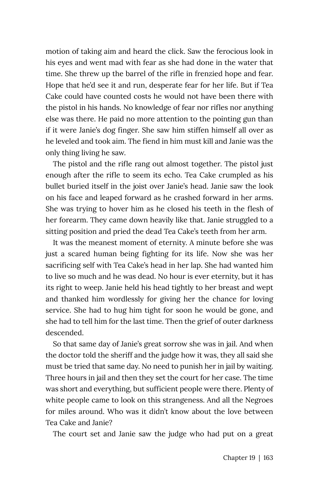motion of taking aim and heard the click. Saw the ferocious look in his eyes and went mad with fear as she had done in the water that time. She threw up the barrel of the rifle in frenzied hope and fear. Hope that he'd see it and run, desperate fear for her life. But if Tea Cake could have counted costs he would not have been there with the pistol in his hands. No knowledge of fear nor rifles nor anything else was there. He paid no more attention to the pointing gun than if it were Janie's dog finger. She saw him stiffen himself all over as he leveled and took aim. The fiend in him must kill and Janie was the only thing living he saw.

The pistol and the rifle rang out almost together. The pistol just enough after the rifle to seem its echo. Tea Cake crumpled as his bullet buried itself in the joist over Janie's head. Janie saw the look on his face and leaped forward as he crashed forward in her arms. She was trying to hover him as he closed his teeth in the flesh of her forearm. They came down heavily like that. Janie struggled to a sitting position and pried the dead Tea Cake's teeth from her arm.

It was the meanest moment of eternity. A minute before she was just a scared human being fighting for its life. Now she was her sacrificing self with Tea Cake's head in her lap. She had wanted him to live so much and he was dead. No hour is ever eternity, but it has its right to weep. Janie held his head tightly to her breast and wept and thanked him wordlessly for giving her the chance for loving service. She had to hug him tight for soon he would be gone, and she had to tell him for the last time. Then the grief of outer darkness descended.

So that same day of Janie's great sorrow she was in jail. And when the doctor told the sheriff and the judge how it was, they all said she must be tried that same day. No need to punish her in jail by waiting. Three hours in jail and then they set the court for her case. The time was short and everything, but sufficient people were there. Plenty of white people came to look on this strangeness. And all the Negroes for miles around. Who was it didn't know about the love between Tea Cake and Janie?

The court set and Janie saw the judge who had put on a great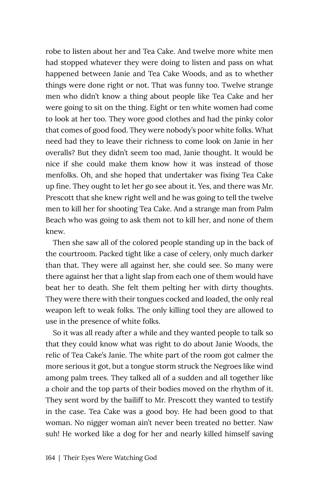robe to listen about her and Tea Cake. And twelve more white men had stopped whatever they were doing to listen and pass on what happened between Janie and Tea Cake Woods, and as to whether things were done right or not. That was funny too. Twelve strange men who didn't know a thing about people like Tea Cake and her were going to sit on the thing. Eight or ten white women had come to look at her too. They wore good clothes and had the pinky color that comes of good food. They were nobody's poor white folks. What need had they to leave their richness to come look on Janie in her overalls? But they didn't seem too mad, Janie thought. It would be nice if she could make them know how it was instead of those menfolks. Oh, and she hoped that undertaker was fixing Tea Cake up fine. They ought to let her go see about it. Yes, and there was Mr. Prescott that she knew right well and he was going to tell the twelve men to kill her for shooting Tea Cake. And a strange man from Palm Beach who was going to ask them not to kill her, and none of them knew.

Then she saw all of the colored people standing up in the back of the courtroom. Packed tight like a case of celery, only much darker than that. They were all against her, she could see. So many were there against her that a light slap from each one of them would have beat her to death. She felt them pelting her with dirty thoughts. They were there with their tongues cocked and loaded, the only real weapon left to weak folks. The only killing tool they are allowed to use in the presence of white folks.

So it was all ready after a while and they wanted people to talk so that they could know what was right to do about Janie Woods, the relic of Tea Cake's Janie. The white part of the room got calmer the more serious it got, but a tongue storm struck the Negroes like wind among palm trees. They talked all of a sudden and all together like a choir and the top parts of their bodies moved on the rhythm of it. They sent word by the bailiff to Mr. Prescott they wanted to testify in the case. Tea Cake was a good boy. He had been good to that woman. No nigger woman ain't never been treated no better. Naw suh! He worked like a dog for her and nearly killed himself saving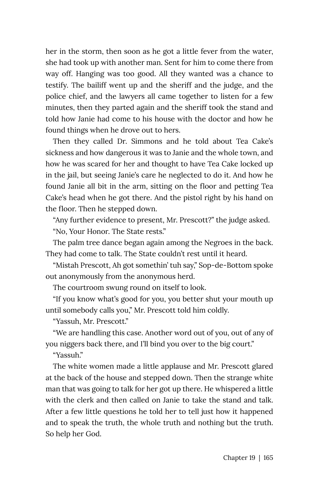her in the storm, then soon as he got a little fever from the water, she had took up with another man. Sent for him to come there from way off. Hanging was too good. All they wanted was a chance to testify. The bailiff went up and the sheriff and the judge, and the police chief, and the lawyers all came together to listen for a few minutes, then they parted again and the sheriff took the stand and told how Janie had come to his house with the doctor and how he found things when he drove out to hers.

Then they called Dr. Simmons and he told about Tea Cake's sickness and how dangerous it was to Janie and the whole town, and how he was scared for her and thought to have Tea Cake locked up in the jail, but seeing Janie's care he neglected to do it. And how he found Janie all bit in the arm, sitting on the floor and petting Tea Cake's head when he got there. And the pistol right by his hand on the floor. Then he stepped down.

"Any further evidence to present, Mr. Prescott?" the judge asked. "No, Your Honor. The State rests."

The palm tree dance began again among the Negroes in the back. They had come to talk. The State couldn't rest until it heard.

"Mistah Prescott, Ah got somethin' tuh say," Sop-de-Bottom spoke out anonymously from the anonymous herd.

The courtroom swung round on itself to look.

"If you know what's good for you, you better shut your mouth up until somebody calls you," Mr. Prescott told him coldly.

"Yassuh, Mr. Prescott."

"We are handling this case. Another word out of you, out of any of you niggers back there, and I'll bind you over to the big court."

"Yassuh."

The white women made a little applause and Mr. Prescott glared at the back of the house and stepped down. Then the strange white man that was going to talk for her got up there. He whispered a little with the clerk and then called on Janie to take the stand and talk. After a few little questions he told her to tell just how it happened and to speak the truth, the whole truth and nothing but the truth. So help her God.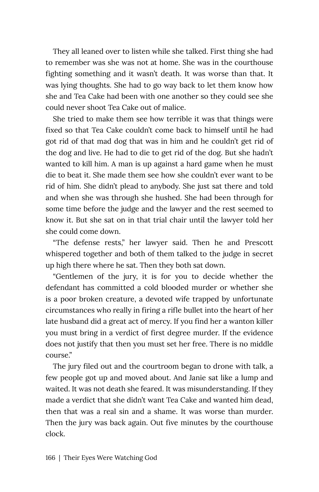They all leaned over to listen while she talked. First thing she had to remember was she was not at home. She was in the courthouse fighting something and it wasn't death. It was worse than that. It was lying thoughts. She had to go way back to let them know how she and Tea Cake had been with one another so they could see she could never shoot Tea Cake out of malice.

She tried to make them see how terrible it was that things were fixed so that Tea Cake couldn't come back to himself until he had got rid of that mad dog that was in him and he couldn't get rid of the dog and live. He had to die to get rid of the dog. But she hadn't wanted to kill him. A man is up against a hard game when he must die to beat it. She made them see how she couldn't ever want to be rid of him. She didn't plead to anybody. She just sat there and told and when she was through she hushed. She had been through for some time before the judge and the lawyer and the rest seemed to know it. But she sat on in that trial chair until the lawyer told her she could come down.

"The defense rests," her lawyer said. Then he and Prescott whispered together and both of them talked to the judge in secret up high there where he sat. Then they both sat down.

"Gentlemen of the jury, it is for you to decide whether the defendant has committed a cold blooded murder or whether she is a poor broken creature, a devoted wife trapped by unfortunate circumstances who really in firing a rifle bullet into the heart of her late husband did a great act of mercy. If you find her a wanton killer you must bring in a verdict of first degree murder. If the evidence does not justify that then you must set her free. There is no middle course."

The jury filed out and the courtroom began to drone with talk, a few people got up and moved about. And Janie sat like a lump and waited. It was not death she feared. It was misunderstanding. If they made a verdict that she didn't want Tea Cake and wanted him dead, then that was a real sin and a shame. It was worse than murder. Then the jury was back again. Out five minutes by the courthouse clock.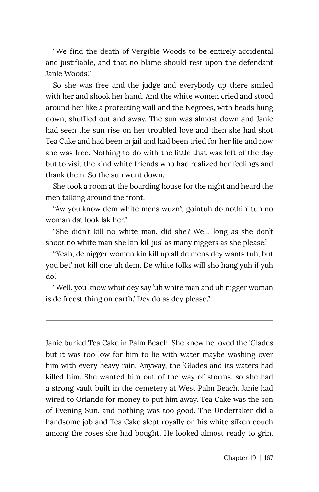"We find the death of Vergible Woods to be entirely accidental and justifiable, and that no blame should rest upon the defendant Janie Woods."

So she was free and the judge and everybody up there smiled with her and shook her hand. And the white women cried and stood around her like a protecting wall and the Negroes, with heads hung down, shuffled out and away. The sun was almost down and Janie had seen the sun rise on her troubled love and then she had shot Tea Cake and had been in jail and had been tried for her life and now she was free. Nothing to do with the little that was left of the day but to visit the kind white friends who had realized her feelings and thank them. So the sun went down.

She took a room at the boarding house for the night and heard the men talking around the front.

"Aw you know dem white mens wuzn't gointuh do nothin' tuh no woman dat look lak her."

"She didn't kill no white man, did she? Well, long as she don't shoot no white man she kin kill jus' as many niggers as she please."

"Yeah, de nigger women kin kill up all de mens dey wants tuh, but you bet' not kill one uh dem. De white folks will sho hang yuh if yuh do."

"Well, you know whut dey say 'uh white man and uh nigger woman is de freest thing on earth.' Dey do as dey please."

Janie buried Tea Cake in Palm Beach. She knew he loved the 'Glades but it was too low for him to lie with water maybe washing over him with every heavy rain. Anyway, the 'Glades and its waters had killed him. She wanted him out of the way of storms, so she had a strong vault built in the cemetery at West Palm Beach. Janie had wired to Orlando for money to put him away. Tea Cake was the son of Evening Sun, and nothing was too good. The Undertaker did a handsome job and Tea Cake slept royally on his white silken couch among the roses she had bought. He looked almost ready to grin.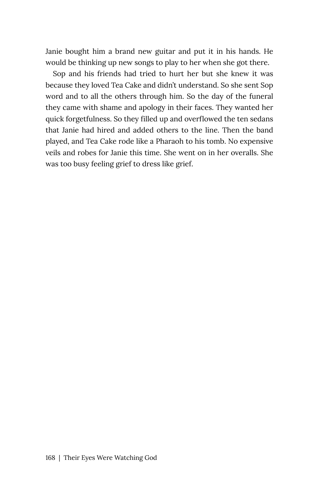Janie bought him a brand new guitar and put it in his hands. He would be thinking up new songs to play to her when she got there.

Sop and his friends had tried to hurt her but she knew it was because they loved Tea Cake and didn't understand. So she sent Sop word and to all the others through him. So the day of the funeral they came with shame and apology in their faces. They wanted her quick forgetfulness. So they filled up and overflowed the ten sedans that Janie had hired and added others to the line. Then the band played, and Tea Cake rode like a Pharaoh to his tomb. No expensive veils and robes for Janie this time. She went on in her overalls. She was too busy feeling grief to dress like grief.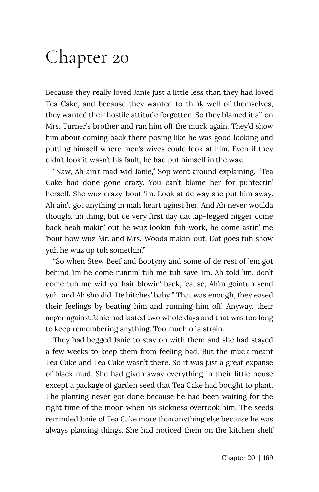## Chapter 20

Because they really loved Janie just a little less than they had loved Tea Cake, and because they wanted to think well of themselves, they wanted their hostile attitude forgotten. So they blamed it all on Mrs. Turner's brother and ran him off the muck again. They'd show him about coming back there posing like he was good looking and putting himself where men's wives could look at him. Even if they didn't look it wasn't his fault, he had put himself in the way.

"Naw, Ah ain't mad wid Janie," Sop went around explaining. "Tea Cake had done gone crazy. You can't blame her for puhtectin' herself. She wuz crazy 'bout 'im. Look at de way she put him away. Ah ain't got anything in mah heart aginst her. And Ah never woulda thought uh thing, but de very first day dat lap-legged nigger come back heah makin' out he wuz lookin' fuh work, he come astin' me 'bout how wuz Mr. and Mrs. Woods makin' out. Dat goes tuh show yuh he wuz up tuh somethin".

"So when Stew Beef and Bootyny and some of de rest of 'em got behind 'im he come runnin' tuh me tuh save 'im. Ah told 'im, don't come tuh me wid yo' hair blowin' back, 'cause, Ah'm gointuh send yuh, and Ah sho did. De bitches' baby!" That was enough, they eased their feelings by beating him and running him off. Anyway, their anger against Janie had lasted two whole days and that was too long to keep remembering anything. Too much of a strain.

They had begged Janie to stay on with them and she had stayed a few weeks to keep them from feeling bad. But the muck meant Tea Cake and Tea Cake wasn't there. So it was just a great expanse of black mud. She had given away everything in their little house except a package of garden seed that Tea Cake had bought to plant. The planting never got done because he had been waiting for the right time of the moon when his sickness overtook him. The seeds reminded Janie of Tea Cake more than anything else because he was always planting things. She had noticed them on the kitchen shelf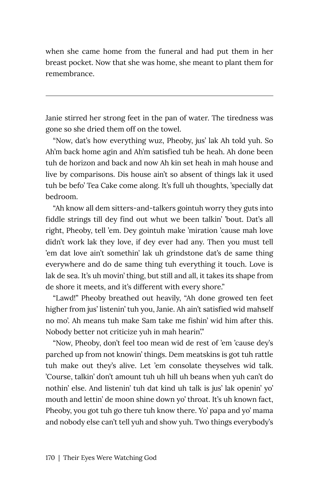when she came home from the funeral and had put them in her breast pocket. Now that she was home, she meant to plant them for remembrance.

Janie stirred her strong feet in the pan of water. The tiredness was gone so she dried them off on the towel.

"Now, dat's how everything wuz, Pheoby, jus' lak Ah told yuh. So Ah'm back home agin and Ah'm satisfied tuh be heah. Ah done been tuh de horizon and back and now Ah kin set heah in mah house and live by comparisons. Dis house ain't so absent of things lak it used tuh be befo' Tea Cake come along. It's full uh thoughts, 'specially dat bedroom.

"Ah know all dem sitters-and-talkers gointuh worry they guts into fiddle strings till dey find out whut we been talkin' 'bout. Dat's all right, Pheoby, tell 'em. Dey gointuh make 'miration 'cause mah love didn't work lak they love, if dey ever had any. Then you must tell 'em dat love ain't somethin' lak uh grindstone dat's de same thing everywhere and do de same thing tuh everything it touch. Love is lak de sea. It's uh movin' thing, but still and all, it takes its shape from de shore it meets, and it's different with every shore."

"Lawd!" Pheoby breathed out heavily, "Ah done growed ten feet higher from jus' listenin' tuh you, Janie. Ah ain't satisfied wid mahself no mo'. Ah means tuh make Sam take me fishin' wid him after this. Nobody better not criticize yuh in mah hearin'."

"Now, Pheoby, don't feel too mean wid de rest of 'em 'cause dey's parched up from not knowin' things. Dem meatskins is got tuh rattle tuh make out they's alive. Let 'em consolate theyselves wid talk. 'Course, talkin' don't amount tuh uh hill uh beans when yuh can't do nothin' else. And listenin' tuh dat kind uh talk is jus' lak openin' yo' mouth and lettin' de moon shine down yo' throat. It's uh known fact, Pheoby, you got tuh go there tuh know there. Yo' papa and yo' mama and nobody else can't tell yuh and show yuh. Two things everybody's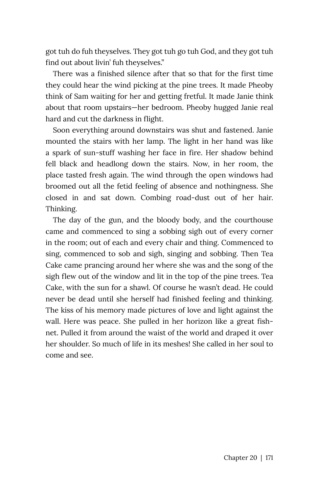got tuh do fuh theyselves. They got tuh go tuh God, and they got tuh find out about livin' fuh theyselves."

There was a finished silence after that so that for the first time they could hear the wind picking at the pine trees. It made Pheoby think of Sam waiting for her and getting fretful. It made Janie think about that room upstairs—her bedroom. Pheoby hugged Janie real hard and cut the darkness in flight.

Soon everything around downstairs was shut and fastened. Janie mounted the stairs with her lamp. The light in her hand was like a spark of sun-stuff washing her face in fire. Her shadow behind fell black and headlong down the stairs. Now, in her room, the place tasted fresh again. The wind through the open windows had broomed out all the fetid feeling of absence and nothingness. She closed in and sat down. Combing road-dust out of her hair. Thinking.

The day of the gun, and the bloody body, and the courthouse came and commenced to sing a sobbing sigh out of every corner in the room; out of each and every chair and thing. Commenced to sing, commenced to sob and sigh, singing and sobbing. Then Tea Cake came prancing around her where she was and the song of the sigh flew out of the window and lit in the top of the pine trees. Tea Cake, with the sun for a shawl. Of course he wasn't dead. He could never be dead until she herself had finished feeling and thinking. The kiss of his memory made pictures of love and light against the wall. Here was peace. She pulled in her horizon like a great fishnet. Pulled it from around the waist of the world and draped it over her shoulder. So much of life in its meshes! She called in her soul to come and see.